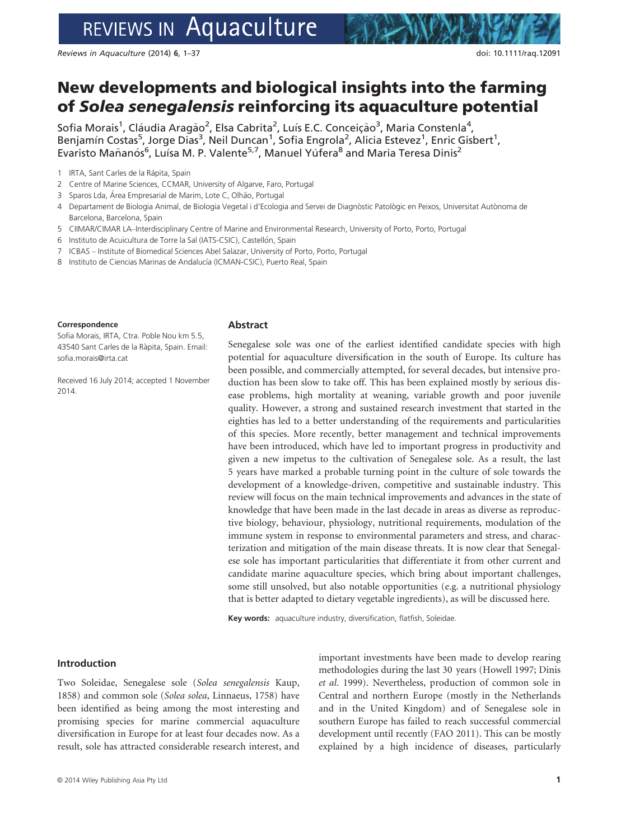# REVIEWS IN Aquaculture

Reviews in Aquaculture (2014) 6, 1–37 doi: 10.1111/raq.12091

## New developments and biological insights into the farming of Solea senegalensis reinforcing its aquaculture potential

Sofia Morais<sup>1</sup>, Cláudia Aragão<sup>2</sup>, Elsa Cabrita<sup>2</sup>, Luís E.C. Conceição<sup>3</sup>, Maria Constenla<sup>4</sup>, Benjamín Costas<sup>5</sup>, Jorge Dias<sup>3</sup>, Neil Duncan<sup>1</sup>, Sofia Engrola<sup>2</sup>, Alicia Estevez<sup>1</sup>, Enric Gisbert<sup>1</sup>, Evaristo Mañanós<sup>6</sup>, Luísa M. P. Valente<sup>5,7</sup>, Manuel Yúfera<sup>8</sup> and Maria Teresa Dinis<sup>2</sup>

1 IRTA, Sant Carles de la Rápita, Spain

- 2 Centre of Marine Sciences, CCMAR, University of Algarve, Faro, Portugal
- 3 Sparos Lda, Área Empresarial de Marim, Lote C, Olhão, Portugal
- 4 Departament de Biologia Animal, de Biologia Vegetal i d'Ecologia and Servei de Diagnòstic Patològic en Peixos, Universitat Autònoma de Barcelona, Barcelona, Spain
- 5 CIIMAR/CIMAR LA–Interdisciplinary Centre of Marine and Environmental Research, University of Porto, Porto, Portugal
- 6 Instituto de Acuicultura de Torre la Sal (IATS-CSIC), Castellón, Spain
- 7 ICBAS Institute of Biomedical Sciences Abel Salazar, University of Porto, Porto, Portugal
- 8 Instituto de Ciencias Marinas de Andalucía (ICMAN-CSIC), Puerto Real, Spain

#### Correspondence

Sofia Morais, IRTA, Ctra. Poble Nou km 5.5, 43540 Sant Carles de la Rapita, Spain. Email: sofia.morais@irta.cat

Received 16 July 2014; accepted 1 November 2014.

#### **Abstract**

Senegalese sole was one of the earliest identified candidate species with high potential for aquaculture diversification in the south of Europe. Its culture has been possible, and commercially attempted, for several decades, but intensive production has been slow to take off. This has been explained mostly by serious disease problems, high mortality at weaning, variable growth and poor juvenile quality. However, a strong and sustained research investment that started in the eighties has led to a better understanding of the requirements and particularities of this species. More recently, better management and technical improvements have been introduced, which have led to important progress in productivity and given a new impetus to the cultivation of Senegalese sole. As a result, the last 5 years have marked a probable turning point in the culture of sole towards the development of a knowledge-driven, competitive and sustainable industry. This review will focus on the main technical improvements and advances in the state of knowledge that have been made in the last decade in areas as diverse as reproductive biology, behaviour, physiology, nutritional requirements, modulation of the immune system in response to environmental parameters and stress, and characterization and mitigation of the main disease threats. It is now clear that Senegalese sole has important particularities that differentiate it from other current and candidate marine aquaculture species, which bring about important challenges, some still unsolved, but also notable opportunities (e.g. a nutritional physiology that is better adapted to dietary vegetable ingredients), as will be discussed here.

Key words: aquaculture industry, diversification, flatfish, Soleidae.

#### Introduction

Two Soleidae, Senegalese sole (Solea senegalensis Kaup, 1858) and common sole (Solea solea, Linnaeus, 1758) have been identified as being among the most interesting and promising species for marine commercial aquaculture diversification in Europe for at least four decades now. As a result, sole has attracted considerable research interest, and

important investments have been made to develop rearing methodologies during the last 30 years (Howell 1997; Dinis et al. 1999). Nevertheless, production of common sole in Central and northern Europe (mostly in the Netherlands and in the United Kingdom) and of Senegalese sole in southern Europe has failed to reach successful commercial development until recently (FAO 2011). This can be mostly explained by a high incidence of diseases, particularly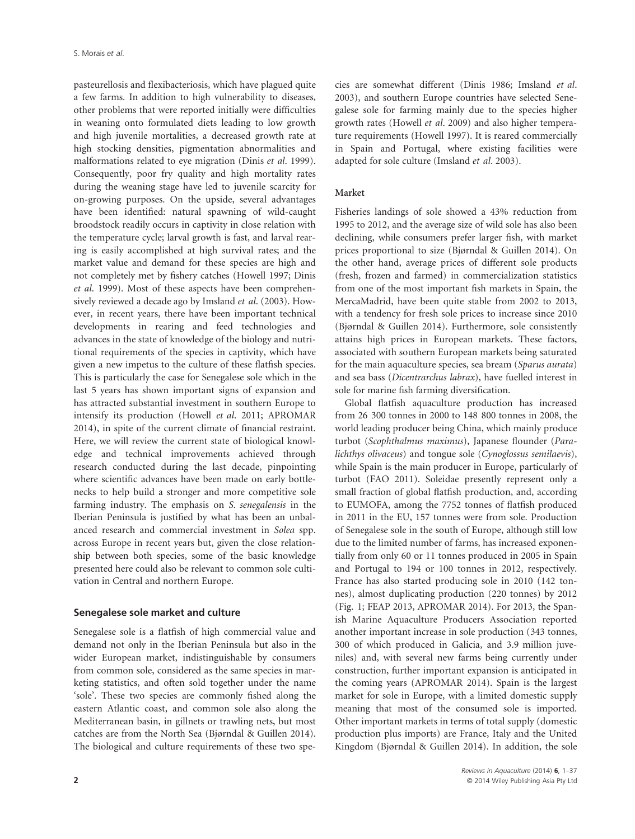pasteurellosis and flexibacteriosis, which have plagued quite a few farms. In addition to high vulnerability to diseases, other problems that were reported initially were difficulties in weaning onto formulated diets leading to low growth and high juvenile mortalities, a decreased growth rate at high stocking densities, pigmentation abnormalities and malformations related to eye migration (Dinis et al. 1999). Consequently, poor fry quality and high mortality rates during the weaning stage have led to juvenile scarcity for on-growing purposes. On the upside, several advantages have been identified: natural spawning of wild-caught broodstock readily occurs in captivity in close relation with the temperature cycle; larval growth is fast, and larval rearing is easily accomplished at high survival rates; and the market value and demand for these species are high and not completely met by fishery catches (Howell 1997; Dinis et al. 1999). Most of these aspects have been comprehensively reviewed a decade ago by Imsland et al. (2003). However, in recent years, there have been important technical developments in rearing and feed technologies and advances in the state of knowledge of the biology and nutritional requirements of the species in captivity, which have given a new impetus to the culture of these flatfish species. This is particularly the case for Senegalese sole which in the last 5 years has shown important signs of expansion and has attracted substantial investment in southern Europe to intensify its production (Howell et al. 2011; APROMAR 2014), in spite of the current climate of financial restraint. Here, we will review the current state of biological knowledge and technical improvements achieved through research conducted during the last decade, pinpointing where scientific advances have been made on early bottlenecks to help build a stronger and more competitive sole farming industry. The emphasis on S. senegalensis in the Iberian Peninsula is justified by what has been an unbalanced research and commercial investment in Solea spp. across Europe in recent years but, given the close relationship between both species, some of the basic knowledge presented here could also be relevant to common sole cultivation in Central and northern Europe.

#### Senegalese sole market and culture

Senegalese sole is a flatfish of high commercial value and demand not only in the Iberian Peninsula but also in the wider European market, indistinguishable by consumers from common sole, considered as the same species in marketing statistics, and often sold together under the name 'sole'. These two species are commonly fished along the eastern Atlantic coast, and common sole also along the Mediterranean basin, in gillnets or trawling nets, but most catches are from the North Sea (Bjørndal & Guillen 2014). The biological and culture requirements of these two species are somewhat different (Dinis 1986; Imsland et al. 2003), and southern Europe countries have selected Senegalese sole for farming mainly due to the species higher growth rates (Howell et al. 2009) and also higher temperature requirements (Howell 1997). It is reared commercially in Spain and Portugal, where existing facilities were adapted for sole culture (Imsland et al. 2003).

#### Market

Fisheries landings of sole showed a 43% reduction from 1995 to 2012, and the average size of wild sole has also been declining, while consumers prefer larger fish, with market prices proportional to size (Bjørndal & Guillen 2014). On the other hand, average prices of different sole products (fresh, frozen and farmed) in commercialization statistics from one of the most important fish markets in Spain, the MercaMadrid, have been quite stable from 2002 to 2013, with a tendency for fresh sole prices to increase since 2010 (Bjørndal & Guillen 2014). Furthermore, sole consistently attains high prices in European markets. These factors, associated with southern European markets being saturated for the main aquaculture species, sea bream (Sparus aurata) and sea bass (Dicentrarchus labrax), have fuelled interest in sole for marine fish farming diversification.

Global flatfish aquaculture production has increased from 26 300 tonnes in 2000 to 148 800 tonnes in 2008, the world leading producer being China, which mainly produce turbot (Scophthalmus maximus), Japanese flounder (Paralichthys olivaceus) and tongue sole (Cynoglossus semilaevis), while Spain is the main producer in Europe, particularly of turbot (FAO 2011). Soleidae presently represent only a small fraction of global flatfish production, and, according to EUMOFA, among the 7752 tonnes of flatfish produced in 2011 in the EU, 157 tonnes were from sole. Production of Senegalese sole in the south of Europe, although still low due to the limited number of farms, has increased exponentially from only 60 or 11 tonnes produced in 2005 in Spain and Portugal to 194 or 100 tonnes in 2012, respectively. France has also started producing sole in 2010 (142 tonnes), almost duplicating production (220 tonnes) by 2012 (Fig. 1; FEAP 2013, APROMAR 2014). For 2013, the Spanish Marine Aquaculture Producers Association reported another important increase in sole production (343 tonnes, 300 of which produced in Galicia, and 3.9 million juveniles) and, with several new farms being currently under construction, further important expansion is anticipated in the coming years (APROMAR 2014). Spain is the largest market for sole in Europe, with a limited domestic supply meaning that most of the consumed sole is imported. Other important markets in terms of total supply (domestic production plus imports) are France, Italy and the United Kingdom (Bjørndal & Guillen 2014). In addition, the sole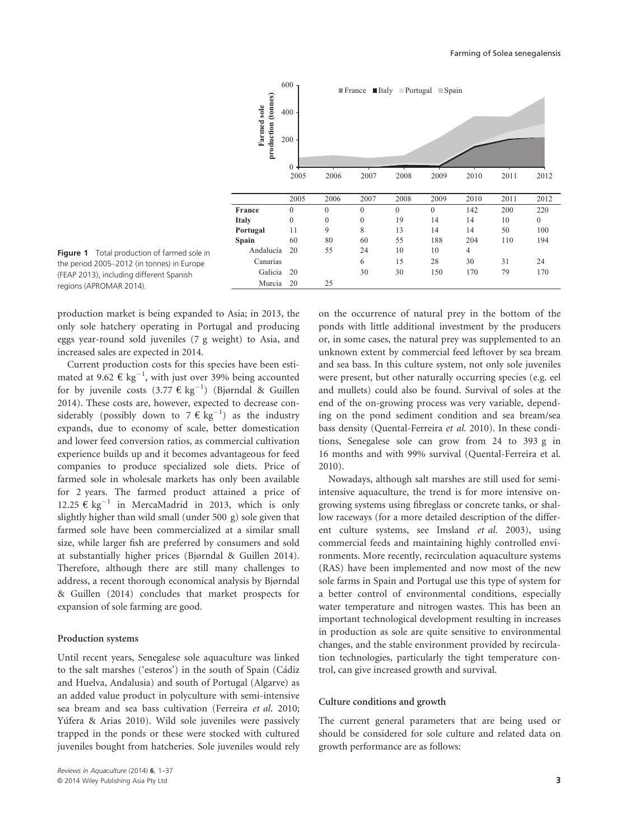

Figure 1 Total production of farmed sole in the period 2005–2012 (in tonnes) in Europe (FEAP 2013), including different Spanish regions (APROMAR 2014).

production market is being expanded to Asia; in 2013, the only sole hatchery operating in Portugal and producing eggs year-round sold juveniles (7 g weight) to Asia, and increased sales are expected in 2014.

Current production costs for this species have been estimated at 9.62  $\epsilon$  kg<sup>-1</sup>, with just over 39% being accounted for by juvenile costs  $(3.77 \in \text{kg}^{-1})$  (Bjørndal & Guillen 2014). These costs are, however, expected to decrease considerably (possibly down to  $7 \in \text{kg}^{-1}$ ) as the industry expands, due to economy of scale, better domestication and lower feed conversion ratios, as commercial cultivation experience builds up and it becomes advantageous for feed companies to produce specialized sole diets. Price of farmed sole in wholesale markets has only been available for 2 years. The farmed product attained a price of 12.25 € kg<sup>-1</sup> in MercaMadrid in 2013, which is only slightly higher than wild small (under 500 g) sole given that farmed sole have been commercialized at a similar small size, while larger fish are preferred by consumers and sold at substantially higher prices (Bjørndal & Guillen 2014). Therefore, although there are still many challenges to address, a recent thorough economical analysis by Bjørndal & Guillen (2014) concludes that market prospects for expansion of sole farming are good.

#### Production systems

Until recent years, Senegalese sole aquaculture was linked to the salt marshes ('esteros') in the south of Spain (Cádiz and Huelva, Andalusia) and south of Portugal (Algarve) as an added value product in polyculture with semi-intensive sea bream and sea bass cultivation (Ferreira et al. 2010; Yúfera & Arias 2010). Wild sole juveniles were passively trapped in the ponds or these were stocked with cultured juveniles bought from hatcheries. Sole juveniles would rely

on the occurrence of natural prey in the bottom of the ponds with little additional investment by the producers or, in some cases, the natural prey was supplemented to an unknown extent by commercial feed leftover by sea bream and sea bass. In this culture system, not only sole juveniles were present, but other naturally occurring species (e.g. eel and mullets) could also be found. Survival of soles at the end of the on-growing process was very variable, depending on the pond sediment condition and sea bream/sea bass density (Quental-Ferreira et al. 2010). In these conditions, Senegalese sole can grow from 24 to 393 g in 16 months and with 99% survival (Quental-Ferreira et al. 2010).

Nowadays, although salt marshes are still used for semiintensive aquaculture, the trend is for more intensive ongrowing systems using fibreglass or concrete tanks, or shallow raceways (for a more detailed description of the different culture systems, see Imsland et al. 2003), using commercial feeds and maintaining highly controlled environments. More recently, recirculation aquaculture systems (RAS) have been implemented and now most of the new sole farms in Spain and Portugal use this type of system for a better control of environmental conditions, especially water temperature and nitrogen wastes. This has been an important technological development resulting in increases in production as sole are quite sensitive to environmental changes, and the stable environment provided by recirculation technologies, particularly the tight temperature control, can give increased growth and survival.

#### Culture conditions and growth

The current general parameters that are being used or should be considered for sole culture and related data on growth performance are as follows: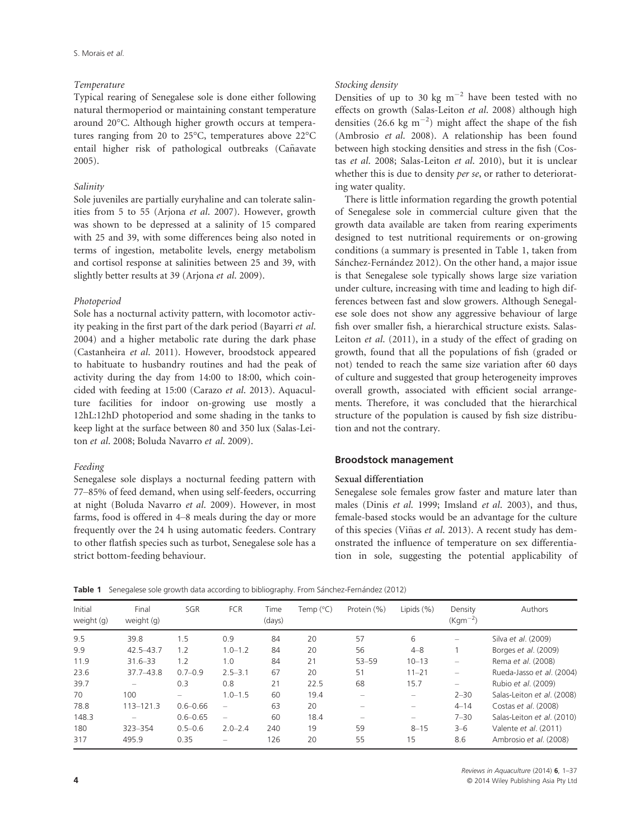#### Temperature

Typical rearing of Senegalese sole is done either following natural thermoperiod or maintaining constant temperature around 20°C. Although higher growth occurs at temperatures ranging from 20 to 25°C, temperatures above 22°C entail higher risk of pathological outbreaks (Cañavate 2005).

#### Salinity

Sole juveniles are partially euryhaline and can tolerate salinities from 5 to 55 (Arjona et al. 2007). However, growth was shown to be depressed at a salinity of 15 compared with 25 and 39, with some differences being also noted in terms of ingestion, metabolite levels, energy metabolism and cortisol response at salinities between 25 and 39, with slightly better results at 39 (Arjona et al. 2009).

#### Photoperiod

Sole has a nocturnal activity pattern, with locomotor activity peaking in the first part of the dark period (Bayarri et al. 2004) and a higher metabolic rate during the dark phase (Castanheira et al. 2011). However, broodstock appeared to habituate to husbandry routines and had the peak of activity during the day from 14:00 to 18:00, which coincided with feeding at 15:00 (Carazo et al. 2013). Aquaculture facilities for indoor on-growing use mostly a 12hL:12hD photoperiod and some shading in the tanks to keep light at the surface between 80 and 350 lux (Salas-Leiton et al. 2008; Boluda Navarro et al. 2009).

#### Feeding

Senegalese sole displays a nocturnal feeding pattern with 77–85% of feed demand, when using self-feeders, occurring at night (Boluda Navarro et al. 2009). However, in most farms, food is offered in 4–8 meals during the day or more frequently over the 24 h using automatic feeders. Contrary to other flatfish species such as turbot, Senegalese sole has a strict bottom-feeding behaviour.

#### Stocking density

Densities of up to 30 kg  $m^{-2}$  have been tested with no effects on growth (Salas-Leiton et al. 2008) although high densities (26.6 kg  $m^{-2}$ ) might affect the shape of the fish (Ambrosio et al. 2008). A relationship has been found between high stocking densities and stress in the fish (Costas et al. 2008; Salas-Leiton et al. 2010), but it is unclear whether this is due to density per se, or rather to deteriorating water quality.

There is little information regarding the growth potential of Senegalese sole in commercial culture given that the growth data available are taken from rearing experiments designed to test nutritional requirements or on-growing conditions (a summary is presented in Table 1, taken from Sánchez-Fernández 2012). On the other hand, a major issue is that Senegalese sole typically shows large size variation under culture, increasing with time and leading to high differences between fast and slow growers. Although Senegalese sole does not show any aggressive behaviour of large fish over smaller fish, a hierarchical structure exists. Salas-Leiton et al. (2011), in a study of the effect of grading on growth, found that all the populations of fish (graded or not) tended to reach the same size variation after 60 days of culture and suggested that group heterogeneity improves overall growth, associated with efficient social arrangements. Therefore, it was concluded that the hierarchical structure of the population is caused by fish size distribution and not the contrary.

#### Broodstock management

#### Sexual differentiation

Senegalese sole females grow faster and mature later than males (Dinis et al. 1999; Imsland et al. 2003), and thus, female-based stocks would be an advantage for the culture of this species (Viñas et al. 2013). A recent study has demonstrated the influence of temperature on sex differentiation in sole, suggesting the potential applicability of

Table 1 Senegalese sole growth data according to bibliography. From Sánchez-Fernández (2012)

| Initial<br>weight (g) | Final<br>weight (g) | SGR          | <b>FCR</b>               | Time<br>(days) | Temp (°C) | Protein (%) | Lipids (%)               | Density<br>$(Kqm^{-2})$ | Authors                    |
|-----------------------|---------------------|--------------|--------------------------|----------------|-----------|-------------|--------------------------|-------------------------|----------------------------|
| 9.5                   | 39.8                | 1.5          | 0.9                      | 84             | 20        | 57          | 6                        |                         | Silva et al. (2009)        |
| 9.9                   | $42.5 - 43.7$       | 1.2          | $1.0 - 1.2$              | 84             | 20        | 56          | $4 - 8$                  |                         | Borges et al. (2009)       |
| 11.9                  | $31.6 - 33$         | 1.2          | 1.0                      | 84             | 21        | $53 - 59$   | $10 - 13$                |                         | Rema et al. (2008)         |
| 23.6                  | $37.7 - 43.8$       | $0.7 - 0.9$  | $2.5 - 3.1$              | 67             | 20        | 51          | $11 - 21$                |                         | Rueda-Jasso et al. (2004)  |
| 39.7                  |                     | 0.3          | 0.8                      | 21             | 22.5      | 68          | 15.7                     |                         | Rubio et al. (2009)        |
| 70                    | 100                 |              | $1.0 - 1.5$              | 60             | 19.4      |             | $\overline{\phantom{0}}$ | $2 - 30$                | Salas-Leiton et al. (2008) |
| 78.8                  | $113 - 121.3$       | $0.6 - 0.66$ | $\overline{\phantom{0}}$ | 63             | 20        |             |                          | $4 - 14$                | Costas et al. (2008)       |
| 148.3                 |                     | $0.6 - 0.65$ |                          | 60             | 18.4      |             |                          | $7 - 30$                | Salas-Leiton et al. (2010) |
| 180                   | 323-354             | $0.5 - 0.6$  | $2.0 - 2.4$              | 240            | 19        | 59          | $8 - 15$                 | $3 - 6$                 | Valente et al. (2011)      |
| 317                   | 495.9               | 0.35         |                          | 126            | 20        | 55          | 15                       | 8.6                     | Ambrosio et al. (2008)     |

Reviews in Aquaculture (2014) <sup>6</sup>, 1–37 **4**  $\degree$  2014 Wiley Publishing Asia Pty Ltd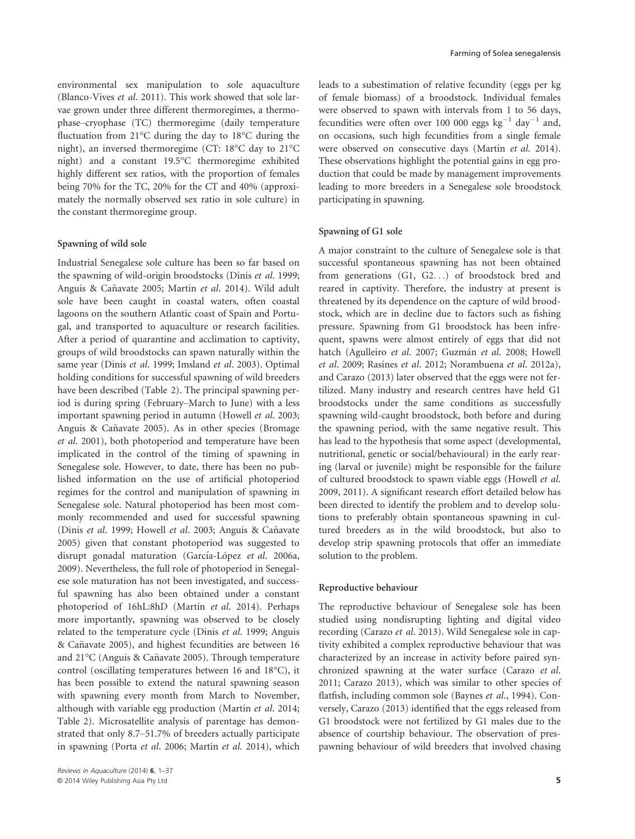environmental sex manipulation to sole aquaculture (Blanco-Vives et al. 2011). This work showed that sole larvae grown under three different thermoregimes, a thermophase–cryophase (TC) thermoregime (daily temperature fluctuation from 21°C during the day to 18°C during the night), an inversed thermoregime (CT: 18°C day to 21°C night) and a constant 19.5°C thermoregime exhibited highly different sex ratios, with the proportion of females being 70% for the TC, 20% for the CT and 40% (approximately the normally observed sex ratio in sole culture) in the constant thermoregime group.

#### Spawning of wild sole

Industrial Senegalese sole culture has been so far based on the spawning of wild-origin broodstocks (Dinis et al. 1999; Anguis & Cañavate 2005; Martin et al. 2014). Wild adult sole have been caught in coastal waters, often coastal lagoons on the southern Atlantic coast of Spain and Portugal, and transported to aquaculture or research facilities. After a period of quarantine and acclimation to captivity, groups of wild broodstocks can spawn naturally within the same year (Dinis et al. 1999; Imsland et al. 2003). Optimal holding conditions for successful spawning of wild breeders have been described (Table 2). The principal spawning period is during spring (February–March to June) with a less important spawning period in autumn (Howell et al. 2003; Anguis & Cañavate 2005). As in other species (Bromage et al. 2001), both photoperiod and temperature have been implicated in the control of the timing of spawning in Senegalese sole. However, to date, there has been no published information on the use of artificial photoperiod regimes for the control and manipulation of spawning in Senegalese sole. Natural photoperiod has been most commonly recommended and used for successful spawning (Dinis et al. 1999; Howell et al. 2003; Anguis & Cañavate 2005) given that constant photoperiod was suggested to disrupt gonadal maturation (García-López et al. 2006a, 2009). Nevertheless, the full role of photoperiod in Senegalese sole maturation has not been investigated, and successful spawning has also been obtained under a constant photoperiod of 16hL:8hD (Martin et al. 2014). Perhaps more importantly, spawning was observed to be closely related to the temperature cycle (Dinis et al. 1999; Anguis & Canavate 2005), and highest fecundities are between 16 ~ and 21°C (Anguis & Cañavate 2005). Through temperature control (oscillating temperatures between 16 and 18°C), it has been possible to extend the natural spawning season with spawning every month from March to November, although with variable egg production (Martin et al. 2014; Table 2). Microsatellite analysis of parentage has demonstrated that only 8.7–51.7% of breeders actually participate in spawning (Porta et al. 2006; Martin et al. 2014), which

leads to a subestimation of relative fecundity (eggs per kg of female biomass) of a broodstock. Individual females were observed to spawn with intervals from 1 to 56 days, fecundities were often over 100 000 eggs  $kg^{-1}$  day<sup>-1</sup> and, on occasions, such high fecundities from a single female were observed on consecutive days (Martin et al. 2014). These observations highlight the potential gains in egg production that could be made by management improvements leading to more breeders in a Senegalese sole broodstock participating in spawning.

#### Spawning of G1 sole

A major constraint to the culture of Senegalese sole is that successful spontaneous spawning has not been obtained from generations (G1, G2...) of broodstock bred and reared in captivity. Therefore, the industry at present is threatened by its dependence on the capture of wild broodstock, which are in decline due to factors such as fishing pressure. Spawning from G1 broodstock has been infrequent, spawns were almost entirely of eggs that did not hatch (Agulleiro et al. 2007; Guzmán et al. 2008; Howell et al. 2009; Rasines et al. 2012; Norambuena et al. 2012a), and Carazo (2013) later observed that the eggs were not fertilized. Many industry and research centres have held G1 broodstocks under the same conditions as successfully spawning wild-caught broodstock, both before and during the spawning period, with the same negative result. This has lead to the hypothesis that some aspect (developmental, nutritional, genetic or social/behavioural) in the early rearing (larval or juvenile) might be responsible for the failure of cultured broodstock to spawn viable eggs (Howell et al. 2009, 2011). A significant research effort detailed below has been directed to identify the problem and to develop solutions to preferably obtain spontaneous spawning in cultured breeders as in the wild broodstock, but also to develop strip spawning protocols that offer an immediate solution to the problem.

#### Reproductive behaviour

The reproductive behaviour of Senegalese sole has been studied using nondisrupting lighting and digital video recording (Carazo et al. 2013). Wild Senegalese sole in captivity exhibited a complex reproductive behaviour that was characterized by an increase in activity before paired synchronized spawning at the water surface (Carazo et al. 2011; Carazo 2013), which was similar to other species of flatfish, including common sole (Baynes et al., 1994). Conversely, Carazo (2013) identified that the eggs released from G1 broodstock were not fertilized by G1 males due to the absence of courtship behaviour. The observation of prespawning behaviour of wild breeders that involved chasing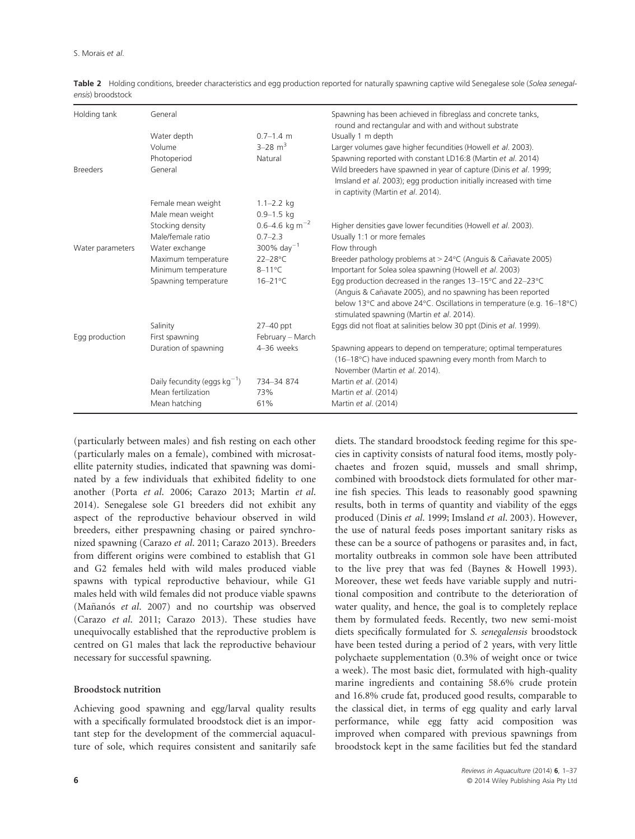| Holding tank     | General                           |                            | Spawning has been achieved in fibreglass and concrete tanks,<br>round and rectangular and with and without substrate                                                                                                                                                |  |  |  |  |
|------------------|-----------------------------------|----------------------------|---------------------------------------------------------------------------------------------------------------------------------------------------------------------------------------------------------------------------------------------------------------------|--|--|--|--|
|                  | Water depth                       | $0.7 - 1.4$ m              | Usually 1 m depth                                                                                                                                                                                                                                                   |  |  |  |  |
|                  | Volume                            | $3 - 28$ m <sup>3</sup>    | Larger volumes gave higher fecundities (Howell et al. 2003).                                                                                                                                                                                                        |  |  |  |  |
|                  | Photoperiod                       | Natural                    | Spawning reported with constant LD16:8 (Martin et al. 2014)                                                                                                                                                                                                         |  |  |  |  |
| <b>Breeders</b>  | General                           |                            | Wild breeders have spawned in year of capture (Dinis et al. 1999;<br>Imsland et al. 2003); egg production initially increased with time<br>in captivity (Martin et al. 2014).                                                                                       |  |  |  |  |
|                  | Female mean weight                | $1.1 - 2.2$ kg             |                                                                                                                                                                                                                                                                     |  |  |  |  |
|                  | Male mean weight                  | $0.9 - 1.5$ kg             |                                                                                                                                                                                                                                                                     |  |  |  |  |
|                  | Stocking density                  | 0.6–4.6 kg m <sup>-2</sup> | Higher densities gave lower fecundities (Howell et al. 2003).                                                                                                                                                                                                       |  |  |  |  |
|                  | Male/female ratio                 | $0.7 - 2.3$                | Usually 1:1 or more females                                                                                                                                                                                                                                         |  |  |  |  |
| Water parameters | Water exchange                    | 300% day <sup>-1</sup>     | Flow through                                                                                                                                                                                                                                                        |  |  |  |  |
|                  | Maximum temperature               | $22 - 28$ °C               | Breeder pathology problems at > 24°C (Anguis & Cañavate 2005)                                                                                                                                                                                                       |  |  |  |  |
|                  | Minimum temperature               | $8-11^{\circ}$ C           | Important for Solea solea spawning (Howell et al. 2003)                                                                                                                                                                                                             |  |  |  |  |
|                  | Spawning temperature              | $16 - 21$ °C               | Egg production decreased in the ranges $13-15^{\circ}$ C and $22-23^{\circ}$ C<br>(Anguis & Cañavate 2005), and no spawning has been reported<br>below 13°C and above 24°C. Oscillations in temperature (e.g. 16–18°C)<br>stimulated spawning (Martin et al. 2014). |  |  |  |  |
|                  | Salinity                          | $27-40$ ppt                | Eggs did not float at salinities below 30 ppt (Dinis et al. 1999).                                                                                                                                                                                                  |  |  |  |  |
| Egg production   | First spawning                    | February - March           |                                                                                                                                                                                                                                                                     |  |  |  |  |
|                  | Duration of spawning              | 4-36 weeks                 | Spawning appears to depend on temperature; optimal temperatures<br>(16-18°C) have induced spawning every month from March to<br>November (Martin et al. 2014).                                                                                                      |  |  |  |  |
|                  | Daily fecundity (eggs $kg^{-1}$ ) | 734-34 874                 | Martin et al. (2014)                                                                                                                                                                                                                                                |  |  |  |  |
|                  | Mean fertilization                | 73%                        | Martin et al. (2014)                                                                                                                                                                                                                                                |  |  |  |  |
|                  | Mean hatching                     | 61%                        | Martin et al. (2014)                                                                                                                                                                                                                                                |  |  |  |  |

Table 2 Holding conditions, breeder characteristics and egg production reported for naturally spawning captive wild Senegalese sole (Solea senegalensis) broodstock

(particularly between males) and fish resting on each other (particularly males on a female), combined with microsatellite paternity studies, indicated that spawning was dominated by a few individuals that exhibited fidelity to one another (Porta et al. 2006; Carazo 2013; Martin et al. 2014). Senegalese sole G1 breeders did not exhibit any aspect of the reproductive behaviour observed in wild breeders, either prespawning chasing or paired synchronized spawning (Carazo et al. 2011; Carazo 2013). Breeders from different origins were combined to establish that G1 and G2 females held with wild males produced viable spawns with typical reproductive behaviour, while G1 males held with wild females did not produce viable spawns (Mañanós et al. 2007) and no courtship was observed (Carazo et al. 2011; Carazo 2013). These studies have unequivocally established that the reproductive problem is centred on G1 males that lack the reproductive behaviour necessary for successful spawning.

#### Broodstock nutrition

Achieving good spawning and egg/larval quality results with a specifically formulated broodstock diet is an important step for the development of the commercial aquaculture of sole, which requires consistent and sanitarily safe

diets. The standard broodstock feeding regime for this species in captivity consists of natural food items, mostly polychaetes and frozen squid, mussels and small shrimp, combined with broodstock diets formulated for other marine fish species. This leads to reasonably good spawning results, both in terms of quantity and viability of the eggs produced (Dinis et al. 1999; Imsland et al. 2003). However, the use of natural feeds poses important sanitary risks as these can be a source of pathogens or parasites and, in fact, mortality outbreaks in common sole have been attributed to the live prey that was fed (Baynes & Howell 1993). Moreover, these wet feeds have variable supply and nutritional composition and contribute to the deterioration of water quality, and hence, the goal is to completely replace them by formulated feeds. Recently, two new semi-moist diets specifically formulated for S. senegalensis broodstock have been tested during a period of 2 years, with very little polychaete supplementation (0.3% of weight once or twice a week). The most basic diet, formulated with high-quality marine ingredients and containing 58.6% crude protein and 16.8% crude fat, produced good results, comparable to the classical diet, in terms of egg quality and early larval performance, while egg fatty acid composition was improved when compared with previous spawnings from broodstock kept in the same facilities but fed the standard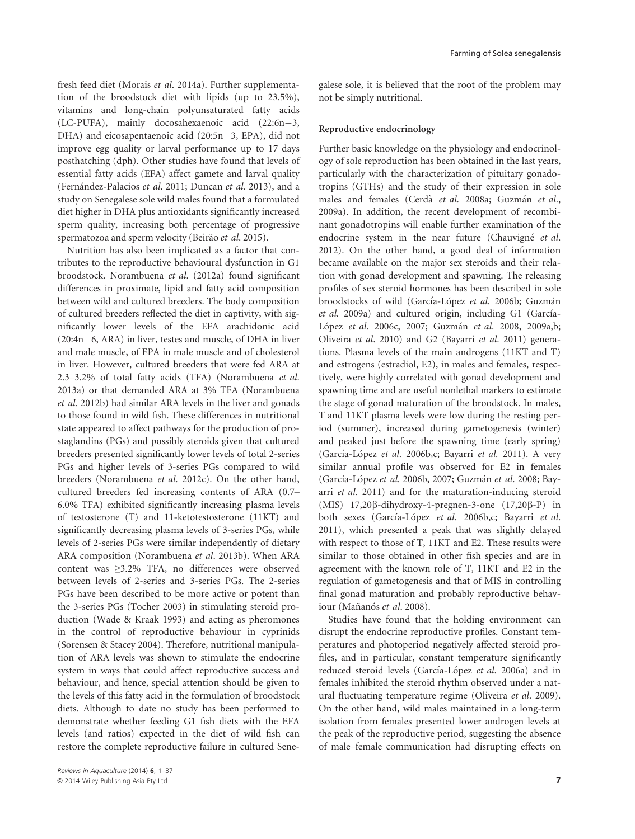fresh feed diet (Morais et al. 2014a). Further supplementation of the broodstock diet with lipids (up to 23.5%), vitamins and long-chain polyunsaturated fatty acids (LC-PUFA), mainly docosahexaenoic acid (22:6n-3, DHA) and eicosapentaenoic acid (20:5n-3, EPA), did not improve egg quality or larval performance up to 17 days posthatching (dph). Other studies have found that levels of essential fatty acids (EFA) affect gamete and larval quality (Fernández-Palacios et al. 2011; Duncan et al. 2013), and a study on Senegalese sole wild males found that a formulated diet higher in DHA plus antioxidants significantly increased sperm quality, increasing both percentage of progressive spermatozoa and sperm velocity (Beirão et al. 2015).

Nutrition has also been implicated as a factor that contributes to the reproductive behavioural dysfunction in G1 broodstock. Norambuena et al. (2012a) found significant differences in proximate, lipid and fatty acid composition between wild and cultured breeders. The body composition of cultured breeders reflected the diet in captivity, with significantly lower levels of the EFA arachidonic acid  $(20:4n-6, ARA)$  in liver, testes and muscle, of DHA in liver and male muscle, of EPA in male muscle and of cholesterol in liver. However, cultured breeders that were fed ARA at 2.3–3.2% of total fatty acids (TFA) (Norambuena et al. 2013a) or that demanded ARA at 3% TFA (Norambuena et al. 2012b) had similar ARA levels in the liver and gonads to those found in wild fish. These differences in nutritional state appeared to affect pathways for the production of prostaglandins (PGs) and possibly steroids given that cultured breeders presented significantly lower levels of total 2-series PGs and higher levels of 3-series PGs compared to wild breeders (Norambuena et al. 2012c). On the other hand, cultured breeders fed increasing contents of ARA (0.7– 6.0% TFA) exhibited significantly increasing plasma levels of testosterone (T) and 11-ketotestosterone (11KT) and significantly decreasing plasma levels of 3-series PGs, while levels of 2-series PGs were similar independently of dietary ARA composition (Norambuena et al. 2013b). When ARA content was ≥3.2% TFA, no differences were observed between levels of 2-series and 3-series PGs. The 2-series PGs have been described to be more active or potent than the 3-series PGs (Tocher 2003) in stimulating steroid production (Wade & Kraak 1993) and acting as pheromones in the control of reproductive behaviour in cyprinids (Sorensen & Stacey 2004). Therefore, nutritional manipulation of ARA levels was shown to stimulate the endocrine system in ways that could affect reproductive success and behaviour, and hence, special attention should be given to the levels of this fatty acid in the formulation of broodstock diets. Although to date no study has been performed to demonstrate whether feeding G1 fish diets with the EFA levels (and ratios) expected in the diet of wild fish can restore the complete reproductive failure in cultured Senegalese sole, it is believed that the root of the problem may not be simply nutritional.

#### Reproductive endocrinology

Further basic knowledge on the physiology and endocrinology of sole reproduction has been obtained in the last years, particularly with the characterization of pituitary gonadotropins (GTHs) and the study of their expression in sole males and females (Cerdà et al. 2008a; Guzmán et al., 2009a). In addition, the recent development of recombinant gonadotropins will enable further examination of the endocrine system in the near future (Chauvigné et al. 2012). On the other hand, a good deal of information became available on the major sex steroids and their relation with gonad development and spawning. The releasing profiles of sex steroid hormones has been described in sole broodstocks of wild (García-López et al. 2006b; Guzmán et al. 2009a) and cultured origin, including G1 (García-López et al. 2006c, 2007; Guzmán et al. 2008, 2009a,b; Oliveira et al. 2010) and G2 (Bayarri et al. 2011) generations. Plasma levels of the main androgens (11KT and T) and estrogens (estradiol, E2), in males and females, respectively, were highly correlated with gonad development and spawning time and are useful nonlethal markers to estimate the stage of gonad maturation of the broodstock. In males, T and 11KT plasma levels were low during the resting period (summer), increased during gametogenesis (winter) and peaked just before the spawning time (early spring) (García-López et al. 2006b,c; Bayarri et al. 2011). A very similar annual profile was observed for E2 in females (García-López et al. 2006b, 2007; Guzmán et al. 2008; Bayarri et al. 2011) and for the maturation-inducing steroid (MIS)  $17,20\beta$ -dihydroxy-4-pregnen-3-one  $(17,20\beta$ -P) in both sexes (García-López et al. 2006b,c; Bayarri et al. 2011), which presented a peak that was slightly delayed with respect to those of T, 11KT and E2. These results were similar to those obtained in other fish species and are in agreement with the known role of T, 11KT and E2 in the regulation of gametogenesis and that of MIS in controlling final gonad maturation and probably reproductive behaviour (Mañanós et al. 2008).

Studies have found that the holding environment can disrupt the endocrine reproductive profiles. Constant temperatures and photoperiod negatively affected steroid profiles, and in particular, constant temperature significantly reduced steroid levels (García-López et al. 2006a) and in females inhibited the steroid rhythm observed under a natural fluctuating temperature regime (Oliveira et al. 2009). On the other hand, wild males maintained in a long-term isolation from females presented lower androgen levels at the peak of the reproductive period, suggesting the absence of male–female communication had disrupting effects on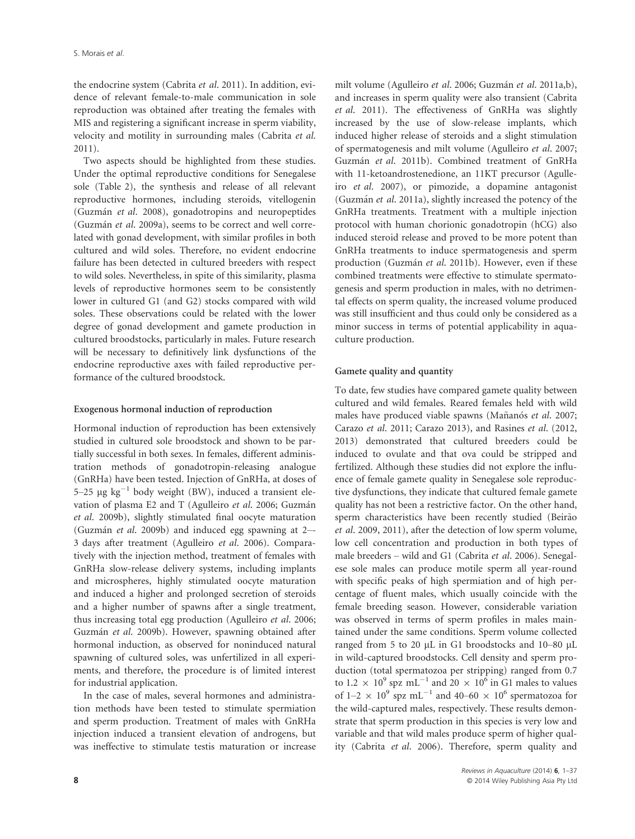the endocrine system (Cabrita et al. 2011). In addition, evidence of relevant female-to-male communication in sole reproduction was obtained after treating the females with MIS and registering a significant increase in sperm viability, velocity and motility in surrounding males (Cabrita et al. 2011).

Two aspects should be highlighted from these studies. Under the optimal reproductive conditions for Senegalese sole (Table 2), the synthesis and release of all relevant reproductive hormones, including steroids, vitellogenin (Guzman et al. 2008), gonadotropins and neuropeptides (Guzmán et al. 2009a), seems to be correct and well correlated with gonad development, with similar profiles in both cultured and wild soles. Therefore, no evident endocrine failure has been detected in cultured breeders with respect to wild soles. Nevertheless, in spite of this similarity, plasma levels of reproductive hormones seem to be consistently lower in cultured G1 (and G2) stocks compared with wild soles. These observations could be related with the lower degree of gonad development and gamete production in cultured broodstocks, particularly in males. Future research will be necessary to definitively link dysfunctions of the endocrine reproductive axes with failed reproductive performance of the cultured broodstock.

#### Exogenous hormonal induction of reproduction

Hormonal induction of reproduction has been extensively studied in cultured sole broodstock and shown to be partially successful in both sexes. In females, different administration methods of gonadotropin-releasing analogue (GnRHa) have been tested. Injection of GnRHa, at doses of 5–25  $\mu$ g kg<sup>-1</sup> body weight (BW), induced a transient elevation of plasma E2 and T (Agulleiro et al. 2006; Guzmán et al. 2009b), slightly stimulated final oocyte maturation (Guzman et al. 2009b) and induced egg spawning at 2–- 3 days after treatment (Agulleiro et al. 2006). Comparatively with the injection method, treatment of females with GnRHa slow-release delivery systems, including implants and microspheres, highly stimulated oocyte maturation and induced a higher and prolonged secretion of steroids and a higher number of spawns after a single treatment, thus increasing total egg production (Agulleiro et al. 2006; Guzmán et al. 2009b). However, spawning obtained after hormonal induction, as observed for noninduced natural spawning of cultured soles, was unfertilized in all experiments, and therefore, the procedure is of limited interest for industrial application.

In the case of males, several hormones and administration methods have been tested to stimulate spermiation and sperm production. Treatment of males with GnRHa injection induced a transient elevation of androgens, but was ineffective to stimulate testis maturation or increase

milt volume (Agulleiro et al. 2006; Guzmán et al. 2011a,b), and increases in sperm quality were also transient (Cabrita et al. 2011). The effectiveness of GnRHa was slightly increased by the use of slow-release implants, which induced higher release of steroids and a slight stimulation of spermatogenesis and milt volume (Agulleiro et al. 2007; Guzman et al. 2011b). Combined treatment of GnRHa with 11-ketoandrostenedione, an 11KT precursor (Agulleiro et al. 2007), or pimozide, a dopamine antagonist (Guzmán et al. 2011a), slightly increased the potency of the GnRHa treatments. Treatment with a multiple injection protocol with human chorionic gonadotropin (hCG) also induced steroid release and proved to be more potent than GnRHa treatments to induce spermatogenesis and sperm production (Guzmán et al. 2011b). However, even if these combined treatments were effective to stimulate spermatogenesis and sperm production in males, with no detrimental effects on sperm quality, the increased volume produced was still insufficient and thus could only be considered as a minor success in terms of potential applicability in aquaculture production.

#### Gamete quality and quantity

To date, few studies have compared gamete quality between cultured and wild females. Reared females held with wild males have produced viable spawns (Mañanós et al. 2007; Carazo et al. 2011; Carazo 2013), and Rasines et al. (2012, 2013) demonstrated that cultured breeders could be induced to ovulate and that ova could be stripped and fertilized. Although these studies did not explore the influence of female gamete quality in Senegalese sole reproductive dysfunctions, they indicate that cultured female gamete quality has not been a restrictive factor. On the other hand, sperm characteristics have been recently studied (Beirão et al. 2009, 2011), after the detection of low sperm volume, low cell concentration and production in both types of male breeders – wild and G1 (Cabrita et al. 2006). Senegalese sole males can produce motile sperm all year-round with specific peaks of high spermiation and of high percentage of fluent males, which usually coincide with the female breeding season. However, considerable variation was observed in terms of sperm profiles in males maintained under the same conditions. Sperm volume collected ranged from 5 to 20  $\mu$ L in G1 broodstocks and 10–80  $\mu$ L in wild-captured broodstocks. Cell density and sperm production (total spermatozoa per stripping) ranged from 0.7 to 1.2  $\times$  10<sup>9</sup> spz mL<sup>-1</sup> and 20  $\times$  10<sup>6</sup> in G1 males to values of 1–2  $\times$  10<sup>9</sup> spz mL<sup>-1</sup> and 40–60  $\times$  10<sup>6</sup> spermatozoa for the wild-captured males, respectively. These results demonstrate that sperm production in this species is very low and variable and that wild males produce sperm of higher quality (Cabrita et al. 2006). Therefore, sperm quality and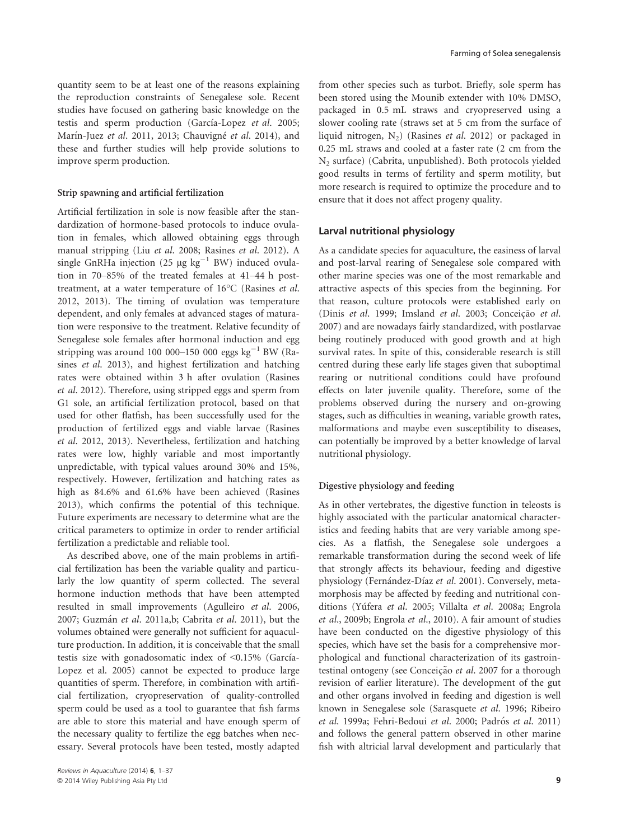quantity seem to be at least one of the reasons explaining the reproduction constraints of Senegalese sole. Recent studies have focused on gathering basic knowledge on the testis and sperm production (García-Lopez et al. 2005; Marín-Juez et al. 2011, 2013; Chauvigné et al. 2014), and these and further studies will help provide solutions to improve sperm production.

#### Strip spawning and artificial fertilization

Artificial fertilization in sole is now feasible after the standardization of hormone-based protocols to induce ovulation in females, which allowed obtaining eggs through manual stripping (Liu et al. 2008; Rasines et al. 2012). A single GnRHa injection (25  $\mu$ g kg<sup>-1</sup> BW) induced ovulation in 70–85% of the treated females at 41–44 h posttreatment, at a water temperature of 16°C (Rasines et al. 2012, 2013). The timing of ovulation was temperature dependent, and only females at advanced stages of maturation were responsive to the treatment. Relative fecundity of Senegalese sole females after hormonal induction and egg stripping was around 100 000–150 000 eggs  $kg^{-1}$  BW (Rasines et al. 2013), and highest fertilization and hatching rates were obtained within 3 h after ovulation (Rasines et al. 2012). Therefore, using stripped eggs and sperm from G1 sole, an artificial fertilization protocol, based on that used for other flatfish, has been successfully used for the production of fertilized eggs and viable larvae (Rasines et al. 2012, 2013). Nevertheless, fertilization and hatching rates were low, highly variable and most importantly unpredictable, with typical values around 30% and 15%, respectively. However, fertilization and hatching rates as high as 84.6% and 61.6% have been achieved (Rasines 2013), which confirms the potential of this technique. Future experiments are necessary to determine what are the critical parameters to optimize in order to render artificial fertilization a predictable and reliable tool.

As described above, one of the main problems in artificial fertilization has been the variable quality and particularly the low quantity of sperm collected. The several hormone induction methods that have been attempted resulted in small improvements (Agulleiro et al. 2006, 2007; Guzmán et al. 2011a,b; Cabrita et al. 2011), but the volumes obtained were generally not sufficient for aquaculture production. In addition, it is conceivable that the small testis size with gonadosomatic index of  $\leq 0.15\%$  (García-Lopez et al. 2005) cannot be expected to produce large quantities of sperm. Therefore, in combination with artificial fertilization, cryopreservation of quality-controlled sperm could be used as a tool to guarantee that fish farms are able to store this material and have enough sperm of the necessary quality to fertilize the egg batches when necessary. Several protocols have been tested, mostly adapted

from other species such as turbot. Briefly, sole sperm has been stored using the Mounib extender with 10% DMSO, packaged in 0.5 mL straws and cryopreserved using a slower cooling rate (straws set at 5 cm from the surface of liquid nitrogen,  $N_2$ ) (Rasines *et al.* 2012) or packaged in 0.25 mL straws and cooled at a faster rate (2 cm from the  $N<sub>2</sub>$  surface) (Cabrita, unpublished). Both protocols yielded good results in terms of fertility and sperm motility, but more research is required to optimize the procedure and to ensure that it does not affect progeny quality.

#### Larval nutritional physiology

As a candidate species for aquaculture, the easiness of larval and post-larval rearing of Senegalese sole compared with other marine species was one of the most remarkable and attractive aspects of this species from the beginning. For that reason, culture protocols were established early on (Dinis et al. 1999; Imsland et al. 2003; Conceição et al. 2007) and are nowadays fairly standardized, with postlarvae being routinely produced with good growth and at high survival rates. In spite of this, considerable research is still centred during these early life stages given that suboptimal rearing or nutritional conditions could have profound effects on later juvenile quality. Therefore, some of the problems observed during the nursery and on-growing stages, such as difficulties in weaning, variable growth rates, malformations and maybe even susceptibility to diseases, can potentially be improved by a better knowledge of larval nutritional physiology.

#### Digestive physiology and feeding

As in other vertebrates, the digestive function in teleosts is highly associated with the particular anatomical characteristics and feeding habits that are very variable among species. As a flatfish, the Senegalese sole undergoes a remarkable transformation during the second week of life that strongly affects its behaviour, feeding and digestive physiology (Fernández-Díaz et al. 2001). Conversely, metamorphosis may be affected by feeding and nutritional conditions (Yúfera et al. 2005; Villalta et al. 2008a; Engrola et al., 2009b; Engrola et al., 2010). A fair amount of studies have been conducted on the digestive physiology of this species, which have set the basis for a comprehensive morphological and functional characterization of its gastrointestinal ontogeny (see Conceição et al. 2007 for a thorough revision of earlier literature). The development of the gut and other organs involved in feeding and digestion is well known in Senegalese sole (Sarasquete et al. 1996; Ribeiro et al. 1999a; Fehri-Bedoui et al. 2000; Padrós et al. 2011) and follows the general pattern observed in other marine fish with altricial larval development and particularly that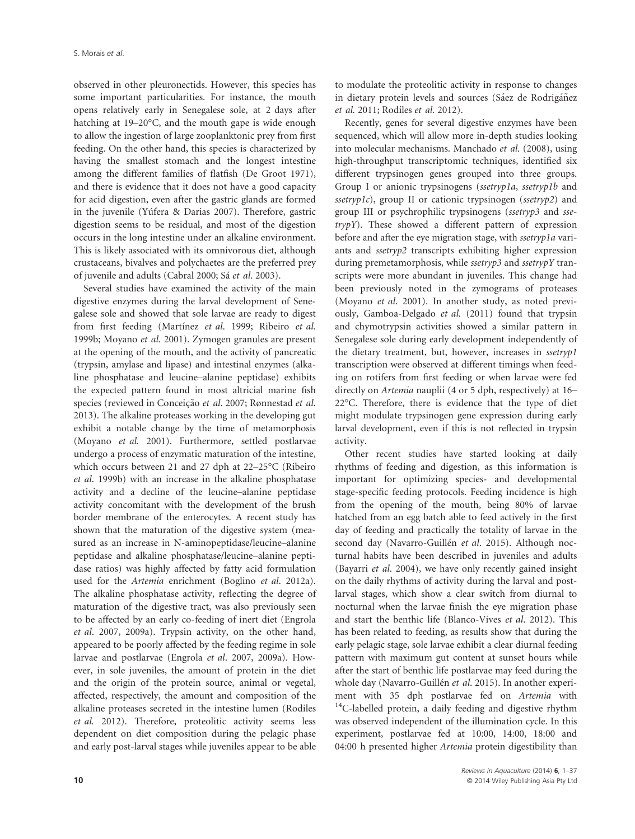observed in other pleuronectids. However, this species has some important particularities. For instance, the mouth opens relatively early in Senegalese sole, at 2 days after hatching at 19–20°C, and the mouth gape is wide enough to allow the ingestion of large zooplanktonic prey from first feeding. On the other hand, this species is characterized by having the smallest stomach and the longest intestine among the different families of flatfish (De Groot 1971), and there is evidence that it does not have a good capacity for acid digestion, even after the gastric glands are formed in the juvenile (Yúfera & Darias 2007). Therefore, gastric digestion seems to be residual, and most of the digestion occurs in the long intestine under an alkaline environment. This is likely associated with its omnivorous diet, although crustaceans, bivalves and polychaetes are the preferred prey of juvenile and adults (Cabral 2000; Sá et al. 2003).

Several studies have examined the activity of the main digestive enzymes during the larval development of Senegalese sole and showed that sole larvae are ready to digest from first feeding (Martínez et al. 1999; Ribeiro et al. 1999b; Moyano et al. 2001). Zymogen granules are present at the opening of the mouth, and the activity of pancreatic (trypsin, amylase and lipase) and intestinal enzymes (alkaline phosphatase and leucine–alanine peptidase) exhibits the expected pattern found in most altricial marine fish species (reviewed in Conceição et al. 2007; Rønnestad et al. 2013). The alkaline proteases working in the developing gut exhibit a notable change by the time of metamorphosis (Moyano et al. 2001). Furthermore, settled postlarvae undergo a process of enzymatic maturation of the intestine, which occurs between 21 and 27 dph at 22–25°C (Ribeiro et al. 1999b) with an increase in the alkaline phosphatase activity and a decline of the leucine–alanine peptidase activity concomitant with the development of the brush border membrane of the enterocytes. A recent study has shown that the maturation of the digestive system (measured as an increase in N-aminopeptidase/leucine–alanine peptidase and alkaline phosphatase/leucine–alanine peptidase ratios) was highly affected by fatty acid formulation used for the Artemia enrichment (Boglino et al. 2012a). The alkaline phosphatase activity, reflecting the degree of maturation of the digestive tract, was also previously seen to be affected by an early co-feeding of inert diet (Engrola et al. 2007, 2009a). Trypsin activity, on the other hand, appeared to be poorly affected by the feeding regime in sole larvae and postlarvae (Engrola et al. 2007, 2009a). However, in sole juveniles, the amount of protein in the diet and the origin of the protein source, animal or vegetal, affected, respectively, the amount and composition of the alkaline proteases secreted in the intestine lumen (Rodiles et al. 2012). Therefore, proteolitic activity seems less dependent on diet composition during the pelagic phase and early post-larval stages while juveniles appear to be able to modulate the proteolitic activity in response to changes in dietary protein levels and sources (Sáez de Rodrigáñez et al. 2011; Rodiles et al. 2012).

Recently, genes for several digestive enzymes have been sequenced, which will allow more in-depth studies looking into molecular mechanisms. Manchado et al. (2008), using high-throughput transcriptomic techniques, identified six different trypsinogen genes grouped into three groups. Group I or anionic trypsinogens (ssetryp1a, ssetryp1b and ssetryp1c), group II or cationic trypsinogen (ssetryp2) and group III or psychrophilic trypsinogens (ssetryp3 and ssetrypY). These showed a different pattern of expression before and after the eye migration stage, with ssetryp1a variants and ssetryp2 transcripts exhibiting higher expression during premetamorphosis, while ssetryp3 and ssetrypY transcripts were more abundant in juveniles. This change had been previously noted in the zymograms of proteases (Moyano et al. 2001). In another study, as noted previously, Gamboa-Delgado et al. (2011) found that trypsin and chymotrypsin activities showed a similar pattern in Senegalese sole during early development independently of the dietary treatment, but, however, increases in ssetryp1 transcription were observed at different timings when feeding on rotifers from first feeding or when larvae were fed directly on Artemia nauplii (4 or 5 dph, respectively) at 16– 22°C. Therefore, there is evidence that the type of diet might modulate trypsinogen gene expression during early larval development, even if this is not reflected in trypsin activity.

Other recent studies have started looking at daily rhythms of feeding and digestion, as this information is important for optimizing species- and developmental stage-specific feeding protocols. Feeding incidence is high from the opening of the mouth, being 80% of larvae hatched from an egg batch able to feed actively in the first day of feeding and practically the totality of larvae in the second day (Navarro-Guillén et al. 2015). Although nocturnal habits have been described in juveniles and adults (Bayarri et al. 2004), we have only recently gained insight on the daily rhythms of activity during the larval and postlarval stages, which show a clear switch from diurnal to nocturnal when the larvae finish the eye migration phase and start the benthic life (Blanco-Vives et al. 2012). This has been related to feeding, as results show that during the early pelagic stage, sole larvae exhibit a clear diurnal feeding pattern with maximum gut content at sunset hours while after the start of benthic life postlarvae may feed during the whole day (Navarro-Guillén et al. 2015). In another experiment with 35 dph postlarvae fed on Artemia with  $14$ C-labelled protein, a daily feeding and digestive rhythm was observed independent of the illumination cycle. In this experiment, postlarvae fed at 10:00, 14:00, 18:00 and 04:00 h presented higher Artemia protein digestibility than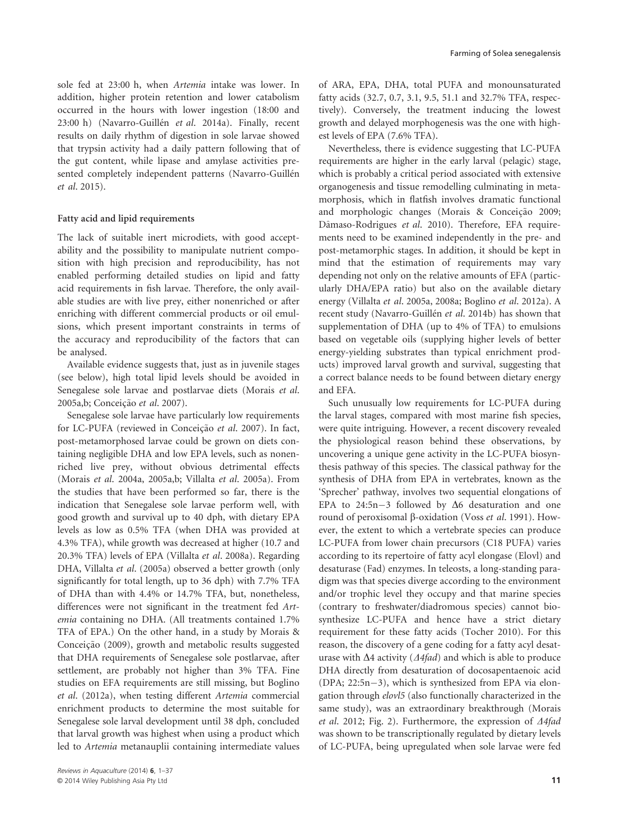sole fed at 23:00 h, when Artemia intake was lower. In addition, higher protein retention and lower catabolism occurred in the hours with lower ingestion (18:00 and 23:00 h) (Navarro-Guillén et al. 2014a). Finally, recent results on daily rhythm of digestion in sole larvae showed that trypsin activity had a daily pattern following that of the gut content, while lipase and amylase activities presented completely independent patterns (Navarro-Guillén et al. 2015).

#### Fatty acid and lipid requirements

The lack of suitable inert microdiets, with good acceptability and the possibility to manipulate nutrient composition with high precision and reproducibility, has not enabled performing detailed studies on lipid and fatty acid requirements in fish larvae. Therefore, the only available studies are with live prey, either nonenriched or after enriching with different commercial products or oil emulsions, which present important constraints in terms of the accuracy and reproducibility of the factors that can be analysed.

Available evidence suggests that, just as in juvenile stages (see below), high total lipid levels should be avoided in Senegalese sole larvae and postlarvae diets (Morais et al. 2005a,b; Conceição et al. 2007).

Senegalese sole larvae have particularly low requirements for LC-PUFA (reviewed in Conceição et al. 2007). In fact, post-metamorphosed larvae could be grown on diets containing negligible DHA and low EPA levels, such as nonenriched live prey, without obvious detrimental effects (Morais et al. 2004a, 2005a,b; Villalta et al. 2005a). From the studies that have been performed so far, there is the indication that Senegalese sole larvae perform well, with good growth and survival up to 40 dph, with dietary EPA levels as low as 0.5% TFA (when DHA was provided at 4.3% TFA), while growth was decreased at higher (10.7 and 20.3% TFA) levels of EPA (Villalta et al. 2008a). Regarding DHA, Villalta et al. (2005a) observed a better growth (only significantly for total length, up to 36 dph) with 7.7% TFA of DHA than with 4.4% or 14.7% TFA, but, nonetheless, differences were not significant in the treatment fed Artemia containing no DHA. (All treatments contained 1.7% TFA of EPA.) On the other hand, in a study by Morais & Conceição (2009), growth and metabolic results suggested that DHA requirements of Senegalese sole postlarvae, after settlement, are probably not higher than 3% TFA. Fine studies on EFA requirements are still missing, but Boglino et al. (2012a), when testing different Artemia commercial enrichment products to determine the most suitable for Senegalese sole larval development until 38 dph, concluded that larval growth was highest when using a product which led to Artemia metanauplii containing intermediate values

of ARA, EPA, DHA, total PUFA and monounsaturated fatty acids (32.7, 0.7, 3.1, 9.5, 51.1 and 32.7% TFA, respectively). Conversely, the treatment inducing the lowest growth and delayed morphogenesis was the one with highest levels of EPA (7.6% TFA).

Nevertheless, there is evidence suggesting that LC-PUFA requirements are higher in the early larval (pelagic) stage, which is probably a critical period associated with extensive organogenesis and tissue remodelling culminating in metamorphosis, which in flatfish involves dramatic functional and morphologic changes (Morais & Conceição 2009; Dâmaso-Rodrigues et al. 2010). Therefore, EFA requirements need to be examined independently in the pre- and post-metamorphic stages. In addition, it should be kept in mind that the estimation of requirements may vary depending not only on the relative amounts of EFA (particularly DHA/EPA ratio) but also on the available dietary energy (Villalta et al. 2005a, 2008a; Boglino et al. 2012a). A recent study (Navarro-Guillén et al. 2014b) has shown that supplementation of DHA (up to 4% of TFA) to emulsions based on vegetable oils (supplying higher levels of better energy-yielding substrates than typical enrichment products) improved larval growth and survival, suggesting that a correct balance needs to be found between dietary energy and EFA.

Such unusually low requirements for LC-PUFA during the larval stages, compared with most marine fish species, were quite intriguing. However, a recent discovery revealed the physiological reason behind these observations, by uncovering a unique gene activity in the LC-PUFA biosynthesis pathway of this species. The classical pathway for the synthesis of DHA from EPA in vertebrates, known as the 'Sprecher' pathway, involves two sequential elongations of EPA to 24:5n-3 followed by  $\Delta 6$  desaturation and one round of peroxisomal  $\beta$ -oxidation (Voss et al. 1991). However, the extent to which a vertebrate species can produce LC-PUFA from lower chain precursors (C18 PUFA) varies according to its repertoire of fatty acyl elongase (Elovl) and desaturase (Fad) enzymes. In teleosts, a long-standing paradigm was that species diverge according to the environment and/or trophic level they occupy and that marine species (contrary to freshwater/diadromous species) cannot biosynthesize LC-PUFA and hence have a strict dietary requirement for these fatty acids (Tocher 2010). For this reason, the discovery of a gene coding for a fatty acyl desaturase with  $\Delta 4$  activity ( $\Delta 4$ fad) and which is able to produce DHA directly from desaturation of docosapentaenoic acid  $(DPA; 22:5n-3)$ , which is synthesized from EPA via elongation through elovl5 (also functionally characterized in the same study), was an extraordinary breakthrough (Morais et al. 2012; Fig. 2). Furthermore, the expression of  $\Delta 4$ fad was shown to be transcriptionally regulated by dietary levels of LC-PUFA, being upregulated when sole larvae were fed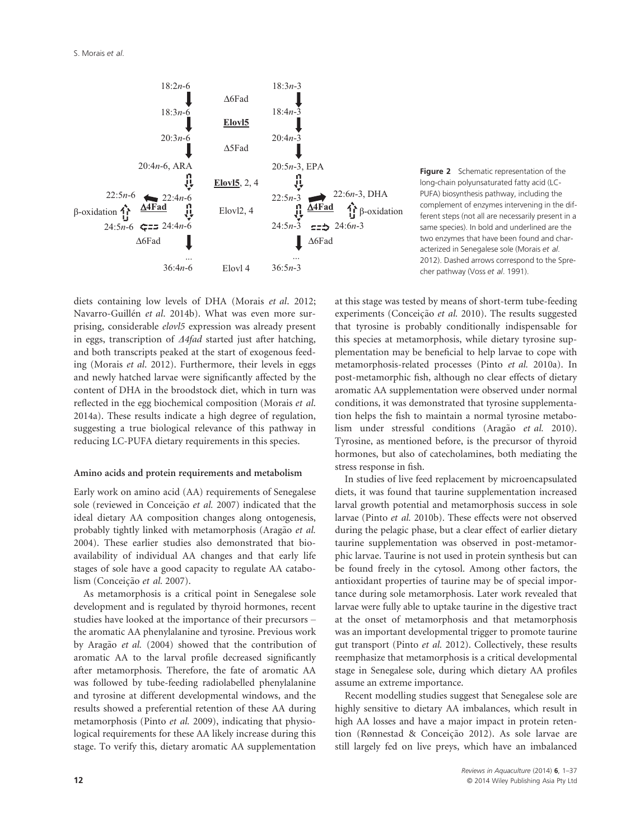

**Figure 2** Schematic representation of the long-chain polyunsaturated fatty acid (LC-PUFA) biosynthesis pathway, including the complement of enzymes intervening in the different steps (not all are necessarily present in a same species). In bold and underlined are the two enzymes that have been found and characterized in Senegalese sole (Morais et al. 2012). Dashed arrows correspond to the Sprecher pathway (Voss et al. 1991).

diets containing low levels of DHA (Morais et al. 2012; Navarro-Guillén et al. 2014b). What was even more surprising, considerable elovl5 expression was already present in eggs, transcription of  $\Delta 4$ fad started just after hatching, and both transcripts peaked at the start of exogenous feeding (Morais et al. 2012). Furthermore, their levels in eggs and newly hatched larvae were significantly affected by the content of DHA in the broodstock diet, which in turn was reflected in the egg biochemical composition (Morais et al. 2014a). These results indicate a high degree of regulation, suggesting a true biological relevance of this pathway in reducing LC-PUFA dietary requirements in this species.

#### Amino acids and protein requirements and metabolism

Early work on amino acid (AA) requirements of Senegalese sole (reviewed in Conceição et al. 2007) indicated that the ideal dietary AA composition changes along ontogenesis, probably tightly linked with metamorphosis (Aragão et al. 2004). These earlier studies also demonstrated that bioavailability of individual AA changes and that early life stages of sole have a good capacity to regulate AA catabolism (Conceição et al. 2007).

As metamorphosis is a critical point in Senegalese sole development and is regulated by thyroid hormones, recent studies have looked at the importance of their precursors – the aromatic AA phenylalanine and tyrosine. Previous work by Aragão et al. (2004) showed that the contribution of aromatic AA to the larval profile decreased significantly after metamorphosis. Therefore, the fate of aromatic AA was followed by tube-feeding radiolabelled phenylalanine and tyrosine at different developmental windows, and the results showed a preferential retention of these AA during metamorphosis (Pinto et al. 2009), indicating that physiological requirements for these AA likely increase during this stage. To verify this, dietary aromatic AA supplementation

at this stage was tested by means of short-term tube-feeding experiments (Conceição et al. 2010). The results suggested that tyrosine is probably conditionally indispensable for this species at metamorphosis, while dietary tyrosine supplementation may be beneficial to help larvae to cope with metamorphosis-related processes (Pinto et al. 2010a). In post-metamorphic fish, although no clear effects of dietary aromatic AA supplementation were observed under normal conditions, it was demonstrated that tyrosine supplementation helps the fish to maintain a normal tyrosine metabolism under stressful conditions (Aragão et al. 2010). Tyrosine, as mentioned before, is the precursor of thyroid hormones, but also of catecholamines, both mediating the stress response in fish.

In studies of live feed replacement by microencapsulated diets, it was found that taurine supplementation increased larval growth potential and metamorphosis success in sole larvae (Pinto et al. 2010b). These effects were not observed during the pelagic phase, but a clear effect of earlier dietary taurine supplementation was observed in post-metamorphic larvae. Taurine is not used in protein synthesis but can be found freely in the cytosol. Among other factors, the antioxidant properties of taurine may be of special importance during sole metamorphosis. Later work revealed that larvae were fully able to uptake taurine in the digestive tract at the onset of metamorphosis and that metamorphosis was an important developmental trigger to promote taurine gut transport (Pinto et al. 2012). Collectively, these results reemphasize that metamorphosis is a critical developmental stage in Senegalese sole, during which dietary AA profiles assume an extreme importance.

Recent modelling studies suggest that Senegalese sole are highly sensitive to dietary AA imbalances, which result in high AA losses and have a major impact in protein retention (Rønnestad & Conceição 2012). As sole larvae are still largely fed on live preys, which have an imbalanced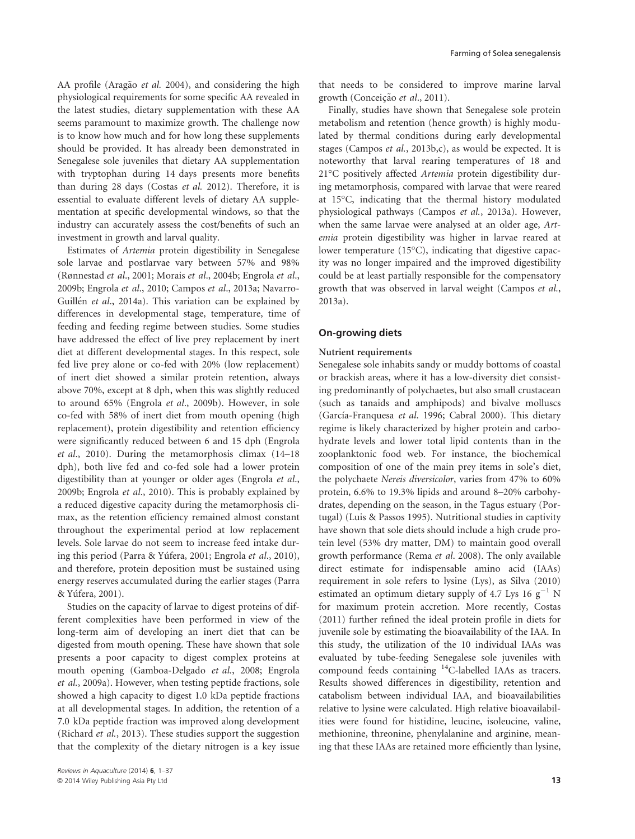AA profile (Aragão et al. 2004), and considering the high physiological requirements for some specific AA revealed in the latest studies, dietary supplementation with these AA seems paramount to maximize growth. The challenge now is to know how much and for how long these supplements should be provided. It has already been demonstrated in Senegalese sole juveniles that dietary AA supplementation with tryptophan during 14 days presents more benefits than during 28 days (Costas et al. 2012). Therefore, it is essential to evaluate different levels of dietary AA supplementation at specific developmental windows, so that the industry can accurately assess the cost/benefits of such an investment in growth and larval quality.

Estimates of Artemia protein digestibility in Senegalese sole larvae and postlarvae vary between 57% and 98% (Rønnestad et al., 2001; Morais et al., 2004b; Engrola et al., 2009b; Engrola et al., 2010; Campos et al., 2013a; Navarro-Guillén et al., 2014a). This variation can be explained by differences in developmental stage, temperature, time of feeding and feeding regime between studies. Some studies have addressed the effect of live prey replacement by inert diet at different developmental stages. In this respect, sole fed live prey alone or co-fed with 20% (low replacement) of inert diet showed a similar protein retention, always above 70%, except at 8 dph, when this was slightly reduced to around 65% (Engrola et al., 2009b). However, in sole co-fed with 58% of inert diet from mouth opening (high replacement), protein digestibility and retention efficiency were significantly reduced between 6 and 15 dph (Engrola et al., 2010). During the metamorphosis climax (14–18 dph), both live fed and co-fed sole had a lower protein digestibility than at younger or older ages (Engrola et al., 2009b; Engrola et al., 2010). This is probably explained by a reduced digestive capacity during the metamorphosis climax, as the retention efficiency remained almost constant throughout the experimental period at low replacement levels. Sole larvae do not seem to increase feed intake during this period (Parra & Yufera, 2001; Engrola et al., 2010), and therefore, protein deposition must be sustained using energy reserves accumulated during the earlier stages (Parra & Yufera, 2001).

Studies on the capacity of larvae to digest proteins of different complexities have been performed in view of the long-term aim of developing an inert diet that can be digested from mouth opening. These have shown that sole presents a poor capacity to digest complex proteins at mouth opening (Gamboa-Delgado et al., 2008; Engrola et al., 2009a). However, when testing peptide fractions, sole showed a high capacity to digest 1.0 kDa peptide fractions at all developmental stages. In addition, the retention of a 7.0 kDa peptide fraction was improved along development (Richard et al., 2013). These studies support the suggestion that the complexity of the dietary nitrogen is a key issue

that needs to be considered to improve marine larval growth (Conceição et al., 2011).

Finally, studies have shown that Senegalese sole protein metabolism and retention (hence growth) is highly modulated by thermal conditions during early developmental stages (Campos et al., 2013b,c), as would be expected. It is noteworthy that larval rearing temperatures of 18 and 21°C positively affected Artemia protein digestibility during metamorphosis, compared with larvae that were reared at 15°C, indicating that the thermal history modulated physiological pathways (Campos et al., 2013a). However, when the same larvae were analysed at an older age, Artemia protein digestibility was higher in larvae reared at lower temperature (15°C), indicating that digestive capacity was no longer impaired and the improved digestibility could be at least partially responsible for the compensatory growth that was observed in larval weight (Campos et al., 2013a).

#### On-growing diets

#### Nutrient requirements

Senegalese sole inhabits sandy or muddy bottoms of coastal or brackish areas, where it has a low-diversity diet consisting predominantly of polychaetes, but also small crustacean (such as tanaids and amphipods) and bivalve molluscs (García-Franquesa et al. 1996; Cabral 2000). This dietary regime is likely characterized by higher protein and carbohydrate levels and lower total lipid contents than in the zooplanktonic food web. For instance, the biochemical composition of one of the main prey items in sole's diet, the polychaete Nereis diversicolor, varies from 47% to 60% protein, 6.6% to 19.3% lipids and around 8–20% carbohydrates, depending on the season, in the Tagus estuary (Portugal) (Luis & Passos 1995). Nutritional studies in captivity have shown that sole diets should include a high crude protein level (53% dry matter, DM) to maintain good overall growth performance (Rema et al. 2008). The only available direct estimate for indispensable amino acid (IAAs) requirement in sole refers to lysine (Lys), as Silva (2010) estimated an optimum dietary supply of 4.7 Lys 16  $g^{-1}$  N for maximum protein accretion. More recently, Costas (2011) further refined the ideal protein profile in diets for juvenile sole by estimating the bioavailability of the IAA. In this study, the utilization of the 10 individual IAAs was evaluated by tube-feeding Senegalese sole juveniles with compound feeds containing 14C-labelled IAAs as tracers. Results showed differences in digestibility, retention and catabolism between individual IAA, and bioavailabilities relative to lysine were calculated. High relative bioavailabilities were found for histidine, leucine, isoleucine, valine, methionine, threonine, phenylalanine and arginine, meaning that these IAAs are retained more efficiently than lysine,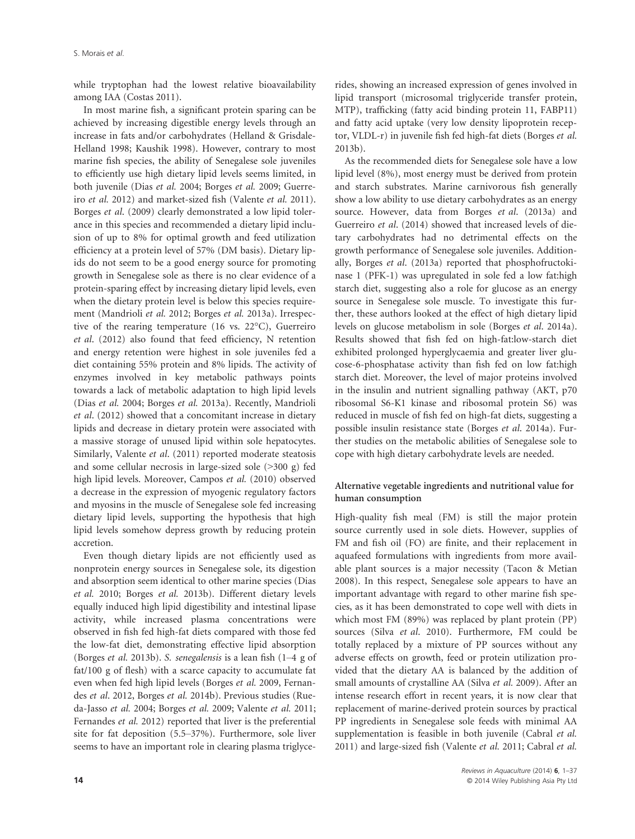while tryptophan had the lowest relative bioavailability among IAA (Costas 2011).

In most marine fish, a significant protein sparing can be achieved by increasing digestible energy levels through an increase in fats and/or carbohydrates (Helland & Grisdale-Helland 1998; Kaushik 1998). However, contrary to most marine fish species, the ability of Senegalese sole juveniles to efficiently use high dietary lipid levels seems limited, in both juvenile (Dias et al. 2004; Borges et al. 2009; Guerreiro et al. 2012) and market-sized fish (Valente et al. 2011). Borges et al. (2009) clearly demonstrated a low lipid tolerance in this species and recommended a dietary lipid inclusion of up to 8% for optimal growth and feed utilization efficiency at a protein level of 57% (DM basis). Dietary lipids do not seem to be a good energy source for promoting growth in Senegalese sole as there is no clear evidence of a protein-sparing effect by increasing dietary lipid levels, even when the dietary protein level is below this species requirement (Mandrioli et al. 2012; Borges et al. 2013a). Irrespective of the rearing temperature (16 vs. 22°C), Guerreiro et al. (2012) also found that feed efficiency, N retention and energy retention were highest in sole juveniles fed a diet containing 55% protein and 8% lipids. The activity of enzymes involved in key metabolic pathways points towards a lack of metabolic adaptation to high lipid levels (Dias et al. 2004; Borges et al. 2013a). Recently, Mandrioli et al. (2012) showed that a concomitant increase in dietary lipids and decrease in dietary protein were associated with a massive storage of unused lipid within sole hepatocytes. Similarly, Valente et al. (2011) reported moderate steatosis and some cellular necrosis in large-sized sole (>300 g) fed high lipid levels. Moreover, Campos et al. (2010) observed a decrease in the expression of myogenic regulatory factors and myosins in the muscle of Senegalese sole fed increasing dietary lipid levels, supporting the hypothesis that high lipid levels somehow depress growth by reducing protein accretion.

Even though dietary lipids are not efficiently used as nonprotein energy sources in Senegalese sole, its digestion and absorption seem identical to other marine species (Dias et al. 2010; Borges et al. 2013b). Different dietary levels equally induced high lipid digestibility and intestinal lipase activity, while increased plasma concentrations were observed in fish fed high-fat diets compared with those fed the low-fat diet, demonstrating effective lipid absorption (Borges et al. 2013b). S. senegalensis is a lean fish (1–4 g of fat/100 g of flesh) with a scarce capacity to accumulate fat even when fed high lipid levels (Borges et al. 2009, Fernandes et al. 2012, Borges et al. 2014b). Previous studies (Rueda-Jasso et al. 2004; Borges et al. 2009; Valente et al. 2011; Fernandes et al. 2012) reported that liver is the preferential site for fat deposition (5.5–37%). Furthermore, sole liver seems to have an important role in clearing plasma triglycerides, showing an increased expression of genes involved in lipid transport (microsomal triglyceride transfer protein, MTP), trafficking (fatty acid binding protein 11, FABP11) and fatty acid uptake (very low density lipoprotein receptor, VLDL-r) in juvenile fish fed high-fat diets (Borges et al. 2013b).

As the recommended diets for Senegalese sole have a low lipid level (8%), most energy must be derived from protein and starch substrates. Marine carnivorous fish generally show a low ability to use dietary carbohydrates as an energy source. However, data from Borges et al. (2013a) and Guerreiro et al. (2014) showed that increased levels of dietary carbohydrates had no detrimental effects on the growth performance of Senegalese sole juveniles. Additionally, Borges et al. (2013a) reported that phosphofructokinase 1 (PFK-1) was upregulated in sole fed a low fat:high starch diet, suggesting also a role for glucose as an energy source in Senegalese sole muscle. To investigate this further, these authors looked at the effect of high dietary lipid levels on glucose metabolism in sole (Borges et al. 2014a). Results showed that fish fed on high-fat:low-starch diet exhibited prolonged hyperglycaemia and greater liver glucose-6-phosphatase activity than fish fed on low fat:high starch diet. Moreover, the level of major proteins involved in the insulin and nutrient signalling pathway (AKT, p70 ribosomal S6-K1 kinase and ribosomal protein S6) was reduced in muscle of fish fed on high-fat diets, suggesting a possible insulin resistance state (Borges et al. 2014a). Further studies on the metabolic abilities of Senegalese sole to cope with high dietary carbohydrate levels are needed.

#### Alternative vegetable ingredients and nutritional value for human consumption

High-quality fish meal (FM) is still the major protein source currently used in sole diets. However, supplies of FM and fish oil (FO) are finite, and their replacement in aquafeed formulations with ingredients from more available plant sources is a major necessity (Tacon & Metian 2008). In this respect, Senegalese sole appears to have an important advantage with regard to other marine fish species, as it has been demonstrated to cope well with diets in which most FM (89%) was replaced by plant protein (PP) sources (Silva et al. 2010). Furthermore, FM could be totally replaced by a mixture of PP sources without any adverse effects on growth, feed or protein utilization provided that the dietary AA is balanced by the addition of small amounts of crystalline AA (Silva et al. 2009). After an intense research effort in recent years, it is now clear that replacement of marine-derived protein sources by practical PP ingredients in Senegalese sole feeds with minimal AA supplementation is feasible in both juvenile (Cabral et al. 2011) and large-sized fish (Valente et al. 2011; Cabral et al.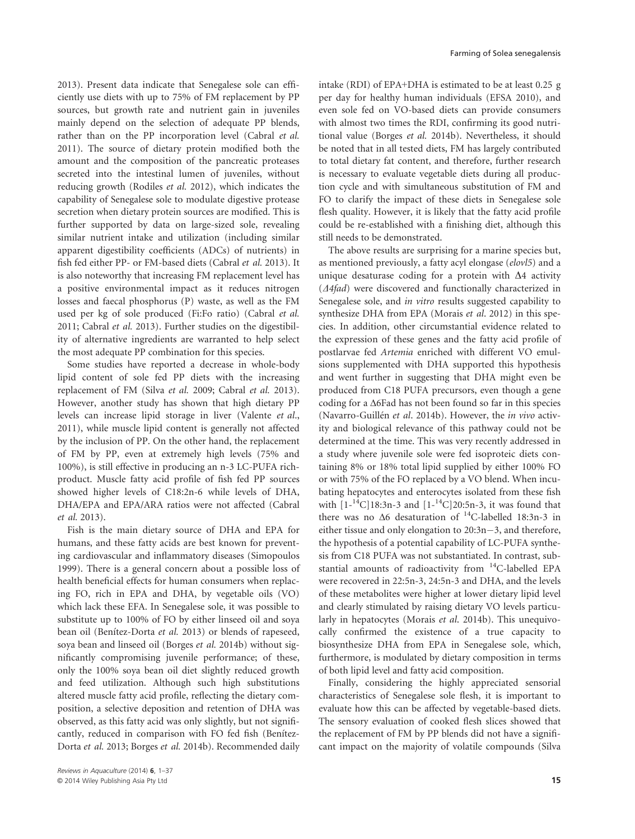2013). Present data indicate that Senegalese sole can efficiently use diets with up to 75% of FM replacement by PP sources, but growth rate and nutrient gain in juveniles mainly depend on the selection of adequate PP blends, rather than on the PP incorporation level (Cabral et al. 2011). The source of dietary protein modified both the amount and the composition of the pancreatic proteases secreted into the intestinal lumen of juveniles, without reducing growth (Rodiles et al. 2012), which indicates the capability of Senegalese sole to modulate digestive protease secretion when dietary protein sources are modified. This is further supported by data on large-sized sole, revealing similar nutrient intake and utilization (including similar apparent digestibility coefficients (ADCs) of nutrients) in fish fed either PP- or FM-based diets (Cabral et al. 2013). It is also noteworthy that increasing FM replacement level has a positive environmental impact as it reduces nitrogen losses and faecal phosphorus (P) waste, as well as the FM used per kg of sole produced (Fi:Fo ratio) (Cabral et al. 2011; Cabral et al. 2013). Further studies on the digestibility of alternative ingredients are warranted to help select the most adequate PP combination for this species.

Some studies have reported a decrease in whole-body lipid content of sole fed PP diets with the increasing replacement of FM (Silva et al. 2009; Cabral et al. 2013). However, another study has shown that high dietary PP levels can increase lipid storage in liver (Valente et al., 2011), while muscle lipid content is generally not affected by the inclusion of PP. On the other hand, the replacement of FM by PP, even at extremely high levels (75% and 100%), is still effective in producing an n-3 LC-PUFA richproduct. Muscle fatty acid profile of fish fed PP sources showed higher levels of C18:2n-6 while levels of DHA, DHA/EPA and EPA/ARA ratios were not affected (Cabral et al. 2013).

Fish is the main dietary source of DHA and EPA for humans, and these fatty acids are best known for preventing cardiovascular and inflammatory diseases (Simopoulos 1999). There is a general concern about a possible loss of health beneficial effects for human consumers when replacing FO, rich in EPA and DHA, by vegetable oils (VO) which lack these EFA. In Senegalese sole, it was possible to substitute up to 100% of FO by either linseed oil and soya bean oil (Benítez-Dorta et al. 2013) or blends of rapeseed, soya bean and linseed oil (Borges et al. 2014b) without significantly compromising juvenile performance; of these, only the 100% soya bean oil diet slightly reduced growth and feed utilization. Although such high substitutions altered muscle fatty acid profile, reflecting the dietary composition, a selective deposition and retention of DHA was observed, as this fatty acid was only slightly, but not significantly, reduced in comparison with FO fed fish (Benítez-Dorta et al. 2013; Borges et al. 2014b). Recommended daily

intake (RDI) of EPA+DHA is estimated to be at least 0.25 g per day for healthy human individuals (EFSA 2010), and even sole fed on VO-based diets can provide consumers with almost two times the RDI, confirming its good nutritional value (Borges et al. 2014b). Nevertheless, it should be noted that in all tested diets, FM has largely contributed to total dietary fat content, and therefore, further research is necessary to evaluate vegetable diets during all production cycle and with simultaneous substitution of FM and FO to clarify the impact of these diets in Senegalese sole flesh quality. However, it is likely that the fatty acid profile could be re-established with a finishing diet, although this still needs to be demonstrated.

The above results are surprising for a marine species but, as mentioned previously, a fatty acyl elongase (elovl5) and a unique desaturase coding for a protein with  $\Delta 4$  activity  $(A4fad)$  were discovered and functionally characterized in Senegalese sole, and in vitro results suggested capability to synthesize DHA from EPA (Morais et al. 2012) in this species. In addition, other circumstantial evidence related to the expression of these genes and the fatty acid profile of postlarvae fed Artemia enriched with different VO emulsions supplemented with DHA supported this hypothesis and went further in suggesting that DHA might even be produced from C18 PUFA precursors, even though a gene coding for a Δ6Fad has not been found so far in this species (Navarro-Guillén et al. 2014b). However, the in vivo activity and biological relevance of this pathway could not be determined at the time. This was very recently addressed in a study where juvenile sole were fed isoproteic diets containing 8% or 18% total lipid supplied by either 100% FO or with 75% of the FO replaced by a VO blend. When incubating hepatocytes and enterocytes isolated from these fish with  $[1 - {}^{14}C]18:3n-3$  and  $[1 - {}^{14}C]20:5n-3$ , it was found that there was no  $\Delta 6$  desaturation of <sup>14</sup>C-labelled 18:3n-3 in either tissue and only elongation to  $20:3n-3$ , and therefore, the hypothesis of a potential capability of LC-PUFA synthesis from C18 PUFA was not substantiated. In contrast, substantial amounts of radioactivity from <sup>14</sup>C-labelled EPA were recovered in 22:5n-3, 24:5n-3 and DHA, and the levels of these metabolites were higher at lower dietary lipid level and clearly stimulated by raising dietary VO levels particularly in hepatocytes (Morais et al. 2014b). This unequivocally confirmed the existence of a true capacity to biosynthesize DHA from EPA in Senegalese sole, which, furthermore, is modulated by dietary composition in terms of both lipid level and fatty acid composition.

Finally, considering the highly appreciated sensorial characteristics of Senegalese sole flesh, it is important to evaluate how this can be affected by vegetable-based diets. The sensory evaluation of cooked flesh slices showed that the replacement of FM by PP blends did not have a significant impact on the majority of volatile compounds (Silva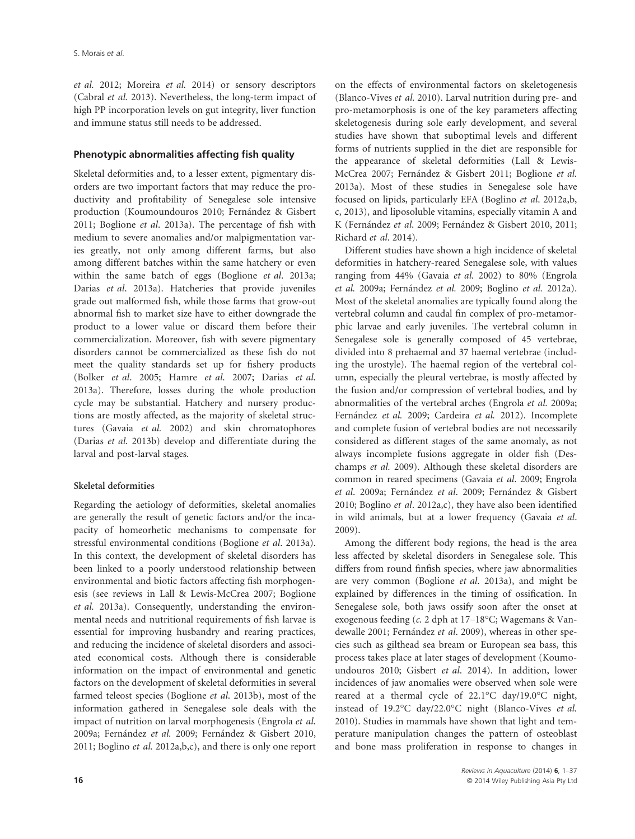et al. 2012; Moreira et al. 2014) or sensory descriptors (Cabral et al. 2013). Nevertheless, the long-term impact of high PP incorporation levels on gut integrity, liver function and immune status still needs to be addressed.

#### Phenotypic abnormalities affecting fish quality

Skeletal deformities and, to a lesser extent, pigmentary disorders are two important factors that may reduce the productivity and profitability of Senegalese sole intensive production (Koumoundouros 2010; Fernández & Gisbert 2011; Boglione et al. 2013a). The percentage of fish with medium to severe anomalies and/or malpigmentation varies greatly, not only among different farms, but also among different batches within the same hatchery or even within the same batch of eggs (Boglione et al. 2013a; Darias et al. 2013a). Hatcheries that provide juveniles grade out malformed fish, while those farms that grow-out abnormal fish to market size have to either downgrade the product to a lower value or discard them before their commercialization. Moreover, fish with severe pigmentary disorders cannot be commercialized as these fish do not meet the quality standards set up for fishery products (Bolker et al. 2005; Hamre et al. 2007; Darias et al. 2013a). Therefore, losses during the whole production cycle may be substantial. Hatchery and nursery productions are mostly affected, as the majority of skeletal structures (Gavaia et al. 2002) and skin chromatophores (Darias et al. 2013b) develop and differentiate during the larval and post-larval stages.

### Skeletal deformities

Regarding the aetiology of deformities, skeletal anomalies are generally the result of genetic factors and/or the incapacity of homeorhetic mechanisms to compensate for stressful environmental conditions (Boglione et al. 2013a). In this context, the development of skeletal disorders has been linked to a poorly understood relationship between environmental and biotic factors affecting fish morphogenesis (see reviews in Lall & Lewis-McCrea 2007; Boglione et al. 2013a). Consequently, understanding the environmental needs and nutritional requirements of fish larvae is essential for improving husbandry and rearing practices, and reducing the incidence of skeletal disorders and associated economical costs. Although there is considerable information on the impact of environmental and genetic factors on the development of skeletal deformities in several farmed teleost species (Boglione et al. 2013b), most of the information gathered in Senegalese sole deals with the impact of nutrition on larval morphogenesis (Engrola et al. 2009a; Fernández et al. 2009; Fernández & Gisbert 2010, 2011; Boglino *et al.* 2012a, $b$ , $c$ ), and there is only one report

on the effects of environmental factors on skeletogenesis (Blanco-Vives et al. 2010). Larval nutrition during pre- and pro-metamorphosis is one of the key parameters affecting skeletogenesis during sole early development, and several studies have shown that suboptimal levels and different forms of nutrients supplied in the diet are responsible for the appearance of skeletal deformities (Lall & Lewis-McCrea 2007; Fernández & Gisbert 2011; Boglione et al. 2013a). Most of these studies in Senegalese sole have focused on lipids, particularly EFA (Boglino et al. 2012a,b, c, 2013), and liposoluble vitamins, especially vitamin A and K (Fernández et al. 2009; Fernández & Gisbert 2010, 2011; Richard et al. 2014).

Different studies have shown a high incidence of skeletal deformities in hatchery-reared Senegalese sole, with values ranging from 44% (Gavaia et al. 2002) to 80% (Engrola et al. 2009a; Fernández et al. 2009; Boglino et al. 2012a). Most of the skeletal anomalies are typically found along the vertebral column and caudal fin complex of pro-metamorphic larvae and early juveniles. The vertebral column in Senegalese sole is generally composed of 45 vertebrae, divided into 8 prehaemal and 37 haemal vertebrae (including the urostyle). The haemal region of the vertebral column, especially the pleural vertebrae, is mostly affected by the fusion and/or compression of vertebral bodies, and by abnormalities of the vertebral arches (Engrola et al. 2009a; Fernández et al. 2009; Cardeira et al. 2012). Incomplete and complete fusion of vertebral bodies are not necessarily considered as different stages of the same anomaly, as not always incomplete fusions aggregate in older fish (Deschamps et al. 2009). Although these skeletal disorders are common in reared specimens (Gavaia et al. 2009; Engrola et al. 2009a; Fernández et al. 2009; Fernández & Gisbert 2010; Boglino et al. 2012a,c), they have also been identified in wild animals, but at a lower frequency (Gavaia et al. 2009).

Among the different body regions, the head is the area less affected by skeletal disorders in Senegalese sole. This differs from round finfish species, where jaw abnormalities are very common (Boglione et al. 2013a), and might be explained by differences in the timing of ossification. In Senegalese sole, both jaws ossify soon after the onset at exogenous feeding (c. 2 dph at 17–18°C; Wagemans & Vandewalle 2001; Fernández et al. 2009), whereas in other species such as gilthead sea bream or European sea bass, this process takes place at later stages of development (Koumoundouros 2010; Gisbert et al. 2014). In addition, lower incidences of jaw anomalies were observed when sole were reared at a thermal cycle of 22.1°C day/19.0°C night, instead of 19.2°C day/22.0°C night (Blanco-Vives et al. 2010). Studies in mammals have shown that light and temperature manipulation changes the pattern of osteoblast and bone mass proliferation in response to changes in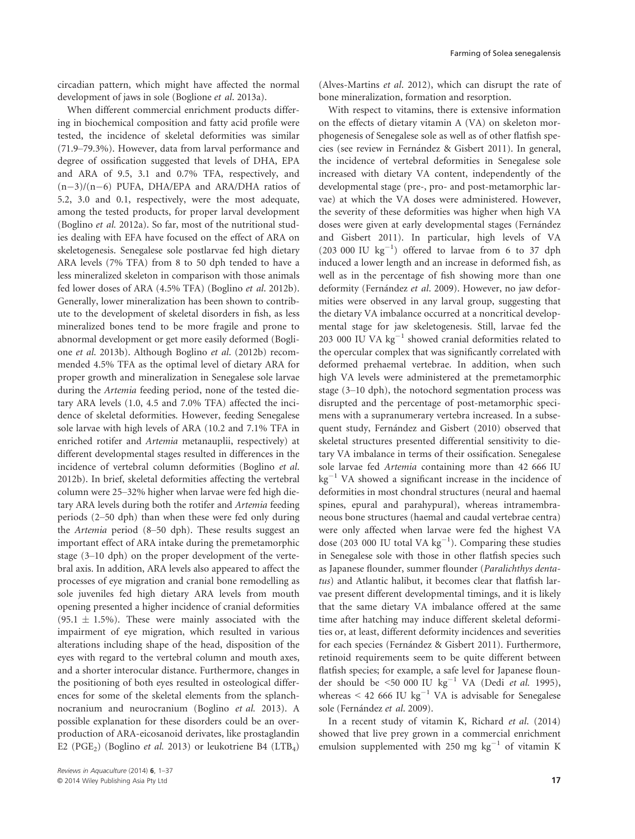circadian pattern, which might have affected the normal development of jaws in sole (Boglione et al. 2013a).

When different commercial enrichment products differing in biochemical composition and fatty acid profile were tested, the incidence of skeletal deformities was similar (71.9–79.3%). However, data from larval performance and degree of ossification suggested that levels of DHA, EPA and ARA of 9.5, 3.1 and 0.7% TFA, respectively, and  $(n-3)/(n-6)$  PUFA, DHA/EPA and ARA/DHA ratios of 5.2, 3.0 and 0.1, respectively, were the most adequate, among the tested products, for proper larval development (Boglino et al. 2012a). So far, most of the nutritional studies dealing with EFA have focused on the effect of ARA on skeletogenesis. Senegalese sole postlarvae fed high dietary ARA levels (7% TFA) from 8 to 50 dph tended to have a less mineralized skeleton in comparison with those animals fed lower doses of ARA (4.5% TFA) (Boglino et al. 2012b). Generally, lower mineralization has been shown to contribute to the development of skeletal disorders in fish, as less mineralized bones tend to be more fragile and prone to abnormal development or get more easily deformed (Boglione et al. 2013b). Although Boglino et al. (2012b) recommended 4.5% TFA as the optimal level of dietary ARA for proper growth and mineralization in Senegalese sole larvae during the Artemia feeding period, none of the tested dietary ARA levels (1.0, 4.5 and 7.0% TFA) affected the incidence of skeletal deformities. However, feeding Senegalese sole larvae with high levels of ARA (10.2 and 7.1% TFA in enriched rotifer and Artemia metanauplii, respectively) at different developmental stages resulted in differences in the incidence of vertebral column deformities (Boglino et al. 2012b). In brief, skeletal deformities affecting the vertebral column were 25–32% higher when larvae were fed high dietary ARA levels during both the rotifer and Artemia feeding periods (2–50 dph) than when these were fed only during the Artemia period (8–50 dph). These results suggest an important effect of ARA intake during the premetamorphic stage (3–10 dph) on the proper development of the vertebral axis. In addition, ARA levels also appeared to affect the processes of eye migration and cranial bone remodelling as sole juveniles fed high dietary ARA levels from mouth opening presented a higher incidence of cranial deformities (95.1  $\pm$  1.5%). These were mainly associated with the impairment of eye migration, which resulted in various alterations including shape of the head, disposition of the eyes with regard to the vertebral column and mouth axes, and a shorter interocular distance. Furthermore, changes in the positioning of both eyes resulted in osteological differences for some of the skeletal elements from the splanchnocranium and neurocranium (Boglino et al. 2013). A possible explanation for these disorders could be an overproduction of ARA-eicosanoid derivates, like prostaglandin E2 (PGE<sub>2</sub>) (Boglino *et al.* 2013) or leukotriene B4 (LTB<sub>4</sub>)

(Alves-Martins et al. 2012), which can disrupt the rate of bone mineralization, formation and resorption.

With respect to vitamins, there is extensive information on the effects of dietary vitamin A (VA) on skeleton morphogenesis of Senegalese sole as well as of other flatfish species (see review in Fernández & Gisbert 2011). In general, the incidence of vertebral deformities in Senegalese sole increased with dietary VA content, independently of the developmental stage (pre-, pro- and post-metamorphic larvae) at which the VA doses were administered. However, the severity of these deformities was higher when high VA doses were given at early developmental stages (Fernández and Gisbert 2011). In particular, high levels of VA  $(203\ 000\ \text{IU kg}^{-1})$  offered to larvae from 6 to 37 dph induced a lower length and an increase in deformed fish, as well as in the percentage of fish showing more than one deformity (Fernández et al. 2009). However, no jaw deformities were observed in any larval group, suggesting that the dietary VA imbalance occurred at a noncritical developmental stage for jaw skeletogenesis. Still, larvae fed the 203 000 IU VA  $kg^{-1}$  showed cranial deformities related to the opercular complex that was significantly correlated with deformed prehaemal vertebrae. In addition, when such high VA levels were administered at the premetamorphic stage (3–10 dph), the notochord segmentation process was disrupted and the percentage of post-metamorphic specimens with a supranumerary vertebra increased. In a subsequent study, Fernández and Gisbert (2010) observed that skeletal structures presented differential sensitivity to dietary VA imbalance in terms of their ossification. Senegalese sole larvae fed Artemia containing more than 42 666 IU  $kg^{-1}$  VA showed a significant increase in the incidence of deformities in most chondral structures (neural and haemal spines, epural and parahypural), whereas intramembraneous bone structures (haemal and caudal vertebrae centra) were only affected when larvae were fed the highest VA dose (203 000 IU total VA  $\text{kg}^{-1}$ ). Comparing these studies in Senegalese sole with those in other flatfish species such as Japanese flounder, summer flounder (Paralichthys dentatus) and Atlantic halibut, it becomes clear that flatfish larvae present different developmental timings, and it is likely that the same dietary VA imbalance offered at the same time after hatching may induce different skeletal deformities or, at least, different deformity incidences and severities for each species (Fernández & Gisbert 2011). Furthermore, retinoid requirements seem to be quite different between flatfish species; for example, a safe level for Japanese flounder should be <50 000 IU  $\text{kg}^{-1}$  VA (Dedi et al. 1995), whereas < 42 666 IU kg<sup>-1</sup> VA is advisable for Senegalese sole (Fernández et al. 2009).

In a recent study of vitamin K, Richard et al. (2014) showed that live prey grown in a commercial enrichment emulsion supplemented with 250 mg  $\text{kg}^{-1}$  of vitamin K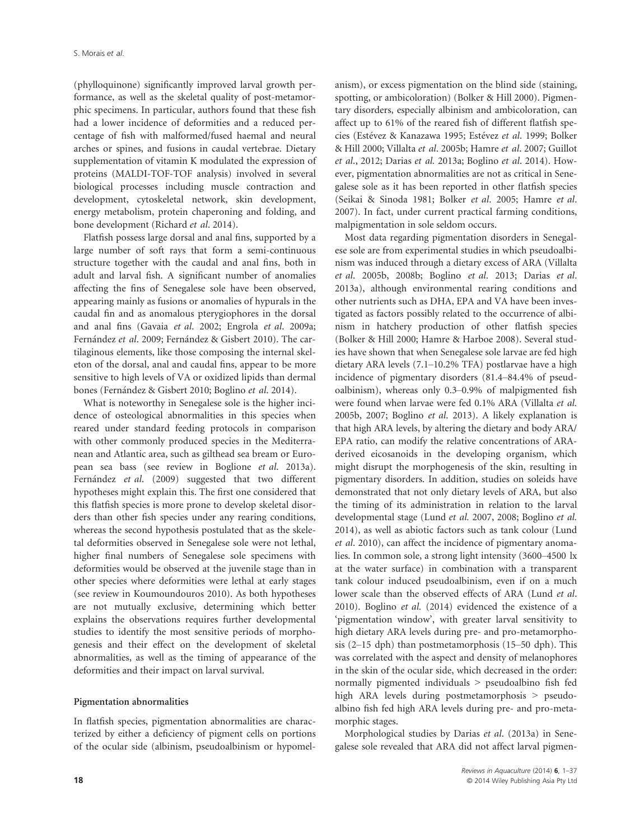(phylloquinone) significantly improved larval growth performance, as well as the skeletal quality of post-metamorphic specimens. In particular, authors found that these fish had a lower incidence of deformities and a reduced percentage of fish with malformed/fused haemal and neural arches or spines, and fusions in caudal vertebrae. Dietary supplementation of vitamin K modulated the expression of proteins (MALDI-TOF-TOF analysis) involved in several biological processes including muscle contraction and development, cytoskeletal network, skin development, energy metabolism, protein chaperoning and folding, and bone development (Richard et al. 2014).

Flatfish possess large dorsal and anal fins, supported by a large number of soft rays that form a semi-continuous structure together with the caudal and anal fins, both in adult and larval fish. A significant number of anomalies affecting the fins of Senegalese sole have been observed, appearing mainly as fusions or anomalies of hypurals in the caudal fin and as anomalous pterygiophores in the dorsal and anal fins (Gavaia et al. 2002; Engrola et al. 2009a; Fernández et al. 2009; Fernández & Gisbert 2010). The cartilaginous elements, like those composing the internal skeleton of the dorsal, anal and caudal fins, appear to be more sensitive to high levels of VA or oxidized lipids than dermal bones (Fernández & Gisbert 2010; Boglino et al. 2014).

What is noteworthy in Senegalese sole is the higher incidence of osteological abnormalities in this species when reared under standard feeding protocols in comparison with other commonly produced species in the Mediterranean and Atlantic area, such as gilthead sea bream or European sea bass (see review in Boglione et al. 2013a). Fernández et al. (2009) suggested that two different hypotheses might explain this. The first one considered that this flatfish species is more prone to develop skeletal disorders than other fish species under any rearing conditions, whereas the second hypothesis postulated that as the skeletal deformities observed in Senegalese sole were not lethal, higher final numbers of Senegalese sole specimens with deformities would be observed at the juvenile stage than in other species where deformities were lethal at early stages (see review in Koumoundouros 2010). As both hypotheses are not mutually exclusive, determining which better explains the observations requires further developmental studies to identify the most sensitive periods of morphogenesis and their effect on the development of skeletal abnormalities, as well as the timing of appearance of the deformities and their impact on larval survival.

#### Pigmentation abnormalities

In flatfish species, pigmentation abnormalities are characterized by either a deficiency of pigment cells on portions of the ocular side (albinism, pseudoalbinism or hypomelanism), or excess pigmentation on the blind side (staining, spotting, or ambicoloration) (Bolker & Hill 2000). Pigmentary disorders, especially albinism and ambicoloration, can affect up to 61% of the reared fish of different flatfish species (Estévez & Kanazawa 1995; Estévez et al. 1999; Bolker & Hill 2000; Villalta et al. 2005b; Hamre et al. 2007; Guillot et al., 2012; Darias et al. 2013a; Boglino et al. 2014). However, pigmentation abnormalities are not as critical in Senegalese sole as it has been reported in other flatfish species (Seikai & Sinoda 1981; Bolker et al. 2005; Hamre et al. 2007). In fact, under current practical farming conditions, malpigmentation in sole seldom occurs.

Most data regarding pigmentation disorders in Senegalese sole are from experimental studies in which pseudoalbinism was induced through a dietary excess of ARA (Villalta et al. 2005b, 2008b; Boglino et al. 2013; Darias et al. 2013a), although environmental rearing conditions and other nutrients such as DHA, EPA and VA have been investigated as factors possibly related to the occurrence of albinism in hatchery production of other flatfish species (Bolker & Hill 2000; Hamre & Harboe 2008). Several studies have shown that when Senegalese sole larvae are fed high dietary ARA levels (7.1–10.2% TFA) postlarvae have a high incidence of pigmentary disorders (81.4–84.4% of pseudoalbinism), whereas only 0.3–0.9% of malpigmented fish were found when larvae were fed 0.1% ARA (Villalta et al. 2005b, 2007; Boglino et al. 2013). A likely explanation is that high ARA levels, by altering the dietary and body ARA/ EPA ratio, can modify the relative concentrations of ARAderived eicosanoids in the developing organism, which might disrupt the morphogenesis of the skin, resulting in pigmentary disorders. In addition, studies on soleids have demonstrated that not only dietary levels of ARA, but also the timing of its administration in relation to the larval developmental stage (Lund et al. 2007, 2008; Boglino et al. 2014), as well as abiotic factors such as tank colour (Lund et al. 2010), can affect the incidence of pigmentary anomalies. In common sole, a strong light intensity (3600–4500 lx at the water surface) in combination with a transparent tank colour induced pseudoalbinism, even if on a much lower scale than the observed effects of ARA (Lund et al. 2010). Boglino et al. (2014) evidenced the existence of a 'pigmentation window', with greater larval sensitivity to high dietary ARA levels during pre- and pro-metamorphosis (2–15 dph) than postmetamorphosis (15–50 dph). This was correlated with the aspect and density of melanophores in the skin of the ocular side, which decreased in the order: normally pigmented individuals > pseudoalbino fish fed high ARA levels during postmetamorphosis > pseudoalbino fish fed high ARA levels during pre- and pro-metamorphic stages.

Morphological studies by Darias et al. (2013a) in Senegalese sole revealed that ARA did not affect larval pigmen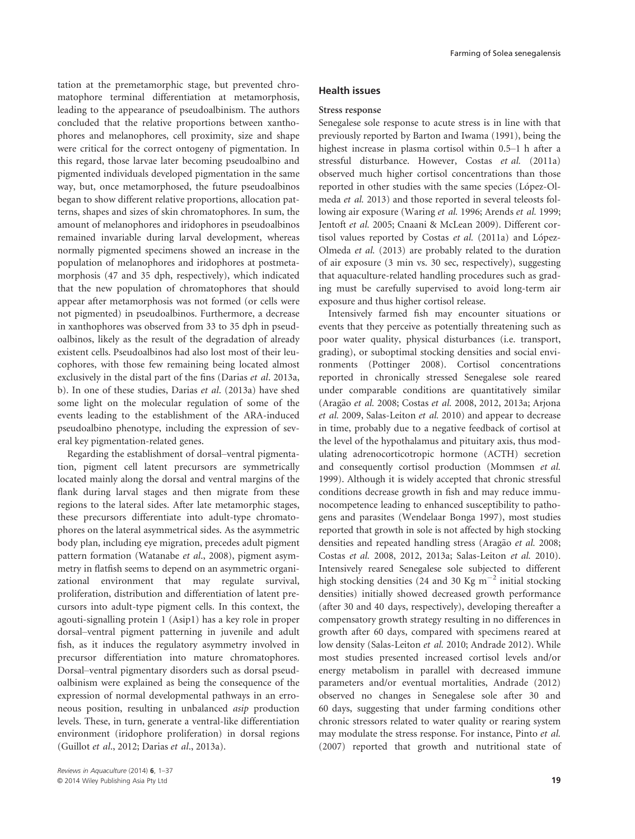tation at the premetamorphic stage, but prevented chromatophore terminal differentiation at metamorphosis, leading to the appearance of pseudoalbinism. The authors concluded that the relative proportions between xanthophores and melanophores, cell proximity, size and shape were critical for the correct ontogeny of pigmentation. In this regard, those larvae later becoming pseudoalbino and pigmented individuals developed pigmentation in the same way, but, once metamorphosed, the future pseudoalbinos began to show different relative proportions, allocation patterns, shapes and sizes of skin chromatophores. In sum, the amount of melanophores and iridophores in pseudoalbinos remained invariable during larval development, whereas normally pigmented specimens showed an increase in the population of melanophores and iridophores at postmetamorphosis (47 and 35 dph, respectively), which indicated that the new population of chromatophores that should appear after metamorphosis was not formed (or cells were not pigmented) in pseudoalbinos. Furthermore, a decrease in xanthophores was observed from 33 to 35 dph in pseudoalbinos, likely as the result of the degradation of already existent cells. Pseudoalbinos had also lost most of their leucophores, with those few remaining being located almost exclusively in the distal part of the fins (Darias et al. 2013a, b). In one of these studies, Darias et al. (2013a) have shed some light on the molecular regulation of some of the events leading to the establishment of the ARA-induced pseudoalbino phenotype, including the expression of several key pigmentation-related genes.

Regarding the establishment of dorsal–ventral pigmentation, pigment cell latent precursors are symmetrically located mainly along the dorsal and ventral margins of the flank during larval stages and then migrate from these regions to the lateral sides. After late metamorphic stages, these precursors differentiate into adult-type chromatophores on the lateral asymmetrical sides. As the asymmetric body plan, including eye migration, precedes adult pigment pattern formation (Watanabe et al., 2008), pigment asymmetry in flatfish seems to depend on an asymmetric organizational environment that may regulate survival, proliferation, distribution and differentiation of latent precursors into adult-type pigment cells. In this context, the agouti-signalling protein 1 (Asip1) has a key role in proper dorsal–ventral pigment patterning in juvenile and adult fish, as it induces the regulatory asymmetry involved in precursor differentiation into mature chromatophores. Dorsal–ventral pigmentary disorders such as dorsal pseudoalbinism were explained as being the consequence of the expression of normal developmental pathways in an erroneous position, resulting in unbalanced asip production levels. These, in turn, generate a ventral-like differentiation environment (iridophore proliferation) in dorsal regions (Guillot et al., 2012; Darias et al., 2013a).

#### Health issues

#### Stress response

Senegalese sole response to acute stress is in line with that previously reported by Barton and Iwama (1991), being the highest increase in plasma cortisol within 0.5–1 h after a stressful disturbance. However, Costas et al. (2011a) observed much higher cortisol concentrations than those reported in other studies with the same species (López-Olmeda et al. 2013) and those reported in several teleosts following air exposure (Waring et al. 1996; Arends et al. 1999; Jentoft et al. 2005; Cnaani & McLean 2009). Different cortisol values reported by Costas et al. (2011a) and López-Olmeda et al. (2013) are probably related to the duration of air exposure (3 min vs. 30 sec, respectively), suggesting that aquaculture-related handling procedures such as grading must be carefully supervised to avoid long-term air exposure and thus higher cortisol release.

Intensively farmed fish may encounter situations or events that they perceive as potentially threatening such as poor water quality, physical disturbances (i.e. transport, grading), or suboptimal stocking densities and social environments (Pottinger 2008). Cortisol concentrations reported in chronically stressed Senegalese sole reared under comparable conditions are quantitatively similar (Aragão et al. 2008; Costas et al. 2008, 2012, 2013a; Arjona et al. 2009, Salas-Leiton et al. 2010) and appear to decrease in time, probably due to a negative feedback of cortisol at the level of the hypothalamus and pituitary axis, thus modulating adrenocorticotropic hormone (ACTH) secretion and consequently cortisol production (Mommsen et al. 1999). Although it is widely accepted that chronic stressful conditions decrease growth in fish and may reduce immunocompetence leading to enhanced susceptibility to pathogens and parasites (Wendelaar Bonga 1997), most studies reported that growth in sole is not affected by high stocking densities and repeated handling stress (Aragão et al. 2008; Costas et al. 2008, 2012, 2013a; Salas-Leiton et al. 2010). Intensively reared Senegalese sole subjected to different high stocking densities (24 and 30 Kg  $m^{-2}$  initial stocking densities) initially showed decreased growth performance (after 30 and 40 days, respectively), developing thereafter a compensatory growth strategy resulting in no differences in growth after 60 days, compared with specimens reared at low density (Salas-Leiton et al. 2010; Andrade 2012). While most studies presented increased cortisol levels and/or energy metabolism in parallel with decreased immune parameters and/or eventual mortalities, Andrade (2012) observed no changes in Senegalese sole after 30 and 60 days, suggesting that under farming conditions other chronic stressors related to water quality or rearing system may modulate the stress response. For instance, Pinto et al. (2007) reported that growth and nutritional state of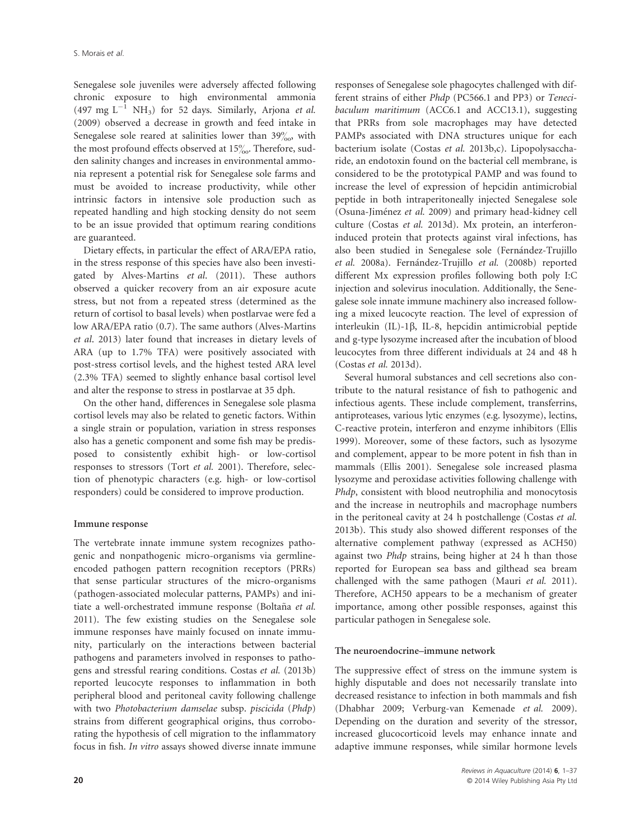Senegalese sole juveniles were adversely affected following chronic exposure to high environmental ammonia (497 mg  $L^{-1}$  NH<sub>3</sub>) for 52 days. Similarly, Arjona *et al.* (2009) observed a decrease in growth and feed intake in Senegalese sole reared at salinities lower than  $39\%$ , with the most profound effects observed at  $15\%$ . Therefore, sudden salinity changes and increases in environmental ammonia represent a potential risk for Senegalese sole farms and must be avoided to increase productivity, while other intrinsic factors in intensive sole production such as repeated handling and high stocking density do not seem to be an issue provided that optimum rearing conditions are guaranteed.

Dietary effects, in particular the effect of ARA/EPA ratio, in the stress response of this species have also been investigated by Alves-Martins et al. (2011). These authors observed a quicker recovery from an air exposure acute stress, but not from a repeated stress (determined as the return of cortisol to basal levels) when postlarvae were fed a low ARA/EPA ratio (0.7). The same authors (Alves-Martins et al. 2013) later found that increases in dietary levels of ARA (up to 1.7% TFA) were positively associated with post-stress cortisol levels, and the highest tested ARA level (2.3% TFA) seemed to slightly enhance basal cortisol level and alter the response to stress in postlarvae at 35 dph.

On the other hand, differences in Senegalese sole plasma cortisol levels may also be related to genetic factors. Within a single strain or population, variation in stress responses also has a genetic component and some fish may be predisposed to consistently exhibit high- or low-cortisol responses to stressors (Tort et al. 2001). Therefore, selection of phenotypic characters (e.g. high- or low-cortisol responders) could be considered to improve production.

#### Immune response

The vertebrate innate immune system recognizes pathogenic and nonpathogenic micro-organisms via germlineencoded pathogen pattern recognition receptors (PRRs) that sense particular structures of the micro-organisms (pathogen-associated molecular patterns, PAMPs) and initiate a well-orchestrated immune response (Boltaña et al. 2011). The few existing studies on the Senegalese sole immune responses have mainly focused on innate immunity, particularly on the interactions between bacterial pathogens and parameters involved in responses to pathogens and stressful rearing conditions. Costas et al. (2013b) reported leucocyte responses to inflammation in both peripheral blood and peritoneal cavity following challenge with two Photobacterium damselae subsp. piscicida (Phdp) strains from different geographical origins, thus corroborating the hypothesis of cell migration to the inflammatory focus in fish. In vitro assays showed diverse innate immune

responses of Senegalese sole phagocytes challenged with different strains of either Phdp (PC566.1 and PP3) or Tenecibaculum maritimum (ACC6.1 and ACC13.1), suggesting that PRRs from sole macrophages may have detected PAMPs associated with DNA structures unique for each bacterium isolate (Costas et al. 2013b,c). Lipopolysaccharide, an endotoxin found on the bacterial cell membrane, is considered to be the prototypical PAMP and was found to increase the level of expression of hepcidin antimicrobial peptide in both intraperitoneally injected Senegalese sole (Osuna-Jiménez et al. 2009) and primary head-kidney cell culture (Costas et al. 2013d). Mx protein, an interferoninduced protein that protects against viral infections, has also been studied in Senegalese sole (Fernández-Trujillo et al. 2008a). Fernández-Trujillo et al. (2008b) reported different Mx expression profiles following both poly I:C injection and solevirus inoculation. Additionally, the Senegalese sole innate immune machinery also increased following a mixed leucocyte reaction. The level of expression of interleukin (IL)-1 $\beta$ , IL-8, hepcidin antimicrobial peptide and g-type lysozyme increased after the incubation of blood leucocytes from three different individuals at 24 and 48 h (Costas et al. 2013d).

Several humoral substances and cell secretions also contribute to the natural resistance of fish to pathogenic and infectious agents. These include complement, transferrins, antiproteases, various lytic enzymes (e.g. lysozyme), lectins, C-reactive protein, interferon and enzyme inhibitors (Ellis 1999). Moreover, some of these factors, such as lysozyme and complement, appear to be more potent in fish than in mammals (Ellis 2001). Senegalese sole increased plasma lysozyme and peroxidase activities following challenge with Phdp, consistent with blood neutrophilia and monocytosis and the increase in neutrophils and macrophage numbers in the peritoneal cavity at 24 h postchallenge (Costas et al. 2013b). This study also showed different responses of the alternative complement pathway (expressed as ACH50) against two Phdp strains, being higher at 24 h than those reported for European sea bass and gilthead sea bream challenged with the same pathogen (Mauri et al. 2011). Therefore, ACH50 appears to be a mechanism of greater importance, among other possible responses, against this particular pathogen in Senegalese sole.

#### The neuroendocrine–immune network

The suppressive effect of stress on the immune system is highly disputable and does not necessarily translate into decreased resistance to infection in both mammals and fish (Dhabhar 2009; Verburg-van Kemenade et al. 2009). Depending on the duration and severity of the stressor, increased glucocorticoid levels may enhance innate and adaptive immune responses, while similar hormone levels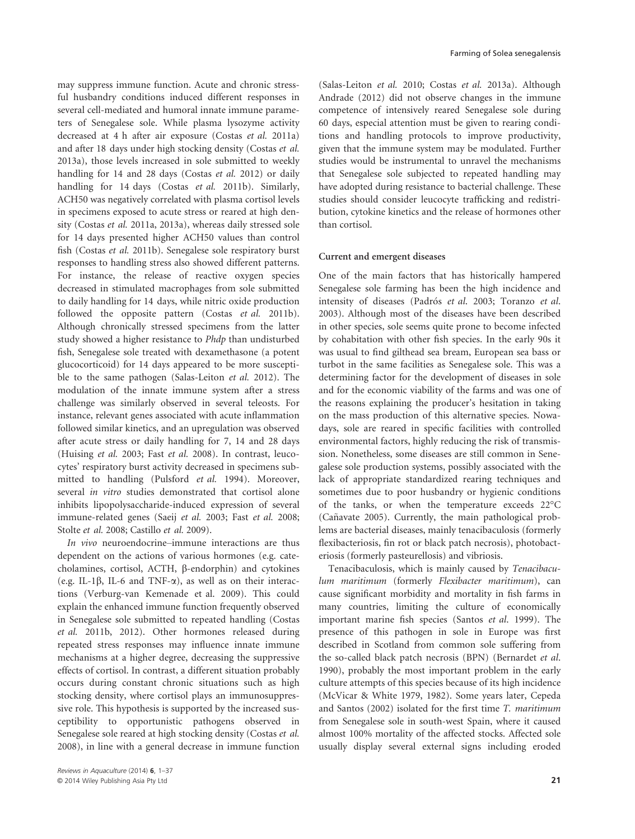may suppress immune function. Acute and chronic stressful husbandry conditions induced different responses in several cell-mediated and humoral innate immune parameters of Senegalese sole. While plasma lysozyme activity decreased at 4 h after air exposure (Costas et al. 2011a) and after 18 days under high stocking density (Costas et al. 2013a), those levels increased in sole submitted to weekly handling for 14 and 28 days (Costas et al. 2012) or daily handling for 14 days (Costas et al. 2011b). Similarly, ACH50 was negatively correlated with plasma cortisol levels in specimens exposed to acute stress or reared at high density (Costas et al. 2011a, 2013a), whereas daily stressed sole for 14 days presented higher ACH50 values than control fish (Costas et al. 2011b). Senegalese sole respiratory burst responses to handling stress also showed different patterns. For instance, the release of reactive oxygen species decreased in stimulated macrophages from sole submitted to daily handling for 14 days, while nitric oxide production followed the opposite pattern (Costas et al. 2011b). Although chronically stressed specimens from the latter study showed a higher resistance to Phdp than undisturbed fish, Senegalese sole treated with dexamethasone (a potent glucocorticoid) for 14 days appeared to be more susceptible to the same pathogen (Salas-Leiton et al. 2012). The modulation of the innate immune system after a stress challenge was similarly observed in several teleosts. For instance, relevant genes associated with acute inflammation followed similar kinetics, and an upregulation was observed after acute stress or daily handling for 7, 14 and 28 days (Huising et al. 2003; Fast et al. 2008). In contrast, leucocytes' respiratory burst activity decreased in specimens submitted to handling (Pulsford et al. 1994). Moreover, several *in vitro* studies demonstrated that cortisol alone inhibits lipopolysaccharide-induced expression of several immune-related genes (Saeij et al. 2003; Fast et al. 2008; Stolte et al. 2008; Castillo et al. 2009).

In vivo neuroendocrine–immune interactions are thus dependent on the actions of various hormones (e.g. catecholamines, cortisol, ACTH, b-endorphin) and cytokines (e.g. IL-1 $\beta$ , IL-6 and TNF- $\alpha$ ), as well as on their interactions (Verburg-van Kemenade et al. 2009). This could explain the enhanced immune function frequently observed in Senegalese sole submitted to repeated handling (Costas et al. 2011b, 2012). Other hormones released during repeated stress responses may influence innate immune mechanisms at a higher degree, decreasing the suppressive effects of cortisol. In contrast, a different situation probably occurs during constant chronic situations such as high stocking density, where cortisol plays an immunosuppressive role. This hypothesis is supported by the increased susceptibility to opportunistic pathogens observed in Senegalese sole reared at high stocking density (Costas et al. 2008), in line with a general decrease in immune function

(Salas-Leiton et al. 2010; Costas et al. 2013a). Although Andrade (2012) did not observe changes in the immune competence of intensively reared Senegalese sole during 60 days, especial attention must be given to rearing conditions and handling protocols to improve productivity, given that the immune system may be modulated. Further studies would be instrumental to unravel the mechanisms that Senegalese sole subjected to repeated handling may have adopted during resistance to bacterial challenge. These studies should consider leucocyte trafficking and redistribution, cytokine kinetics and the release of hormones other than cortisol.

#### Current and emergent diseases

One of the main factors that has historically hampered Senegalese sole farming has been the high incidence and intensity of diseases (Padrós et al. 2003; Toranzo et al. 2003). Although most of the diseases have been described in other species, sole seems quite prone to become infected by cohabitation with other fish species. In the early 90s it was usual to find gilthead sea bream, European sea bass or turbot in the same facilities as Senegalese sole. This was a determining factor for the development of diseases in sole and for the economic viability of the farms and was one of the reasons explaining the producer's hesitation in taking on the mass production of this alternative species. Nowadays, sole are reared in specific facilities with controlled environmental factors, highly reducing the risk of transmission. Nonetheless, some diseases are still common in Senegalese sole production systems, possibly associated with the lack of appropriate standardized rearing techniques and sometimes due to poor husbandry or hygienic conditions of the tanks, or when the temperature exceeds 22°C (Cañavate 2005). Currently, the main pathological problems are bacterial diseases, mainly tenacibaculosis (formerly flexibacteriosis, fin rot or black patch necrosis), photobacteriosis (formerly pasteurellosis) and vibriosis.

Tenacibaculosis, which is mainly caused by Tenacibaculum maritimum (formerly Flexibacter maritimum), can cause significant morbidity and mortality in fish farms in many countries, limiting the culture of economically important marine fish species (Santos et al. 1999). The presence of this pathogen in sole in Europe was first described in Scotland from common sole suffering from the so-called black patch necrosis (BPN) (Bernardet et al. 1990), probably the most important problem in the early culture attempts of this species because of its high incidence (McVicar & White 1979, 1982). Some years later, Cepeda and Santos (2002) isolated for the first time T. maritimum from Senegalese sole in south-west Spain, where it caused almost 100% mortality of the affected stocks. Affected sole usually display several external signs including eroded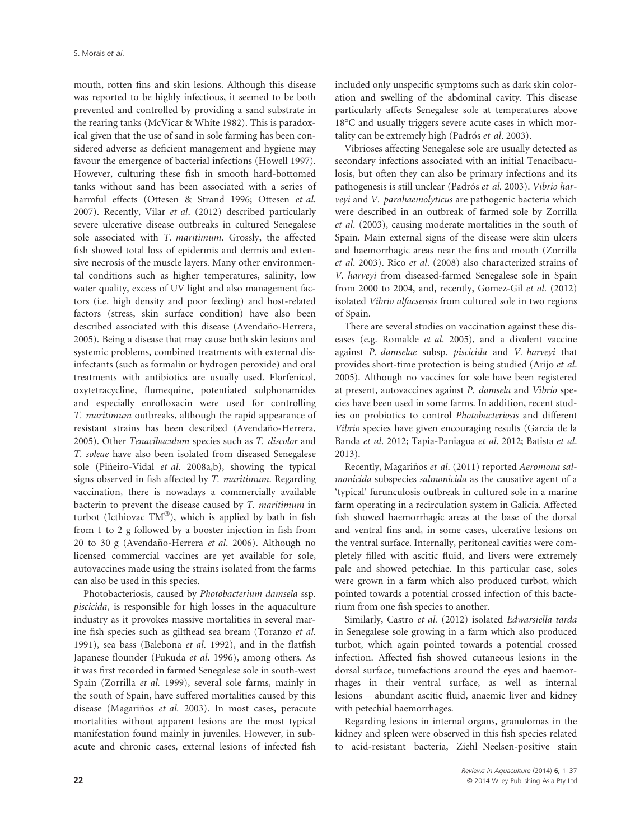mouth, rotten fins and skin lesions. Although this disease was reported to be highly infectious, it seemed to be both prevented and controlled by providing a sand substrate in the rearing tanks (McVicar & White 1982). This is paradoxical given that the use of sand in sole farming has been considered adverse as deficient management and hygiene may favour the emergence of bacterial infections (Howell 1997). However, culturing these fish in smooth hard-bottomed tanks without sand has been associated with a series of harmful effects (Ottesen & Strand 1996; Ottesen et al. 2007). Recently, Vilar et al. (2012) described particularly severe ulcerative disease outbreaks in cultured Senegalese sole associated with T. maritimum. Grossly, the affected fish showed total loss of epidermis and dermis and extensive necrosis of the muscle layers. Many other environmental conditions such as higher temperatures, salinity, low water quality, excess of UV light and also management factors (i.e. high density and poor feeding) and host-related factors (stress, skin surface condition) have also been described associated with this disease (Avendaño-Herrera, 2005). Being a disease that may cause both skin lesions and systemic problems, combined treatments with external disinfectants (such as formalin or hydrogen peroxide) and oral treatments with antibiotics are usually used. Florfenicol, oxytetracycline, flumequine, potentiated sulphonamides and especially enrofloxacin were used for controlling T. maritimum outbreaks, although the rapid appearance of resistant strains has been described (Avendaño-Herrera, 2005). Other Tenacibaculum species such as T. discolor and T. soleae have also been isolated from diseased Senegalese sole (Piñeiro-Vidal et al. 2008a,b), showing the typical signs observed in fish affected by T. maritimum. Regarding vaccination, there is nowadays a commercially available bacterin to prevent the disease caused by T. maritimum in turbot (Icthiovac  $TM^{\circledcirc}$ ), which is applied by bath in fish from 1 to 2 g followed by a booster injection in fish from 20 to 30 g (Avendaño-Herrera et al. 2006). Although no licensed commercial vaccines are yet available for sole, autovaccines made using the strains isolated from the farms can also be used in this species.

Photobacteriosis, caused by Photobacterium damsela ssp. piscicida, is responsible for high losses in the aquaculture industry as it provokes massive mortalities in several marine fish species such as gilthead sea bream (Toranzo et al. 1991), sea bass (Balebona et al. 1992), and in the flatfish Japanese flounder (Fukuda et al. 1996), among others. As it was first recorded in farmed Senegalese sole in south-west Spain (Zorrilla et al. 1999), several sole farms, mainly in the south of Spain, have suffered mortalities caused by this disease (Magariños et al. 2003). In most cases, peracute mortalities without apparent lesions are the most typical manifestation found mainly in juveniles. However, in subacute and chronic cases, external lesions of infected fish

included only unspecific symptoms such as dark skin coloration and swelling of the abdominal cavity. This disease particularly affects Senegalese sole at temperatures above 18°C and usually triggers severe acute cases in which mortality can be extremely high (Padrós et al. 2003).

Vibrioses affecting Senegalese sole are usually detected as secondary infections associated with an initial Tenacibaculosis, but often they can also be primary infections and its pathogenesis is still unclear (Padrós et al. 2003). Vibrio harveyi and V. parahaemolyticus are pathogenic bacteria which were described in an outbreak of farmed sole by Zorrilla et al. (2003), causing moderate mortalities in the south of Spain. Main external signs of the disease were skin ulcers and haemorrhagic areas near the fins and mouth (Zorrilla et al. 2003). Rico et al. (2008) also characterized strains of V. harveyi from diseased-farmed Senegalese sole in Spain from 2000 to 2004, and, recently, Gomez-Gil et al. (2012) isolated Vibrio alfacsensis from cultured sole in two regions of Spain.

There are several studies on vaccination against these diseases (e.g. Romalde et al. 2005), and a divalent vaccine against P. damselae subsp. piscicida and V. harveyi that provides short-time protection is being studied (Arijo et al. 2005). Although no vaccines for sole have been registered at present, autovaccines against P. damsela and Vibrio species have been used in some farms. In addition, recent studies on probiotics to control Photobacteriosis and different Vibrio species have given encouraging results (Garcia de la Banda et al. 2012; Tapia-Paniagua et al. 2012; Batista et al. 2013).

Recently, Magariños et al. (2011) reported Aeromona salmonicida subspecies salmonicida as the causative agent of a 'typical' furunculosis outbreak in cultured sole in a marine farm operating in a recirculation system in Galicia. Affected fish showed haemorrhagic areas at the base of the dorsal and ventral fins and, in some cases, ulcerative lesions on the ventral surface. Internally, peritoneal cavities were completely filled with ascitic fluid, and livers were extremely pale and showed petechiae. In this particular case, soles were grown in a farm which also produced turbot, which pointed towards a potential crossed infection of this bacterium from one fish species to another.

Similarly, Castro et al. (2012) isolated Edwarsiella tarda in Senegalese sole growing in a farm which also produced turbot, which again pointed towards a potential crossed infection. Affected fish showed cutaneous lesions in the dorsal surface, tumefactions around the eyes and haemorrhages in their ventral surface, as well as internal lesions – abundant ascitic fluid, anaemic liver and kidney with petechial haemorrhages.

Regarding lesions in internal organs, granulomas in the kidney and spleen were observed in this fish species related to acid-resistant bacteria, Ziehl–Neelsen-positive stain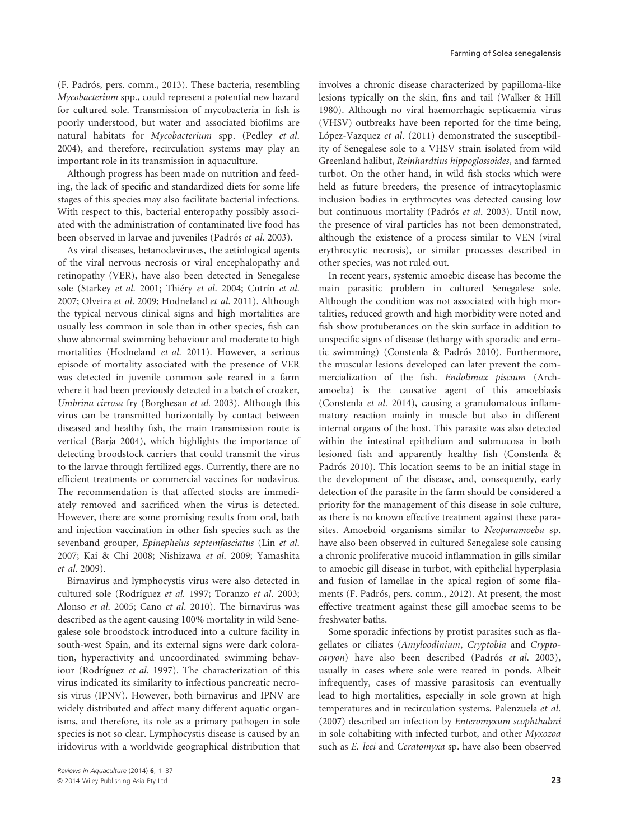(F. Padrós, pers. comm., 2013). These bacteria, resembling Mycobacterium spp., could represent a potential new hazard for cultured sole. Transmission of mycobacteria in fish is poorly understood, but water and associated biofilms are natural habitats for Mycobacterium spp. (Pedley et al. 2004), and therefore, recirculation systems may play an important role in its transmission in aquaculture.

Although progress has been made on nutrition and feeding, the lack of specific and standardized diets for some life stages of this species may also facilitate bacterial infections. With respect to this, bacterial enteropathy possibly associated with the administration of contaminated live food has been observed in larvae and juveniles (Padrós et al. 2003).

As viral diseases, betanodaviruses, the aetiological agents of the viral nervous necrosis or viral encephalopathy and retinopathy (VER), have also been detected in Senegalese sole (Starkey et al. 2001; Thiéry et al. 2004; Cutrín et al. 2007; Olveira et al. 2009; Hodneland et al. 2011). Although the typical nervous clinical signs and high mortalities are usually less common in sole than in other species, fish can show abnormal swimming behaviour and moderate to high mortalities (Hodneland et al. 2011). However, a serious episode of mortality associated with the presence of VER was detected in juvenile common sole reared in a farm where it had been previously detected in a batch of croaker, Umbrina cirrosa fry (Borghesan et al. 2003). Although this virus can be transmitted horizontally by contact between diseased and healthy fish, the main transmission route is vertical (Barja 2004), which highlights the importance of detecting broodstock carriers that could transmit the virus to the larvae through fertilized eggs. Currently, there are no efficient treatments or commercial vaccines for nodavirus. The recommendation is that affected stocks are immediately removed and sacrificed when the virus is detected. However, there are some promising results from oral, bath and injection vaccination in other fish species such as the sevenband grouper, Epinephelus septemfasciatus (Lin et al. 2007; Kai & Chi 2008; Nishizawa et al. 2009; Yamashita et al. 2009).

Birnavirus and lymphocystis virus were also detected in cultured sole (Rodríguez et al. 1997; Toranzo et al. 2003; Alonso et al. 2005; Cano et al. 2010). The birnavirus was described as the agent causing 100% mortality in wild Senegalese sole broodstock introduced into a culture facility in south-west Spain, and its external signs were dark coloration, hyperactivity and uncoordinated swimming behaviour (Rodríguez et al. 1997). The characterization of this virus indicated its similarity to infectious pancreatic necrosis virus (IPNV). However, both birnavirus and IPNV are widely distributed and affect many different aquatic organisms, and therefore, its role as a primary pathogen in sole species is not so clear. Lymphocystis disease is caused by an iridovirus with a worldwide geographical distribution that

involves a chronic disease characterized by papilloma-like lesions typically on the skin, fins and tail (Walker & Hill 1980). Although no viral haemorrhagic septicaemia virus (VHSV) outbreaks have been reported for the time being, López-Vazquez et al. (2011) demonstrated the susceptibility of Senegalese sole to a VHSV strain isolated from wild Greenland halibut, Reinhardtius hippoglossoides, and farmed turbot. On the other hand, in wild fish stocks which were held as future breeders, the presence of intracytoplasmic inclusion bodies in erythrocytes was detected causing low but continuous mortality (Padrós et al. 2003). Until now, the presence of viral particles has not been demonstrated, although the existence of a process similar to VEN (viral erythrocytic necrosis), or similar processes described in other species, was not ruled out.

In recent years, systemic amoebic disease has become the main parasitic problem in cultured Senegalese sole. Although the condition was not associated with high mortalities, reduced growth and high morbidity were noted and fish show protuberances on the skin surface in addition to unspecific signs of disease (lethargy with sporadic and erratic swimming) (Constenla & Padrós 2010). Furthermore, the muscular lesions developed can later prevent the commercialization of the fish. Endolimax piscium (Archamoeba) is the causative agent of this amoebiasis (Constenla et al. 2014), causing a granulomatous inflammatory reaction mainly in muscle but also in different internal organs of the host. This parasite was also detected within the intestinal epithelium and submucosa in both lesioned fish and apparently healthy fish (Constenla & Padrós 2010). This location seems to be an initial stage in the development of the disease, and, consequently, early detection of the parasite in the farm should be considered a priority for the management of this disease in sole culture, as there is no known effective treatment against these parasites. Amoeboid organisms similar to Neoparamoeba sp. have also been observed in cultured Senegalese sole causing a chronic proliferative mucoid inflammation in gills similar to amoebic gill disease in turbot, with epithelial hyperplasia and fusion of lamellae in the apical region of some filaments (F. Padrós, pers. comm., 2012). At present, the most effective treatment against these gill amoebae seems to be freshwater baths.

Some sporadic infections by protist parasites such as flagellates or ciliates (Amyloodinium, Cryptobia and Cryptocaryon) have also been described (Padrós et al. 2003), usually in cases where sole were reared in ponds. Albeit infrequently, cases of massive parasitosis can eventually lead to high mortalities, especially in sole grown at high temperatures and in recirculation systems. Palenzuela et al. (2007) described an infection by Enteromyxum scophthalmi in sole cohabiting with infected turbot, and other Myxozoa such as E. leei and Ceratomyxa sp. have also been observed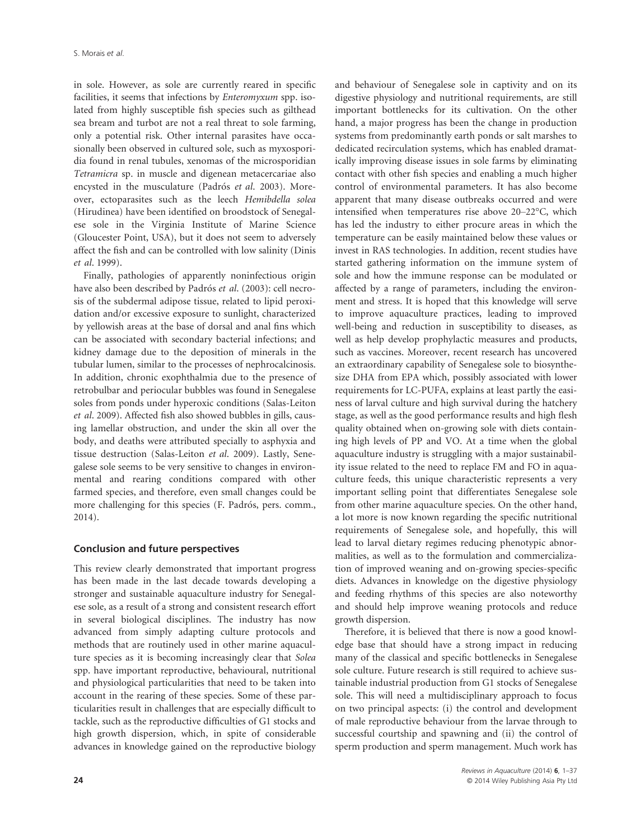in sole. However, as sole are currently reared in specific facilities, it seems that infections by Enteromyxum spp. isolated from highly susceptible fish species such as gilthead sea bream and turbot are not a real threat to sole farming, only a potential risk. Other internal parasites have occasionally been observed in cultured sole, such as myxosporidia found in renal tubules, xenomas of the microsporidian Tetramicra sp. in muscle and digenean metacercariae also encysted in the musculature (Padrós et al. 2003). Moreover, ectoparasites such as the leech Hemibdella solea (Hirudinea) have been identified on broodstock of Senegalese sole in the Virginia Institute of Marine Science (Gloucester Point, USA), but it does not seem to adversely affect the fish and can be controlled with low salinity (Dinis et al. 1999).

Finally, pathologies of apparently noninfectious origin have also been described by Padrós et al. (2003): cell necrosis of the subdermal adipose tissue, related to lipid peroxidation and/or excessive exposure to sunlight, characterized by yellowish areas at the base of dorsal and anal fins which can be associated with secondary bacterial infections; and kidney damage due to the deposition of minerals in the tubular lumen, similar to the processes of nephrocalcinosis. In addition, chronic exophthalmia due to the presence of retrobulbar and periocular bubbles was found in Senegalese soles from ponds under hyperoxic conditions (Salas-Leiton et al. 2009). Affected fish also showed bubbles in gills, causing lamellar obstruction, and under the skin all over the body, and deaths were attributed specially to asphyxia and tissue destruction (Salas-Leiton et al. 2009). Lastly, Senegalese sole seems to be very sensitive to changes in environmental and rearing conditions compared with other farmed species, and therefore, even small changes could be more challenging for this species (F. Padrós, pers. comm., 2014).

#### Conclusion and future perspectives

This review clearly demonstrated that important progress has been made in the last decade towards developing a stronger and sustainable aquaculture industry for Senegalese sole, as a result of a strong and consistent research effort in several biological disciplines. The industry has now advanced from simply adapting culture protocols and methods that are routinely used in other marine aquaculture species as it is becoming increasingly clear that Solea spp. have important reproductive, behavioural, nutritional and physiological particularities that need to be taken into account in the rearing of these species. Some of these particularities result in challenges that are especially difficult to tackle, such as the reproductive difficulties of G1 stocks and high growth dispersion, which, in spite of considerable advances in knowledge gained on the reproductive biology

and behaviour of Senegalese sole in captivity and on its digestive physiology and nutritional requirements, are still important bottlenecks for its cultivation. On the other hand, a major progress has been the change in production systems from predominantly earth ponds or salt marshes to dedicated recirculation systems, which has enabled dramatically improving disease issues in sole farms by eliminating contact with other fish species and enabling a much higher control of environmental parameters. It has also become apparent that many disease outbreaks occurred and were intensified when temperatures rise above 20–22°C, which has led the industry to either procure areas in which the temperature can be easily maintained below these values or invest in RAS technologies. In addition, recent studies have started gathering information on the immune system of sole and how the immune response can be modulated or affected by a range of parameters, including the environment and stress. It is hoped that this knowledge will serve to improve aquaculture practices, leading to improved well-being and reduction in susceptibility to diseases, as well as help develop prophylactic measures and products, such as vaccines. Moreover, recent research has uncovered an extraordinary capability of Senegalese sole to biosynthesize DHA from EPA which, possibly associated with lower requirements for LC-PUFA, explains at least partly the easiness of larval culture and high survival during the hatchery stage, as well as the good performance results and high flesh quality obtained when on-growing sole with diets containing high levels of PP and VO. At a time when the global aquaculture industry is struggling with a major sustainability issue related to the need to replace FM and FO in aquaculture feeds, this unique characteristic represents a very important selling point that differentiates Senegalese sole from other marine aquaculture species. On the other hand, a lot more is now known regarding the specific nutritional requirements of Senegalese sole, and hopefully, this will lead to larval dietary regimes reducing phenotypic abnormalities, as well as to the formulation and commercialization of improved weaning and on-growing species-specific diets. Advances in knowledge on the digestive physiology and feeding rhythms of this species are also noteworthy and should help improve weaning protocols and reduce growth dispersion.

Therefore, it is believed that there is now a good knowledge base that should have a strong impact in reducing many of the classical and specific bottlenecks in Senegalese sole culture. Future research is still required to achieve sustainable industrial production from G1 stocks of Senegalese sole. This will need a multidisciplinary approach to focus on two principal aspects: (i) the control and development of male reproductive behaviour from the larvae through to successful courtship and spawning and (ii) the control of sperm production and sperm management. Much work has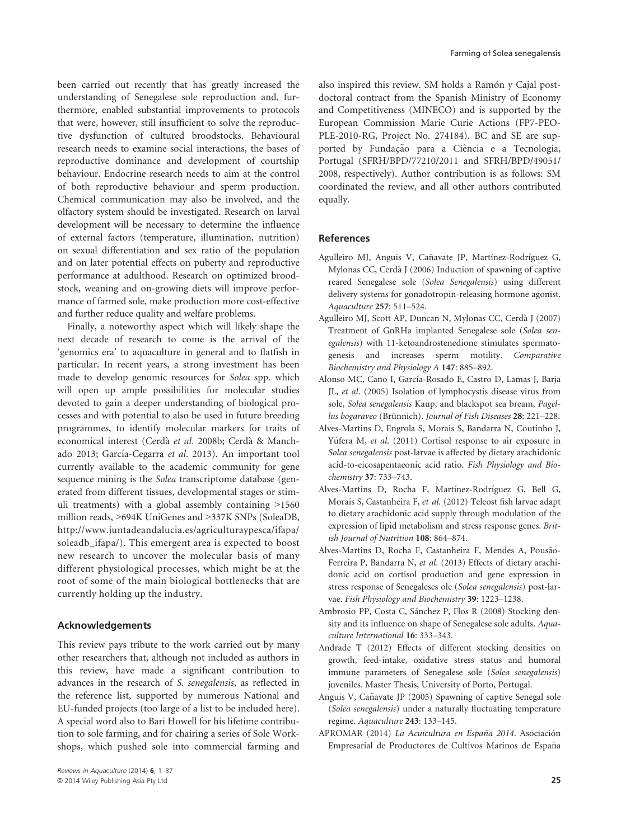been carried out recently that has greatly increased the understanding of Senegalese sole reproduction and, furthermore, enabled substantial improvements to protocols that were, however, still insufficient to solve the reproductive dysfunction of cultured broodstocks. Behavioural research needs to examine social interactions, the bases of reproductive dominance and development of courtship behaviour. Endocrine research needs to aim at the control of both reproductive behaviour and sperm production. Chemical communication may also be involved, and the olfactory system should be investigated. Research on larval development will be necessary to determine the influence of external factors (temperature, illumination, nutrition) on sexual differentiation and sex ratio of the population and on later potential effects on puberty and reproductive performance at adulthood. Research on optimized broodstock, weaning and on-growing diets will improve performance of farmed sole, make production more cost-effective and further reduce quality and welfare problems.

Finally, a noteworthy aspect which will likely shape the next decade of research to come is the arrival of the 'genomics era' to aquaculture in general and to flatfish in particular. In recent years, a strong investment has been made to develop genomic resources for Solea spp. which will open up ample possibilities for molecular studies devoted to gain a deeper understanding of biological processes and with potential to also be used in future breeding programmes, to identify molecular markers for traits of economical interest (Cerdà et al. 2008b; Cerdà & Manchado 2013; García-Cegarra et al. 2013). An important tool currently available to the academic community for gene sequence mining is the Solea transcriptome database (generated from different tissues, developmental stages or stimuli treatments) with a global assembly containing >1560 million reads, >694K UniGenes and >337K SNPs (SoleaDB, http://www.juntadeandalucia.es/agriculturaypesca/ifapa/ soleadb ifapa/). This emergent area is expected to boost new research to uncover the molecular basis of many different physiological processes, which might be at the root of some of the main biological bottlenecks that are currently holding up the industry.

#### Acknowledgements

This review pays tribute to the work carried out by many other researchers that, although not included as authors in this review, have made a significant contribution to advances in the research of S. senegalensis, as reflected in the reference list, supported by numerous National and EU-funded projects (too large of a list to be included here). A special word also to Bari Howell for his lifetime contribution to sole farming, and for chairing a series of Sole Workshops, which pushed sole into commercial farming and

also inspired this review. SM holds a Ramón y Cajal postdoctoral contract from the Spanish Ministry of Economy and Competitiveness (MINECO) and is supported by the European Commission Marie Curie Actions (FP7-PEO-PLE-2010-RG, Project No. 274184). BC and SE are supported by Fundação para a Ciência e a Tecnologia, Portugal (SFRH/BPD/77210/2011 and SFRH/BPD/49051/ 2008, respectively). Author contribution is as follows: SM coordinated the review, and all other authors contributed equally.

#### References

- Agulleiro MJ, Anguis V, Cañavate JP, Martínez-Rodríguez G, Mylonas CC, Cerda J (2006) Induction of spawning of captive reared Senegalese sole (Solea Senegalensis) using different delivery systems for gonadotropin-releasing hormone agonist. Aquaculture 257: 511–524.
- Agulleiro MJ, Scott AP, Duncan N, Mylonas CC, Cerda J (2007) Treatment of GnRHa implanted Senegalese sole (Solea senegalensis) with 11-ketoandrostenedione stimulates spermatogenesis and increases sperm motility. Comparative Biochemistry and Physiology A 147: 885–892.
- Alonso MC, Cano I, García-Rosado E, Castro D, Lamas J, Barja JL, et al. (2005) Isolation of lymphocystis disease virus from sole, Solea senegalensis Kaup, and blackspot sea bream, Pagellus bogaraveo (Brünnich). Journal of Fish Diseases 28: 221-228.
- Alves-Martins D, Engrola S, Morais S, Bandarra N, Coutinho J, Yúfera M, et al. (2011) Cortisol response to air exposure in Solea senegalensis post-larvae is affected by dietary arachidonic acid-to-eicosapentaeonic acid ratio. Fish Physiology and Biochemistry 37: 733–743.
- Alves-Martins D, Rocha F, Martínez-Rodríguez G, Bell G, Morais S, Castanheira F, et al. (2012) Teleost fish larvae adapt to dietary arachidonic acid supply through modulation of the expression of lipid metabolism and stress response genes. British Journal of Nutrition 108: 864–874.
- Alves-Martins D, Rocha F, Castanheira F, Mendes A, Pousão-Ferreira P, Bandarra N, et al. (2013) Effects of dietary arachidonic acid on cortisol production and gene expression in stress response of Senegaleses ole (Solea senegalensis) post-larvae. Fish Physiology and Biochemistry 39: 1223–1238.
- Ambrosio PP, Costa C, Sanchez P, Flos R (2008) Stocking density and its influence on shape of Senegalese sole adults. Aquaculture International 16: 333–343.
- Andrade T (2012) Effects of different stocking densities on growth, feed-intake, oxidative stress status and humoral immune parameters of Senegalese sole (Solea senegalensis) juveniles. Master Thesis, University of Porto, Portugal.
- Anguis V, Cañavate JP (2005) Spawning of captive Senegal sole (Solea senegalensis) under a naturally fluctuating temperature regime. Aquaculture 243: 133–145.
- APROMAR (2014) La Acuicultura en España 2014. Asociación Empresarial de Productores de Cultivos Marinos de España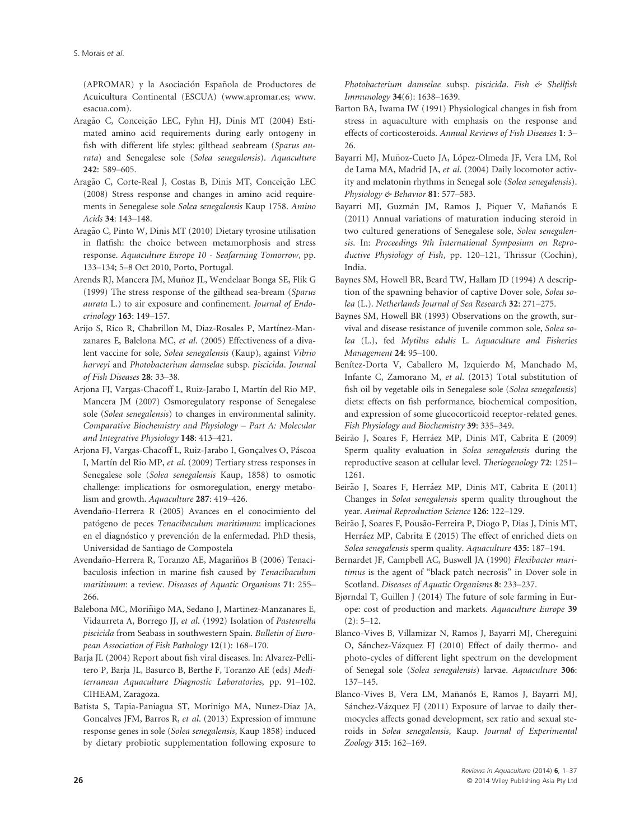(APROMAR) y la Asociación Española de Productores de Acuicultura Continental (ESCUA) (www.apromar.es; www. esacua.com).

- Aragão C, Conceição LEC, Fyhn HJ, Dinis MT (2004) Estimated amino acid requirements during early ontogeny in fish with different life styles: gilthead seabream (Sparus aurata) and Senegalese sole (Solea senegalensis). Aquaculture 242: 589–605.
- Aragão C, Corte-Real J, Costas B, Dinis MT, Conceição LEC (2008) Stress response and changes in amino acid requirements in Senegalese sole Solea senegalensis Kaup 1758. Amino Acids 34: 143–148.
- Aragão C, Pinto W, Dinis MT (2010) Dietary tyrosine utilisation in flatfish: the choice between metamorphosis and stress response. Aquaculture Europe 10 - Seafarming Tomorrow, pp. 133–134; 5–8 Oct 2010, Porto, Portugal.
- Arends RJ, Mancera JM, Muñoz JL, Wendelaar Bonga SE, Flik G (1999) The stress response of the gilthead sea-bream (Sparus aurata L.) to air exposure and confinement. Journal of Endocrinology 163: 149–157.
- Arijo S, Rico R, Chabrillon M, Diaz-Rosales P, Martínez-Manzanares E, Balelona MC, et al. (2005) Effectiveness of a divalent vaccine for sole, Solea senegalensis (Kaup), against Vibrio harveyi and Photobacterium damselae subsp. piscicida. Journal of Fish Diseases 28: 33–38.
- Arjona FJ, Vargas-Chacoff L, Ruiz-Jarabo I, Martín del Rio MP, Mancera JM (2007) Osmoregulatory response of Senegalese sole (Solea senegalensis) to changes in environmental salinity. Comparative Biochemistry and Physiology – Part A: Molecular and Integrative Physiology 148: 413–421.
- Arjona FJ, Vargas-Chacoff L, Ruiz-Jarabo I, Gonçalves O, Páscoa I, Martín del Rio MP, et al. (2009) Tertiary stress responses in Senegalese sole (Solea senegalensis Kaup, 1858) to osmotic challenge: implications for osmoregulation, energy metabolism and growth. Aquaculture 287: 419–426.
- Avendano-Herrera R (2005) Avances en el conocimiento del ~ patógeno de peces Tenacibaculum maritimum: implicaciones en el diagnóstico y prevención de la enfermedad. PhD thesis, Universidad de Santiago de Compostela
- Avendaño-Herrera R, Toranzo AE, Magariños B (2006) Tenacibaculosis infection in marine fish caused by Tenacibaculum maritimum: a review. Diseases of Aquatic Organisms 71: 255– 266.
- Balebona MC, Morinigo MA, Sedano J, Martinez-Manzanares E, ~ Vidaurreta A, Borrego JJ, et al. (1992) Isolation of Pasteurella piscicida from Seabass in southwestern Spain. Bulletin of European Association of Fish Pathology 12(1): 168–170.
- Barja JL (2004) Report about fish viral diseases. In: Alvarez-Pellitero P, Barja JL, Basurco B, Berthe F, Toranzo AE (eds) Mediterranean Aquaculture Diagnostic Laboratories, pp. 91–102. CIHEAM, Zaragoza.
- Batista S, Tapia-Paniagua ST, Morinigo MA, Nunez-Diaz JA, Goncalves JFM, Barros R, et al. (2013) Expression of immune response genes in sole (Solea senegalensis, Kaup 1858) induced by dietary probiotic supplementation following exposure to

Photobacterium damselae subsp. piscicida. Fish & Shellfish Immunology 34(6): 1638–1639.

- Barton BA, Iwama IW (1991) Physiological changes in fish from stress in aquaculture with emphasis on the response and effects of corticosteroids. Annual Reviews of Fish Diseases 1: 3– 26.
- Bayarri MJ, Muñoz-Cueto JA, López-Olmeda JF, Vera LM, Rol de Lama MA, Madrid JA, et al. (2004) Daily locomotor activity and melatonin rhythms in Senegal sole (Solea senegalensis). Physiology & Behavior 81: 577–583.
- Bayarri MJ, Guzmán JM, Ramos J, Piquer V, Mañanós E (2011) Annual variations of maturation inducing steroid in two cultured generations of Senegalese sole, Solea senegalensis. In: Proceedings 9th International Symposium on Reproductive Physiology of Fish, pp. 120–121, Thrissur (Cochin), India.
- Baynes SM, Howell BR, Beard TW, Hallam JD (1994) A description of the spawning behavior of captive Dover sole, Solea solea (L.). Netherlands Journal of Sea Research 32: 271–275.
- Baynes SM, Howell BR (1993) Observations on the growth, survival and disease resistance of juvenile common sole, Solea solea (L.), fed Mytilus edulis L. Aquaculture and Fisheries Management 24: 95–100.
- Benítez-Dorta V, Caballero M, Izquierdo M, Manchado M, Infante C, Zamorano M, et al. (2013) Total substitution of fish oil by vegetable oils in Senegalese sole (Solea senegalensis) diets: effects on fish performance, biochemical composition, and expression of some glucocorticoid receptor-related genes. Fish Physiology and Biochemistry 39: 335–349.
- Beirão J, Soares F, Herráez MP, Dinis MT, Cabrita E (2009) Sperm quality evaluation in Solea senegalensis during the reproductive season at cellular level. Theriogenology 72: 1251– 1261.
- Beirão J, Soares F, Herráez MP, Dinis MT, Cabrita E (2011) Changes in Solea senegalensis sperm quality throughout the year. Animal Reproduction Science 126: 122–129.
- Beirão J, Soares F, Pousão-Ferreira P, Diogo P, Dias J, Dinis MT, Herráez MP, Cabrita E (2015) The effect of enriched diets on Solea senegalensis sperm quality. Aquaculture 435: 187–194.
- Bernardet JF, Campbell AC, Buswell JA (1990) Flexibacter maritimus is the agent of "black patch necrosis" in Dover sole in Scotland. Diseases of Aquatic Organisms 8: 233–237.
- Bjørndal T, Guillen J (2014) The future of sole farming in Europe: cost of production and markets. Aquaculture Europe 39  $(2): 5-12.$
- Blanco-Vives B, Villamizar N, Ramos J, Bayarri MJ, Chereguini O, Sanchez-Vazquez FJ (2010) Effect of daily thermo- and photo-cycles of different light spectrum on the development of Senegal sole (Solea senegalensis) larvae. Aquaculture 306: 137–145.
- Blanco-Vives B, Vera LM, Mañanós E, Ramos J, Bayarri MJ, Sánchez-Vázquez FJ (2011) Exposure of larvae to daily thermocycles affects gonad development, sex ratio and sexual steroids in Solea senegalensis, Kaup. Journal of Experimental Zoology 315: 162–169.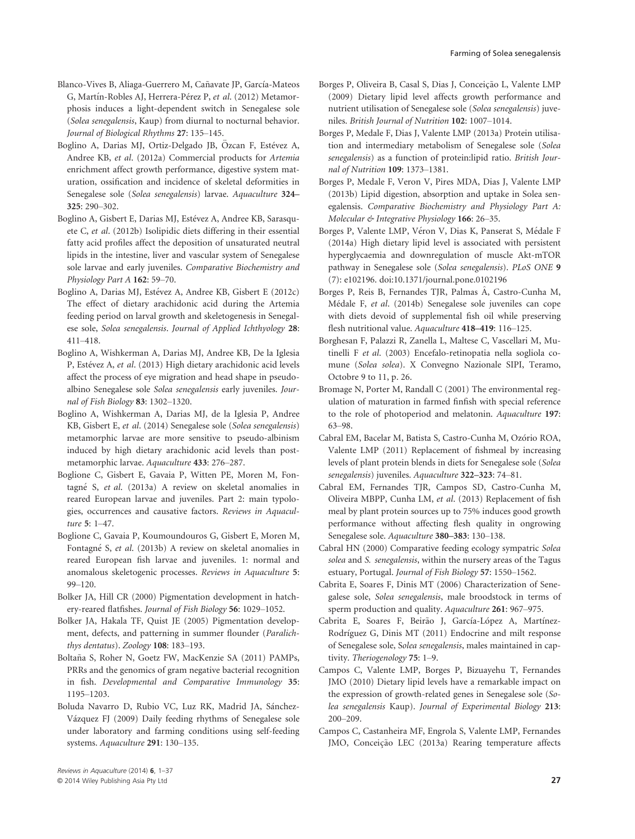- Blanco-Vives B, Aliaga-Guerrero M, Cañavate JP, García-Mateos G, Martín-Robles AJ, Herrera-Pérez P, et al. (2012) Metamorphosis induces a light-dependent switch in Senegalese sole (Solea senegalensis, Kaup) from diurnal to nocturnal behavior. Journal of Biological Rhythms 27: 135–145.
- Boglino A, Darias MJ, Ortiz-Delgado JB, Özcan F, Estévez A, Andree KB, et al. (2012a) Commercial products for Artemia enrichment affect growth performance, digestive system maturation, ossification and incidence of skeletal deformities in Senegalese sole (Solea senegalensis) larvae. Aquaculture 324– 325: 290–302.
- Boglino A, Gisbert E, Darias MJ, Estévez A, Andree KB, Sarasquete C, et al. (2012b) Isolipidic diets differing in their essential fatty acid profiles affect the deposition of unsaturated neutral lipids in the intestine, liver and vascular system of Senegalese sole larvae and early juveniles. Comparative Biochemistry and Physiology Part A 162: 59–70.
- Boglino A, Darias MJ, Estévez A, Andree KB, Gisbert E (2012c) The effect of dietary arachidonic acid during the Artemia feeding period on larval growth and skeletogenesis in Senegalese sole, Solea senegalensis. Journal of Applied Ichthyology 28: 411–418.
- Boglino A, Wishkerman A, Darias MJ, Andree KB, De la Iglesia P, Estévez A, et al. (2013) High dietary arachidonic acid levels affect the process of eye migration and head shape in pseudoalbino Senegalese sole Solea senegalensis early juveniles. Journal of Fish Biology 83: 1302–1320.
- Boglino A, Wishkerman A, Darias MJ, de la Iglesia P, Andree KB, Gisbert E, et al. (2014) Senegalese sole (Solea senegalensis) metamorphic larvae are more sensitive to pseudo-albinism induced by high dietary arachidonic acid levels than postmetamorphic larvae. Aquaculture 433: 276–287.
- Boglione C, Gisbert E, Gavaia P, Witten PE, Moren M, Fontagne S, et al. (2013a) A review on skeletal anomalies in reared European larvae and juveniles. Part 2: main typologies, occurrences and causative factors. Reviews in Aquaculture 5: 1–47.
- Boglione C, Gavaia P, Koumoundouros G, Gisbert E, Moren M, Fontagne S, et al. (2013b) A review on skeletal anomalies in reared European fish larvae and juveniles. 1: normal and anomalous skeletogenic processes. Reviews in Aquaculture 5: 99–120.
- Bolker JA, Hill CR (2000) Pigmentation development in hatchery-reared flatfishes. Journal of Fish Biology 56: 1029–1052.
- Bolker JA, Hakala TF, Quist JE (2005) Pigmentation development, defects, and patterning in summer flounder (Paralichthys dentatus). Zoology 108: 183–193.
- Boltaña S, Roher N, Goetz FW, MacKenzie SA (2011) PAMPs, PRRs and the genomics of gram negative bacterial recognition in fish. Developmental and Comparative Immunology 35: 1195–1203.
- Boluda Navarro D, Rubio VC, Luz RK, Madrid JA, Sánchez-Vazquez FJ (2009) Daily feeding rhythms of Senegalese sole under laboratory and farming conditions using self-feeding systems. Aquaculture 291: 130–135.
- Borges P, Oliveira B, Casal S, Dias J, Conceição L, Valente LMP (2009) Dietary lipid level affects growth performance and nutrient utilisation of Senegalese sole (Solea senegalensis) juveniles. British Journal of Nutrition 102: 1007–1014.
- Borges P, Medale F, Dias J, Valente LMP (2013a) Protein utilisation and intermediary metabolism of Senegalese sole (Solea senegalensis) as a function of protein:lipid ratio. British Journal of Nutrition 109: 1373–1381.
- Borges P, Medale F, Veron V, Pires MDA, Dias J, Valente LMP (2013b) Lipid digestion, absorption and uptake in Solea senegalensis. Comparative Biochemistry and Physiology Part A: Molecular & Integrative Physiology 166: 26–35.
- Borges P, Valente LMP, Véron V, Dias K, Panserat S, Médale F (2014a) High dietary lipid level is associated with persistent hyperglycaemia and downregulation of muscle Akt-mTOR pathway in Senegalese sole (Solea senegalensis). PLoS ONE 9 (7): e102196. doi:10.1371/journal.pone.0102196
- Borges P, Reis B, Fernandes TJR, Palmas A, Castro-Cunha M, Medale F, et al. (2014b) Senegalese sole juveniles can cope with diets devoid of supplemental fish oil while preserving flesh nutritional value. Aquaculture 418–419: 116–125.
- Borghesan F, Palazzi R, Zanella L, Maltese C, Vascellari M, Mutinelli F et al. (2003) Encefalo-retinopatia nella sogliola comune (Solea solea). X Convegno Nazionale SIPI, Teramo, Octobre 9 to 11, p. 26.
- Bromage N, Porter M, Randall C (2001) The environmental regulation of maturation in farmed finfish with special reference to the role of photoperiod and melatonin. Aquaculture 197: 63–98.
- Cabral EM, Bacelar M, Batista S, Castro-Cunha M, Ozório ROA, Valente LMP (2011) Replacement of fishmeal by increasing levels of plant protein blends in diets for Senegalese sole (Solea senegalensis) juveniles. Aquaculture 322–323: 74–81.
- Cabral EM, Fernandes TJR, Campos SD, Castro-Cunha M, Oliveira MBPP, Cunha LM, et al. (2013) Replacement of fish meal by plant protein sources up to 75% induces good growth performance without affecting flesh quality in ongrowing Senegalese sole. Aquaculture 380–383: 130–138.
- Cabral HN (2000) Comparative feeding ecology sympatric Solea solea and S. senegalensis, within the nursery areas of the Tagus estuary, Portugal. Journal of Fish Biology 57: 1550–1562.
- Cabrita E, Soares F, Dinis MT (2006) Characterization of Senegalese sole, Solea senegalensis, male broodstock in terms of sperm production and quality. Aquaculture 261: 967-975.
- Cabrita E, Soares F, Beirão J, García-López A, Martínez-Rodríguez G, Dinis MT (2011) Endocrine and milt response of Senegalese sole, Solea senegalensis, males maintained in captivity. Theriogenology 75: 1–9.
- Campos C, Valente LMP, Borges P, Bizuayehu T, Fernandes JMO (2010) Dietary lipid levels have a remarkable impact on the expression of growth-related genes in Senegalese sole (Solea senegalensis Kaup). Journal of Experimental Biology 213: 200–209.
- Campos C, Castanheira MF, Engrola S, Valente LMP, Fernandes JMO, Conceição LEC (2013a) Rearing temperature affects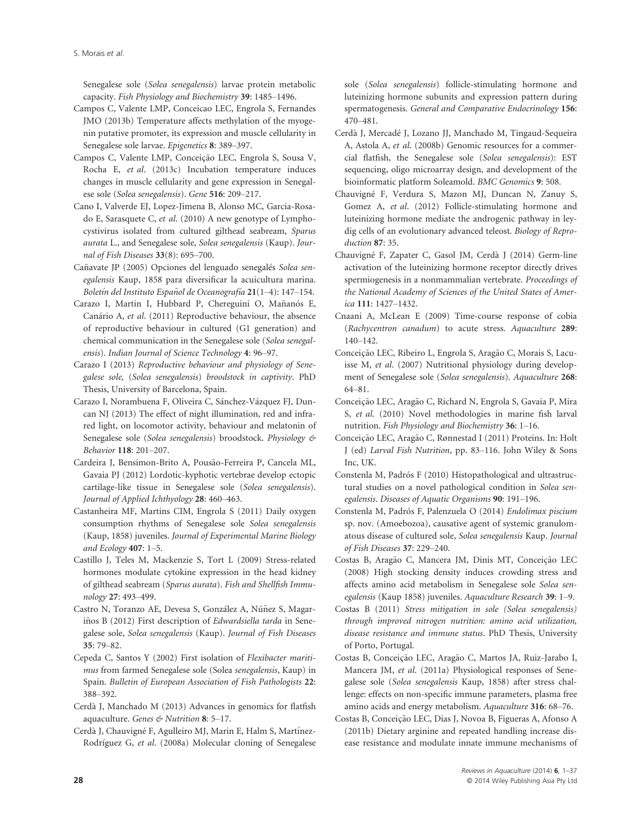S. Morais et al.

Senegalese sole (Solea senegalensis) larvae protein metabolic capacity. Fish Physiology and Biochemistry 39: 1485–1496.

- Campos C, Valente LMP, Conceicao LEC, Engrola S, Fernandes JMO (2013b) Temperature affects methylation of the myogenin putative promoter, its expression and muscle cellularity in Senegalese sole larvae. Epigenetics 8: 389–397.
- Campos C, Valente LMP, Conceição LEC, Engrola S, Sousa V, Rocha E, et al. (2013c) Incubation temperature induces changes in muscle cellularity and gene expression in Senegalese sole (Solea senegalensis). Gene 516: 209–217.
- Cano I, Valverde EJ, Lopez-Jimena B, Alonso MC, Garcia-Rosado E, Sarasquete C, et al. (2010) A new genotype of Lymphocystivirus isolated from cultured gilthead seabream, Sparus aurata L., and Senegalese sole, Solea senegalensis (Kaup). Journal of Fish Diseases 33(8): 695–700.
- Cañavate JP (2005) Opciones del lenguado senegalés Solea senegalensis Kaup, 1858 para diversificar la acuicultura marina. Boletín del Instituto Español de Oceanografía **21**(1–4): 147–154.
- Carazo I, Martin I, Hubbard P, Chereguini O, Mañanós E, Canário A, et al. (2011) Reproductive behaviour, the absence of reproductive behaviour in cultured (G1 generation) and chemical communication in the Senegalese sole (Solea senegalensis). Indian Journal of Science Technology 4: 96–97.
- Carazo I (2013) Reproductive behaviour and physiology of Senegalese sole, (Solea senegalensis) broodstock in captivity. PhD Thesis, University of Barcelona, Spain.
- Carazo I, Norambuena F, Oliveira C, Sánchez-Vázquez FJ, Duncan NJ (2013) The effect of night illumination, red and infrared light, on locomotor activity, behaviour and melatonin of Senegalese sole (Solea senegalensis) broodstock. Physiology & Behavior 118: 201–207.
- Cardeira J, Bensimon-Brito A, Pousão-Ferreira P, Cancela ML, Gavaia PJ (2012) Lordotic-kyphotic vertebrae develop ectopic cartilage-like tissue in Senegalese sole (Solea senegalensis). Journal of Applied Ichthyology 28: 460–463.
- Castanheira MF, Martins CIM, Engrola S (2011) Daily oxygen consumption rhythms of Senegalese sole Solea senegalensis (Kaup, 1858) juveniles. Journal of Experimental Marine Biology and Ecology 407: 1–5.
- Castillo J, Teles M, Mackenzie S, Tort L (2009) Stress-related hormones modulate cytokine expression in the head kidney of gilthead seabream (Sparus aurata). Fish and Shellfish Immunology 27: 493–499.
- Castro N, Toranzo AE, Devesa S, González A, Núñez S, Magariños B (2012) First description of Edwardsiella tarda in Senegalese sole, Solea senegalensis (Kaup). Journal of Fish Diseases 35: 79–82.
- Cepeda C, Santos Y (2002) First isolation of Flexibacter maritimus from farmed Senegalese sole (Solea senegalensis, Kaup) in Spain. Bulletin of European Association of Fish Pathologists 22: 388–392.
- Cerda J, Manchado M (2013) Advances in genomics for flatfish aquaculture. Genes & Nutrition 8: 5–17.
- Cerdà J, Chauvigné F, Agulleiro MJ, Marin E, Halm S, Martínez-Rodríguez G, et al. (2008a) Molecular cloning of Senegalese

sole (Solea senegalensis) follicle-stimulating hormone and luteinizing hormone subunits and expression pattern during spermatogenesis. General and Comparative Endocrinology 156: 470–481.

- Cerda J, Mercade J, Lozano JJ, Manchado M, Tingaud-Sequeira A, Astola A, et al. (2008b) Genomic resources for a commercial flatfish, the Senegalese sole (Solea senegalensis): EST sequencing, oligo microarray design, and development of the bioinformatic platform Soleamold. BMC Genomics 9: 508.
- Chauvigne F, Verdura S, Mazon MJ, Duncan N, Zanuy S, Gomez A, et al. (2012) Follicle-stimulating hormone and luteinizing hormone mediate the androgenic pathway in leydig cells of an evolutionary advanced teleost. Biology of Reproduction 87: 35.
- Chauvigne F, Zapater C, Gasol JM, Cerda J (2014) Germ-line activation of the luteinizing hormone receptor directly drives spermiogenesis in a nonmammalian vertebrate. Proceedings of the National Academy of Sciences of the United States of America 111: 1427–1432.
- Cnaani A, McLean E (2009) Time-course response of cobia (Rachycentron canadum) to acute stress. Aquaculture 289: 140–142.
- Conceição LEC, Ribeiro L, Engrola S, Aragão C, Morais S, Lacuisse M, et al. (2007) Nutritional physiology during development of Senegalese sole (Solea senegalensis). Aquaculture 268: 64–81.
- Conceição LEC, Aragão C, Richard N, Engrola S, Gavaia P, Mira S, et al. (2010) Novel methodologies in marine fish larval nutrition. Fish Physiology and Biochemistry 36: 1–16.
- Conceição LEC, Aragão C, Rønnestad I (2011) Proteins. In: Holt J (ed) Larval Fish Nutrition, pp. 83–116. John Wiley & Sons Inc, UK.
- Constenla M, Padrós F (2010) Histopathological and ultrastructural studies on a novel pathological condition in Solea senegalensis. Diseases of Aquatic Organisms 90: 191–196.
- Constenla M, Padrós F, Palenzuela O (2014) Endolimax piscium sp. nov. (Amoebozoa), causative agent of systemic granulomatous disease of cultured sole, Solea senegalensis Kaup. Journal of Fish Diseases 37: 229–240.
- Costas B, Aragão C, Mancera JM, Dinis MT, Conceição LEC (2008) High stocking density induces crowding stress and affects amino acid metabolism in Senegalese sole Solea senegalensis (Kaup 1858) juveniles. Aquaculture Research 39: 1–9.
- Costas B (2011) Stress mitigation in sole (Solea senegalensis) through improved nitrogen nutrition: amino acid utilization, disease resistance and immune status. PhD Thesis, University of Porto, Portugal.
- Costas B, Conceição LEC, Aragão C, Martos JA, Ruiz-Jarabo I, Mancera JM, et al. (2011a) Physiological responses of Senegalese sole (Solea senegalensis Kaup, 1858) after stress challenge: effects on non-specific immune parameters, plasma free amino acids and energy metabolism. Aquaculture 316: 68–76.
- Costas B, Conceição LEC, Dias J, Novoa B, Figueras A, Afonso A (2011b) Dietary arginine and repeated handling increase disease resistance and modulate innate immune mechanisms of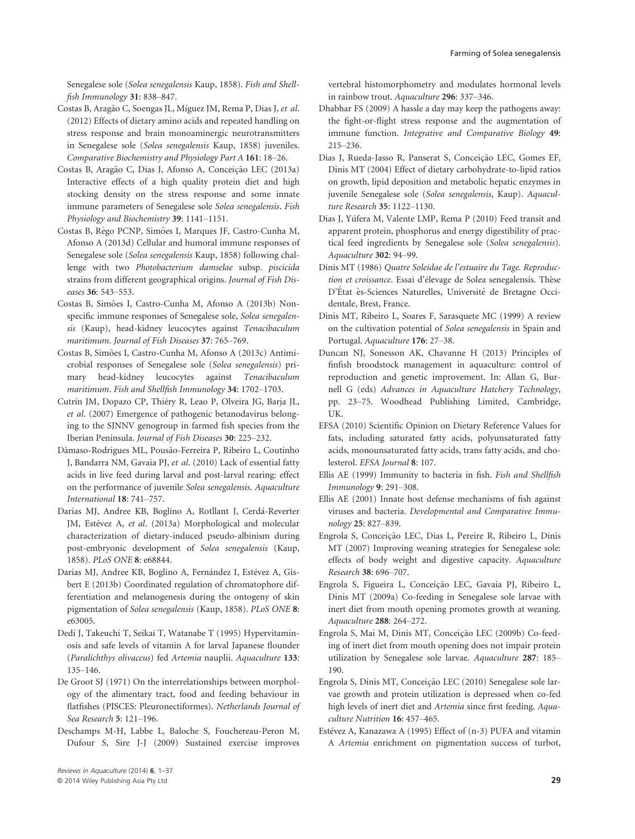Senegalese sole (Solea senegalensis Kaup, 1858). Fish and Shellfish Immunology 31: 838–847.

- Costas B, Aragão C, Soengas JL, Míguez JM, Rema P, Dias J, et al. (2012) Effects of dietary amino acids and repeated handling on stress response and brain monoaminergic neurotransmitters in Senegalese sole (Solea senegalensis Kaup, 1858) juveniles. Comparative Biochemistry and Physiology Part A 161: 18–26.
- Costas B, Aragão C, Dias J, Afonso A, Conceição LEC (2013a) Interactive effects of a high quality protein diet and high stocking density on the stress response and some innate immune parameters of Senegalese sole Solea senegalensis. Fish Physiology and Biochemistry 39: 1141–1151.
- Costas B, Rêgo PCNP, Simões I, Marques JF, Castro-Cunha M, Afonso A (2013d) Cellular and humoral immune responses of Senegalese sole (Solea senegalensis Kaup, 1858) following challenge with two Photobacterium damselae subsp. piscicida strains from different geographical origins. Journal of Fish Diseases 36: 543–553.
- Costas B, Simões I, Castro-Cunha M, Afonso A (2013b) Nonspecific immune responses of Senegalese sole, Solea senegalensis (Kaup), head-kidney leucocytes against Tenacibaculum maritimum. Journal of Fish Diseases 37: 765–769.
- Costas B, Simões I, Castro-Cunha M, Afonso A (2013c) Antimicrobial responses of Senegalese sole (Solea senegalensis) primary head-kidney leucocytes against Tenacibaculum maritimum. Fish and Shellfish Immunology 34: 1702–1703.
- Cutrín JM, Dopazo CP, Thiéry R, Leao P, Olveira JG, Barja JL, et al. (2007) Emergence of pathogenic betanodavirus belonging to the SJNNV genogroup in farmed fish species from the Iberian Peninsula. Journal of Fish Diseases 30: 225–232.
- Dâmaso-Rodrigues ML, Pousão-Ferreira P, Ribeiro L, Coutinho J, Bandarra NM, Gavaia PJ, et al. (2010) Lack of essential fatty acids in live feed during larval and post-larval rearing: effect on the performance of juvenile Solea senegalensis. Aquaculture International 18: 741–757.
- Darias MJ, Andree KB, Boglino A, Rotllant J, Cerda-Reverter JM, Estévez A, et al. (2013a) Morphological and molecular characterization of dietary-induced pseudo-albinism during post-embryonic development of Solea senegalensis (Kaup, 1858). PLoS ONE 8: e68844.
- Darias MJ, Andree KB, Boglino A, Fernández I, Estévez A, Gisbert E (2013b) Coordinated regulation of chromatophore differentiation and melanogenesis during the ontogeny of skin pigmentation of Solea senegalensis (Kaup, 1858). PLoS ONE 8: e63005.
- Dedi J, Takeuchi T, Seikai T, Watanabe T (1995) Hypervitaminosis and safe levels of vitamin A for larval Japanese flounder (Paralichthys olivaceus) fed Artemia nauplii. Aquaculture 133: 135–146.
- De Groot SJ (1971) On the interrelationships between morphology of the alimentary tract, food and feeding behaviour in flatfishes (PISCES: Pleuronectiformes). Netherlands Journal of Sea Research 5: 121–196.
- Deschamps M-H, Labbe L, Baloche S, Fouchereau-Peron M, Dufour S, Sire J-J (2009) Sustained exercise improves

vertebral histomorphometry and modulates hormonal levels in rainbow trout. Aquaculture 296: 337–346.

- Dhabhar FS (2009) A hassle a day may keep the pathogens away: the fight-or-flight stress response and the augmentation of immune function. Integrative and Comparative Biology 49: 215–236.
- Dias J, Rueda-Jasso R, Panserat S, Conceição LEC, Gomes EF, Dinis MT (2004) Effect of dietary carbohydrate-to-lipid ratios on growth, lipid deposition and metabolic hepatic enzymes in juvenile Senegalese sole (Solea senegalensis, Kaup). Aquaculture Research 35: 1122–1130.
- Dias J, Yufera M, Valente LMP, Rema P (2010) Feed transit and apparent protein, phosphorus and energy digestibility of practical feed ingredients by Senegalese sole (Solea senegalensis). Aquaculture 302: 94–99.
- Dinis MT (1986) Quatre Soleidae de l'estuaire du Tage. Reproduction et croissance. Essai d'élevage de Solea senegalensis. Thèse D'État ès-Sciences Naturelles, Université de Bretagne Occidentale, Brest, France.
- Dinis MT, Ribeiro L, Soares F, Sarasquete MC (1999) A review on the cultivation potential of Solea senegalensis in Spain and Portugal. Aquaculture 176: 27–38.
- Duncan NJ, Sonesson AK, Chavanne H (2013) Principles of finfish broodstock management in aquaculture: control of reproduction and genetic improvement. In: Allan G, Burnell G (eds) Advances in Aquaculture Hatchery Technology, pp. 23–75. Woodhead Publishing Limited, Cambridge, UK.
- EFSA (2010) Scientific Opinion on Dietary Reference Values for fats, including saturated fatty acids, polyunsaturated fatty acids, monounsaturated fatty acids, trans fatty acids, and cholesterol. EFSA Journal 8: 107.
- Ellis AE (1999) Immunity to bacteria in fish. Fish and Shellfish Immunology 9: 291–308.
- Ellis AE (2001) Innate host defense mechanisms of fish against viruses and bacteria. Developmental and Comparative Immunology 25: 827–839.
- Engrola S, Conceição LEC, Dias L, Pereire R, Ribeiro L, Dinis MT (2007) Improving weaning strategies for Senegalese sole: effects of body weight and digestive capacity. Aquaculture Research 38: 696–707.
- Engrola S, Figueira L, Conceição LEC, Gavaia PJ, Ribeiro L, Dinis MT (2009a) Co-feeding in Senegalese sole larvae with inert diet from mouth opening promotes growth at weaning. Aquaculture 288: 264–272.
- Engrola S, Mai M, Dinis MT, Conceição LEC (2009b) Co-feeding of inert diet from mouth opening does not impair protein utilization by Senegalese sole larvae. Aquaculture 287: 185– 190.
- Engrola S, Dinis MT, Conceição LEC (2010) Senegalese sole larvae growth and protein utilization is depressed when co-fed high levels of inert diet and Artemia since first feeding. Aquaculture Nutrition 16: 457–465.
- Estévez A, Kanazawa A (1995) Effect of (n-3) PUFA and vitamin A Artemia enrichment on pigmentation success of turbot,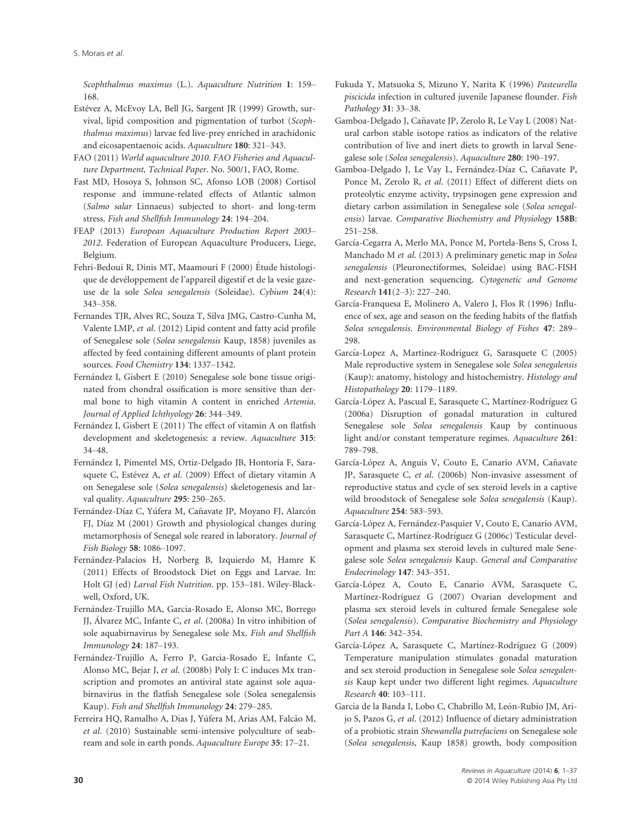Scophthalmus maximus (L.). Aquaculture Nutrition 1: 159– 168.

- Estévez A, McEvoy LA, Bell JG, Sargent JR (1999) Growth, survival, lipid composition and pigmentation of turbot (Scophthalmus maximus) larvae fed live-prey enriched in arachidonic and eicosapentaenoic acids. Aquaculture 180: 321–343.
- FAO (2011) World aquaculture 2010. FAO Fisheries and Aquaculture Department, Technical Paper. No. 500/1, FAO, Rome.
- Fast MD, Hosoya S, Johnson SC, Afonso LOB (2008) Cortisol response and immune-related effects of Atlantic salmon (Salmo salar Linnaeus) subjected to short- and long-term stress. Fish and Shellfish Immunology 24: 194–204.
- FEAP (2013) European Aquaculture Production Report 2003– 2012. Federation of European Aquaculture Producers, Liege, Belgium.
- Fehri-Bedoui R, Dinis MT, Maamouri F (2000) Etude histologi que de developpement de l'appareil digestif et de la vesie gazeuse de la sole Solea senegalensis (Soleidae). Cybium 24(4): 343–358.
- Fernandes TJR, Alves RC, Souza T, Silva JMG, Castro-Cunha M, Valente LMP, et al. (2012) Lipid content and fatty acid profile of Senegalese sole (Solea senegalensis Kaup, 1858) juveniles as affected by feed containing different amounts of plant protein sources. Food Chemistry 134: 1337–1342.
- Fernández I, Gisbert E (2010) Senegalese sole bone tissue originated from chondral ossification is more sensitive than dermal bone to high vitamin A content in enriched Artemia. Journal of Applied Ichthyology 26: 344–349.
- Fernández I, Gisbert E (2011) The effect of vitamin A on flatfish development and skeletogenesis: a review. Aquaculture 315: 34–48.
- Fernández I, Pimentel MS, Ortiz-Delgado JB, Hontoria F, Sarasquete C, Estévez A, et al. (2009) Effect of dietary vitamin A on Senegalese sole (Solea senegalensis) skeletogenesis and larval quality. Aquaculture 295: 250–265.
- Fernández-Díaz C, Yúfera M, Cañavate JP, Moyano FJ, Alarcón FJ, Díaz M (2001) Growth and physiological changes during metamorphosis of Senegal sole reared in laboratory. Journal of Fish Biology 58: 1086–1097.
- Fernández-Palacios H, Norberg B, Izquierdo M, Hamre K (2011) Effects of Broodstock Diet on Eggs and Larvae. In: Holt GJ (ed) Larval Fish Nutrition. pp. 153–181. Wiley-Blackwell, Oxford, UK.
- Fernandez-Trujillo MA, Garcia-Rosado E, Alonso MC, Borrego JJ, Alvarez MC, Infante C, et al. (2008a) In vitro inhibition of sole aquabirnavirus by Senegalese sole Mx. Fish and Shellfish Immunology 24: 187–193.
- Fernandez-Trujillo A, Ferro P, Garcia-Rosado E, Infante C, Alonso MC, Bejar J, et al. (2008b) Poly I: C induces Mx transcription and promotes an antiviral state against sole aquabirnavirus in the flatfish Senegalese sole (Solea senegalensis Kaup). Fish and Shellfish Immunology 24: 279–285.
- Ferreira HQ, Ramalho A, Dias J, Yúfera M, Arias AM, Falcão M, et al. (2010) Sustainable semi-intensive polyculture of seabream and sole in earth ponds. Aquaculture Europe 35: 17–21.
- Fukuda Y, Matsuoka S, Mizuno Y, Narita K (1996) Pasteurella piscicida infection in cultured juvenile Japanese flounder. Fish Pathology 31: 33–38.
- Gamboa-Delgado J, Cañavate JP, Zerolo R, Le Vay L (2008) Natural carbon stable isotope ratios as indicators of the relative contribution of live and inert diets to growth in larval Senegalese sole (Solea senegalensis). Aquaculture 280: 190–197.
- Gamboa-Delgado J, Le Vay L, Fernández-Díaz C, Cañavate P, Ponce M, Zerolo R, et al. (2011) Effect of different diets on proteolytic enzyme activity, trypsinogen gene expression and dietary carbon assimilation in Senegalese sole (Solea senegalensis) larvae. Comparative Biochemistry and Physiology 158B: 251–258.
- García-Cegarra A, Merlo MA, Ponce M, Portela-Bens S, Cross I, Manchado M et al. (2013) A preliminary genetic map in Solea senegalensis (Pleuronectiformes, Soleidae) using BAC-FISH and next-generation sequencing. Cytogenetic and Genome Research 141(2–3): 227–240.
- García-Franquesa E, Molinero A, Valero J, Flos R (1996) Influence of sex, age and season on the feeding habits of the flatfish Solea senegalensis. Environmental Biology of Fishes 47: 289– 298.
- García-Lopez A, Martinez-Rodriguez G, Sarasquete C (2005) Male reproductive system in Senegalese sole Solea senegalensis (Kaup): anatomy, histology and histochemistry. Histology and Histopathology 20: 1179–1189.
- García-López A, Pascual E, Sarasquete C, Martínez-Rodríguez G (2006a) Disruption of gonadal maturation in cultured Senegalese sole Solea senegalensis Kaup by continuous light and/or constant temperature regimes. Aquaculture 261: 789–798.
- García-López A, Anguis V, Couto E, Canario AVM, Cañavate JP, Sarasquete C, et al. (2006b) Non-invasive assessment of reproductive status and cycle of sex steroid levels in a captive wild broodstock of Senegalese sole Solea senegalensis (Kaup). Aquaculture 254: 583–593.
- García-López A, Fernández-Pasquier V, Couto E, Canario AVM, Sarasquete C, Martínez-Rodríguez G (2006c) Testicular development and plasma sex steroid levels in cultured male Senegalese sole Solea senegalensis Kaup. General and Comparative Endocrinology 147: 343–351.
- García-López A, Couto E, Canario AVM, Sarasquete C, Martínez-Rodríguez G (2007) Ovarian development and plasma sex steroid levels in cultured female Senegalese sole (Solea senegalensis). Comparative Biochemistry and Physiology Part A 146: 342–354.
- García-López A, Sarasquete C, Martínez-Rodríguez G (2009) Temperature manipulation stimulates gonadal maturation and sex steroid production in Senegalese sole Solea senegalensis Kaup kept under two different light regimes. Aquaculture Research 40: 103–111.
- Garcia de la Banda I, Lobo C, Chabrillo M, León-Rubio JM, Arijo S, Pazos G, et al. (2012) Influence of dietary administration of a probiotic strain Shewanella putrefaciens on Senegalese sole (Solea senegalensis, Kaup 1858) growth, body composition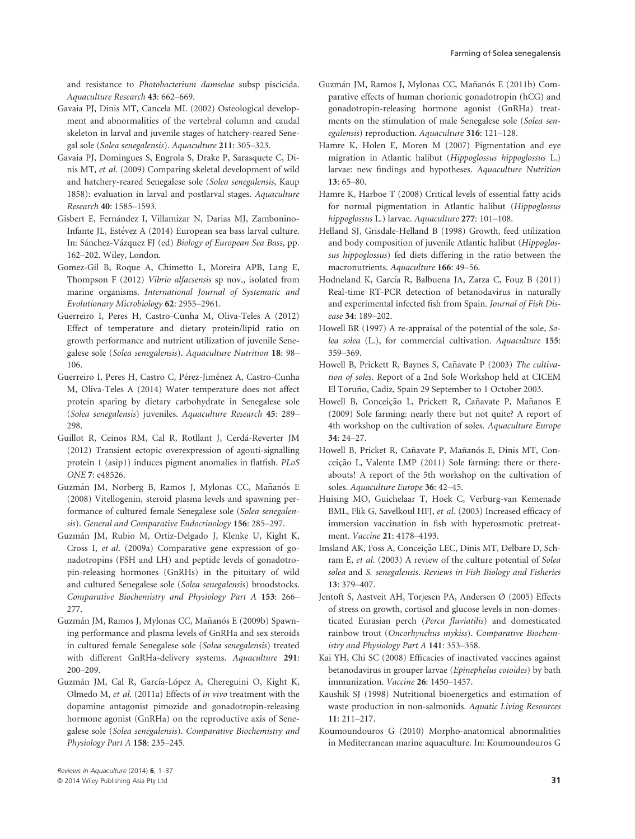and resistance to Photobacterium damselae subsp piscicida. Aquaculture Research 43: 662–669.

- Gavaia PJ, Dinis MT, Cancela ML (2002) Osteological development and abnormalities of the vertebral column and caudal skeleton in larval and juvenile stages of hatchery-reared Senegal sole (Solea senegalensis). Aquaculture 211: 305–323.
- Gavaia PJ, Domingues S, Engrola S, Drake P, Sarasquete C, Dinis MT, et al. (2009) Comparing skeletal development of wild and hatchery-reared Senegalese sole (Solea senegalensis, Kaup 1858): evaluation in larval and postlarval stages. Aquaculture Research 40: 1585–1593.
- Gisbert E, Fernández I, Villamizar N, Darias MJ, Zambonino-Infante JL, Estévez A (2014) European sea bass larval culture. In: Sánchez-Vázquez FJ (ed) Biology of European Sea Bass, pp. 162–202. Wiley, London.
- Gomez-Gil B, Roque A, Chimetto L, Moreira APB, Lang E, Thompson F (2012) Vibrio alfacsensis sp nov., isolated from marine organisms. International Journal of Systematic and Evolutionary Microbiology 62: 2955–2961.
- Guerreiro I, Peres H, Castro-Cunha M, Oliva-Teles A (2012) Effect of temperature and dietary protein/lipid ratio on growth performance and nutrient utilization of juvenile Senegalese sole (Solea senegalensis). Aquaculture Nutrition 18: 98– 106.
- Guerreiro I, Peres H, Castro C, Pérez-Jiménez A, Castro-Cunha M, Oliva-Teles A (2014) Water temperature does not affect protein sparing by dietary carbohydrate in Senegalese sole (Solea senegalensis) juveniles. Aquaculture Research 45: 289– 298.
- Guillot R, Ceinos RM, Cal R, Rotllant J, Cerda-Reverter JM (2012) Transient ectopic overexpression of agouti-signalling protein 1 (asip1) induces pigment anomalies in flatfish. PLoS ONE 7: e48526.
- Guzmán JM, Norberg B, Ramos J, Mylonas CC, Mañanós E (2008) Vitellogenin, steroid plasma levels and spawning performance of cultured female Senegalese sole (Solea senegalensis). General and Comparative Endocrinology 156: 285–297.
- Guzman JM, Rubio M, Ortiz-Delgado J, Klenke U, Kight K, Cross I, et al. (2009a) Comparative gene expression of gonadotropins (FSH and LH) and peptide levels of gonadotropin-releasing hormones (GnRHs) in the pituitary of wild and cultured Senegalese sole (Solea senegalensis) broodstocks. Comparative Biochemistry and Physiology Part A 153: 266– 277.
- Guzmán JM, Ramos J, Mylonas CC, Mañanós E (2009b) Spawning performance and plasma levels of GnRHa and sex steroids in cultured female Senegalese sole (Solea senegalensis) treated with different GnRHa-delivery systems. Aquaculture 291: 200–209.
- Guzmán JM, Cal R, García-López A, Chereguini O, Kight K, Olmedo M, et al. (2011a) Effects of in vivo treatment with the dopamine antagonist pimozide and gonadotropin-releasing hormone agonist (GnRHa) on the reproductive axis of Senegalese sole (Solea senegalensis). Comparative Biochemistry and Physiology Part A 158: 235–245.
- Guzmán JM, Ramos J, Mylonas CC, Mañanós E (2011b) Comparative effects of human chorionic gonadotropin (hCG) and gonadotropin-releasing hormone agonist (GnRHa) treatments on the stimulation of male Senegalese sole (Solea senegalensis) reproduction. Aquaculture 316: 121–128.
- Hamre K, Holen E, Moren M (2007) Pigmentation and eye migration in Atlantic halibut (Hippoglossus hippoglossus L.) larvae: new findings and hypotheses. Aquaculture Nutrition 13: 65–80.
- Hamre K, Harboe T (2008) Critical levels of essential fatty acids for normal pigmentation in Atlantic halibut (Hippoglossus hippoglossus L.) larvae. Aquaculture 277: 101–108.
- Helland SJ, Grisdale-Helland B (1998) Growth, feed utilization and body composition of juvenile Atlantic halibut (Hippoglossus hippoglossus) fed diets differing in the ratio between the macronutrients. Aquaculture 166: 49–56.
- Hodneland K, García R, Balbuena JA, Zarza C, Fouz B (2011) Real-time RT-PCR detection of betanodavirus in naturally and experimental infected fish from Spain. Journal of Fish Disease 34: 189–202.
- Howell BR (1997) A re-appraisal of the potential of the sole, Solea solea (L.), for commercial cultivation. Aquaculture 155: 359–369.
- Howell B, Prickett R, Baynes S, Cañavate P (2003) The cultivation of soles. Report of a 2nd Sole Workshop held at CICEM El Toruño, Cadiz, Spain 29 September to 1 October 2003.
- Howell B, Conceição L, Prickett R, Cañavate P, Mañanos E (2009) Sole farming: nearly there but not quite? A report of 4th workshop on the cultivation of soles. Aquaculture Europe 34: 24–27.
- Howell B, Pricket R, Cañavate P, Mañanós E, Dinis MT, Conceição L, Valente LMP (2011) Sole farming: there or thereabouts! A report of the 5th workshop on the cultivation of soles. Aquaculture Europe 36: 42–45.
- Huising MO, Guichelaar T, Hoek C, Verburg-van Kemenade BML, Flik G, Savelkoul HFJ, et al. (2003) Increased efficacy of immersion vaccination in fish with hyperosmotic pretreatment. Vaccine 21: 4178–4193.
- Imsland AK, Foss A, Conceição LEC, Dinis MT, Delbare D, Schram E, et al. (2003) A review of the culture potential of Solea solea and S. senegalensis. Reviews in Fish Biology and Fisheries 13: 379–407.
- Jentoft S, Aastveit AH, Torjesen PA, Andersen Ø (2005) Effects of stress on growth, cortisol and glucose levels in non-domesticated Eurasian perch (Perca fluviatilis) and domesticated rainbow trout (Oncorhynchus mykiss). Comparative Biochemistry and Physiology Part A 141: 353–358.
- Kai YH, Chi SC (2008) Efficacies of inactivated vaccines against betanodavirus in grouper larvae (Epinephelus coioides) by bath immunization. Vaccine 26: 1450–1457.
- Kaushik SJ (1998) Nutritional bioenergetics and estimation of waste production in non-salmonids. Aquatic Living Resources 11: 211–217.
- Koumoundouros G (2010) Morpho-anatomical abnormalities in Mediterranean marine aquaculture. In: Koumoundouros G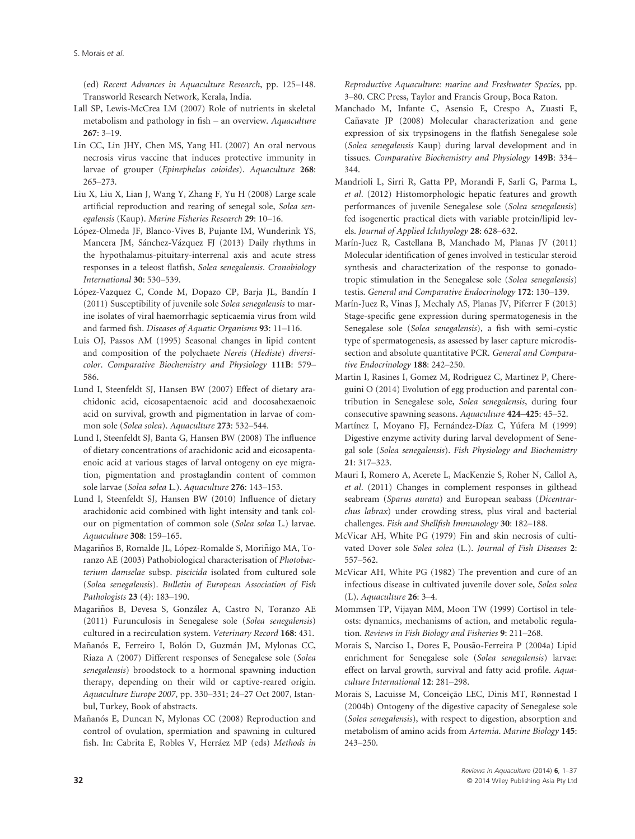(ed) Recent Advances in Aquaculture Research, pp. 125–148. Transworld Research Network, Kerala, India.

- Lall SP, Lewis-McCrea LM (2007) Role of nutrients in skeletal metabolism and pathology in fish – an overview. Aquaculture 267: 3–19.
- Lin CC, Lin JHY, Chen MS, Yang HL (2007) An oral nervous necrosis virus vaccine that induces protective immunity in larvae of grouper (Epinephelus coioides). Aquaculture 268: 265–273.
- Liu X, Liu X, Lian J, Wang Y, Zhang F, Yu H (2008) Large scale artificial reproduction and rearing of senegal sole, Solea senegalensis (Kaup). Marine Fisheries Research 29: 10–16.
- López-Olmeda JF, Blanco-Vives B, Pujante IM, Wunderink YS, Mancera JM, Sánchez-Vázquez FJ (2013) Daily rhythms in the hypothalamus-pituitary-interrenal axis and acute stress responses in a teleost flatfish, Solea senegalensis. Cronobiology International 30: 530–539.
- López-Vazquez C, Conde M, Dopazo CP, Barja JL, Bandín I (2011) Susceptibility of juvenile sole Solea senegalensis to marine isolates of viral haemorrhagic septicaemia virus from wild and farmed fish. Diseases of Aquatic Organisms 93: 11–116.
- Luis OJ, Passos AM (1995) Seasonal changes in lipid content and composition of the polychaete Nereis (Hediste) diversicolor. Comparative Biochemistry and Physiology 111B: 579– 586.
- Lund I, Steenfeldt SJ, Hansen BW (2007) Effect of dietary arachidonic acid, eicosapentaenoic acid and docosahexaenoic acid on survival, growth and pigmentation in larvae of common sole (Solea solea). Aquaculture 273: 532–544.
- Lund I, Steenfeldt SJ, Banta G, Hansen BW (2008) The influence of dietary concentrations of arachidonic acid and eicosapentaenoic acid at various stages of larval ontogeny on eye migration, pigmentation and prostaglandin content of common sole larvae (Solea solea L.). Aquaculture 276: 143–153.
- Lund I, Steenfeldt SJ, Hansen BW (2010) Influence of dietary arachidonic acid combined with light intensity and tank colour on pigmentation of common sole (Solea solea L.) larvae. Aquaculture 308: 159–165.
- Magariños B, Romalde JL, López-Romalde S, Moriñigo MA, Toranzo AE (2003) Pathobiological characterisation of Photobacterium damselae subsp. piscicida isolated from cultured sole (Solea senegalensis). Bulletin of European Association of Fish Pathologists 23 (4): 183–190.
- Magariños B, Devesa S, González A, Castro N, Toranzo AE (2011) Furunculosis in Senegalese sole (Solea senegalensis) cultured in a recirculation system. Veterinary Record 168: 431.
- Mañanós E, Ferreiro I, Bolón D, Guzmán JM, Mylonas CC, Riaza A (2007) Different responses of Senegalese sole (Solea senegalensis) broodstock to a hormonal spawning induction therapy, depending on their wild or captive-reared origin. Aquaculture Europe 2007, pp. 330–331; 24–27 Oct 2007, Istanbul, Turkey, Book of abstracts.
- Mañanós E, Duncan N, Mylonas CC (2008) Reproduction and control of ovulation, spermiation and spawning in cultured fish. In: Cabrita E, Robles V, Herráez MP (eds) Methods in

Reproductive Aquaculture: marine and Freshwater Species, pp. 3–80. CRC Press, Taylor and Francis Group, Boca Raton.

- Manchado M, Infante C, Asensio E, Crespo A, Zuasti E, Cañavate JP (2008) Molecular characterization and gene expression of six trypsinogens in the flatfish Senegalese sole (Solea senegalensis Kaup) during larval development and in tissues. Comparative Biochemistry and Physiology 149B: 334– 344.
- Mandrioli L, Sirri R, Gatta PP, Morandi F, Sarli G, Parma L, et al. (2012) Histomorphologic hepatic features and growth performances of juvenile Senegalese sole (Solea senegalensis) fed isogenertic practical diets with variable protein/lipid levels. Journal of Applied Ichthyology 28: 628–632.
- Marín-Juez R, Castellana B, Manchado M, Planas JV (2011) Molecular identification of genes involved in testicular steroid synthesis and characterization of the response to gonadotropic stimulation in the Senegalese sole (Solea senegalensis) testis. General and Comparative Endocrinology 172: 130–139.
- Marín-Juez R, Vinas J, Mechaly AS, Planas JV, Piferrer F (2013) Stage-specific gene expression during spermatogenesis in the Senegalese sole (Solea senegalensis), a fish with semi-cystic type of spermatogenesis, as assessed by laser capture microdissection and absolute quantitative PCR. General and Comparative Endocrinology 188: 242–250.
- Martin I, Rasines I, Gomez M, Rodriguez C, Martinez P, Chereguini O (2014) Evolution of egg production and parental contribution in Senegalese sole, Solea senegalensis, during four consecutive spawning seasons. Aquaculture 424–425: 45–52.
- Martínez I, Moyano FJ, Fernández-Díaz C, Yúfera M (1999) Digestive enzyme activity during larval development of Senegal sole (Solea senegalensis). Fish Physiology and Biochemistry 21: 317–323.
- Mauri I, Romero A, Acerete L, MacKenzie S, Roher N, Callol A, et al. (2011) Changes in complement responses in gilthead seabream (Sparus aurata) and European seabass (Dicentrarchus labrax) under crowding stress, plus viral and bacterial challenges. Fish and Shellfish Immunology 30: 182–188.
- McVicar AH, White PG (1979) Fin and skin necrosis of cultivated Dover sole Solea solea (L.). Journal of Fish Diseases 2: 557–562.
- McVicar AH, White PG (1982) The prevention and cure of an infectious disease in cultivated juvenile dover sole, Solea solea (L). Aquaculture 26: 3–4.
- Mommsen TP, Vijayan MM, Moon TW (1999) Cortisol in teleosts: dynamics, mechanisms of action, and metabolic regulation. Reviews in Fish Biology and Fisheries 9: 211–268.
- Morais S, Narciso L, Dores E, Pousão-Ferreira P (2004a) Lipid enrichment for Senegalese sole (Solea senegalensis) larvae: effect on larval growth, survival and fatty acid profile. Aquaculture International 12: 281–298.
- Morais S, Lacuisse M, Conceição LEC, Dinis MT, Rønnestad I (2004b) Ontogeny of the digestive capacity of Senegalese sole (Solea senegalensis), with respect to digestion, absorption and metabolism of amino acids from Artemia. Marine Biology 145: 243–250.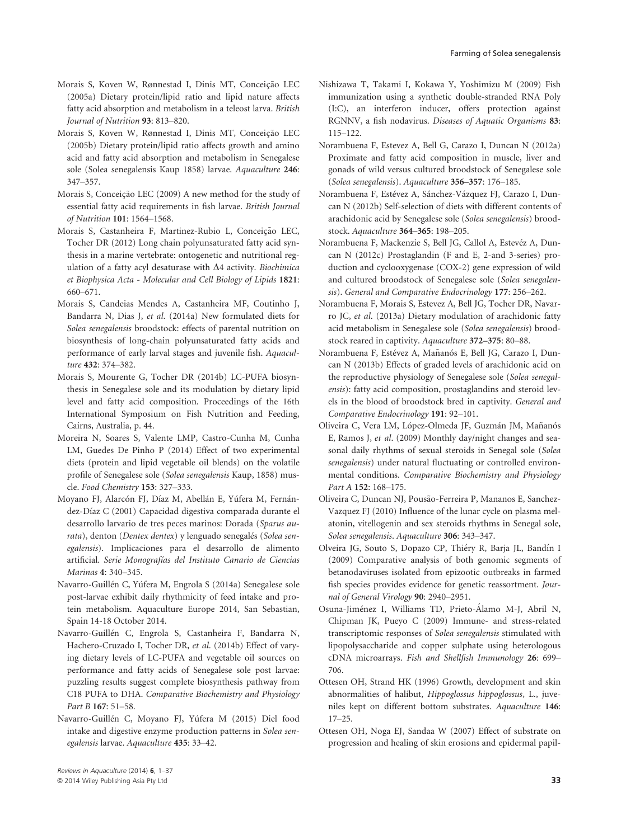- Morais S, Koven W, Rønnestad I, Dinis MT, Conceição LEC (2005a) Dietary protein/lipid ratio and lipid nature affects fatty acid absorption and metabolism in a teleost larva. British Journal of Nutrition 93: 813–820.
- Morais S, Koven W, Rønnestad I, Dinis MT, Conceição LEC (2005b) Dietary protein/lipid ratio affects growth and amino acid and fatty acid absorption and metabolism in Senegalese sole (Solea senegalensis Kaup 1858) larvae. Aquaculture 246: 347–357.
- Morais S, Conceição LEC (2009) A new method for the study of essential fatty acid requirements in fish larvae. British Journal of Nutrition 101: 1564–1568.
- Morais S, Castanheira F, Martinez-Rubio L, Conceição LEC, Tocher DR (2012) Long chain polyunsaturated fatty acid synthesis in a marine vertebrate: ontogenetic and nutritional regulation of a fatty acyl desaturase with  $\Delta 4$  activity. Biochimica et Biophysica Acta - Molecular and Cell Biology of Lipids 1821: 660–671.
- Morais S, Candeias Mendes A, Castanheira MF, Coutinho J, Bandarra N, Dias J, et al. (2014a) New formulated diets for Solea senegalensis broodstock: effects of parental nutrition on biosynthesis of long-chain polyunsaturated fatty acids and performance of early larval stages and juvenile fish. Aquaculture 432: 374–382.
- Morais S, Mourente G, Tocher DR (2014b) LC-PUFA biosynthesis in Senegalese sole and its modulation by dietary lipid level and fatty acid composition. Proceedings of the 16th International Symposium on Fish Nutrition and Feeding, Cairns, Australia, p. 44.
- Moreira N, Soares S, Valente LMP, Castro-Cunha M, Cunha LM, Guedes De Pinho P (2014) Effect of two experimental diets (protein and lipid vegetable oil blends) on the volatile profile of Senegalese sole (Solea senegalensis Kaup, 1858) muscle. Food Chemistry 153: 327–333.
- Moyano FJ, Alarcón FJ, Díaz M, Abellán E, Yúfera M, Fernández-Díaz C (2001) Capacidad digestiva comparada durante el desarrollo larvario de tres peces marinos: Dorada (Sparus aurata), denton (Dentex dentex) y lenguado senegalés (Solea senegalensis). Implicaciones para el desarrollo de alimento artificial. Serie Monografías del Instituto Canario de Ciencias Marinas 4: 340–345.
- Navarro-Guillen C, Yufera M, Engrola S (2014a) Senegalese sole post-larvae exhibit daily rhythmicity of feed intake and protein metabolism. Aquaculture Europe 2014, San Sebastian, Spain 14-18 October 2014.
- Navarro-Guillen C, Engrola S, Castanheira F, Bandarra N, Hachero-Cruzado I, Tocher DR, et al. (2014b) Effect of varying dietary levels of LC-PUFA and vegetable oil sources on performance and fatty acids of Senegalese sole post larvae: puzzling results suggest complete biosynthesis pathway from C18 PUFA to DHA. Comparative Biochemistry and Physiology Part B 167: 51-58.
- Navarro-Guillen C, Moyano FJ, Yufera M (2015) Diel food intake and digestive enzyme production patterns in Solea senegalensis larvae. Aquaculture 435: 33–42.
- Nishizawa T, Takami I, Kokawa Y, Yoshimizu M (2009) Fish immunization using a synthetic double-stranded RNA Poly (I:C), an interferon inducer, offers protection against RGNNV, a fish nodavirus. Diseases of Aquatic Organisms 83: 115–122.
- Norambuena F, Estevez A, Bell G, Carazo I, Duncan N (2012a) Proximate and fatty acid composition in muscle, liver and gonads of wild versus cultured broodstock of Senegalese sole (Solea senegalensis). Aquaculture 356–357: 176–185.
- Norambuena F, Estévez A, Sánchez-Vázquez FJ, Carazo I, Duncan N (2012b) Self-selection of diets with different contents of arachidonic acid by Senegalese sole (Solea senegalensis) broodstock. Aquaculture 364–365: 198–205.
- Norambuena F, Mackenzie S, Bell JG, Callol A, Estevéz A, Duncan N (2012c) Prostaglandin (F and E, 2-and 3-series) production and cyclooxygenase (COX-2) gene expression of wild and cultured broodstock of Senegalese sole (Solea senegalensis). General and Comparative Endocrinology 177: 256–262.
- Norambuena F, Morais S, Estevez A, Bell JG, Tocher DR, Navarro JC, et al. (2013a) Dietary modulation of arachidonic fatty acid metabolism in Senegalese sole (Solea senegalensis) broodstock reared in captivity. Aquaculture 372–375: 80–88.
- Norambuena F, Estévez A, Mañanós E, Bell JG, Carazo I, Duncan N (2013b) Effects of graded levels of arachidonic acid on the reproductive physiology of Senegalese sole (Solea senegalensis): fatty acid composition, prostaglandins and steroid levels in the blood of broodstock bred in captivity. General and Comparative Endocrinology 191: 92–101.
- Oliveira C, Vera LM, López-Olmeda JF, Guzmán JM, Mañanós E, Ramos J, et al. (2009) Monthly day/night changes and seasonal daily rhythms of sexual steroids in Senegal sole (Solea senegalensis) under natural fluctuating or controlled environmental conditions. Comparative Biochemistry and Physiology Part A 152: 168–175.
- Oliveira C, Duncan NJ, Pousão-Ferreira P, Mananos E, Sanchez-Vazquez FJ (2010) Influence of the lunar cycle on plasma melatonin, vitellogenin and sex steroids rhythms in Senegal sole, Solea senegalensis. Aquaculture 306: 343–347.
- Olveira JG, Souto S, Dopazo CP, Thiery R, Barja JL, Bandın I (2009) Comparative analysis of both genomic segments of betanodaviruses isolated from epizootic outbreaks in farmed fish species provides evidence for genetic reassortment. Journal of General Virology 90: 2940–2951.
- Osuna-Jimenez I, Williams TD, Prieto-Alamo M-J, Abril N, Chipman JK, Pueyo C (2009) Immune- and stress-related transcriptomic responses of Solea senegalensis stimulated with lipopolysaccharide and copper sulphate using heterologous cDNA microarrays. Fish and Shellfish Immunology 26: 699– 706.
- Ottesen OH, Strand HK (1996) Growth, development and skin abnormalities of halibut, Hippoglossus hippoglossus, L., juveniles kept on different bottom substrates. Aquaculture 146: 17–25.
- Ottesen OH, Noga EJ, Sandaa W (2007) Effect of substrate on progression and healing of skin erosions and epidermal papil-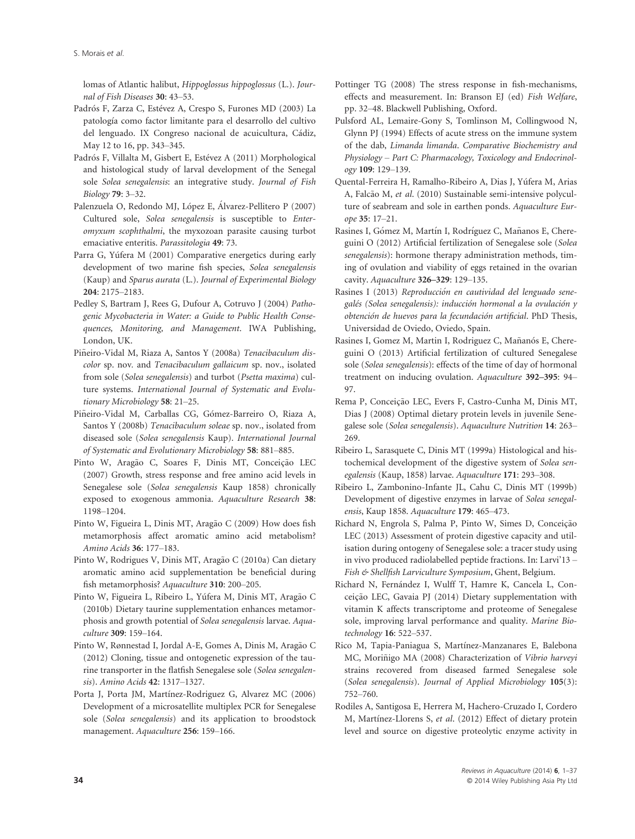S. Morais et al.

lomas of Atlantic halibut, Hippoglossus hippoglossus (L.). Journal of Fish Diseases 30: 43–53.

- Padrós F, Zarza C, Estévez A, Crespo S, Furones MD (2003) La patología como factor limitante para el desarrollo del cultivo del lenguado. IX Congreso nacional de acuicultura, Cádiz, May 12 to 16, pp. 343–345.
- Padrós F, Villalta M, Gisbert E, Estévez A (2011) Morphological and histological study of larval development of the Senegal sole Solea senegalensis: an integrative study. Journal of Fish Biology 79: 3–32.
- Palenzuela O, Redondo MJ, López E, Álvarez-Pellitero P (2007) Cultured sole, Solea senegalensis is susceptible to Enteromyxum scophthalmi, the myxozoan parasite causing turbot emaciative enteritis. Parassitologia 49: 73.
- Parra G, Yúfera M (2001) Comparative energetics during early development of two marine fish species, Solea senegalensis (Kaup) and Sparus aurata (L.). Journal of Experimental Biology 204: 2175–2183.
- Pedley S, Bartram J, Rees G, Dufour A, Cotruvo J (2004) Pathogenic Mycobacteria in Water: a Guide to Public Health Consequences, Monitoring, and Management. IWA Publishing, London, UK.
- Piñeiro-Vidal M, Riaza A, Santos Y (2008a) Tenacibaculum discolor sp. nov. and Tenacibaculum gallaicum sp. nov., isolated from sole (Solea senegalensis) and turbot (Psetta maxima) culture systems. International Journal of Systematic and Evolutionary Microbiology 58: 21–25.
- Piñeiro-Vidal M, Carballas CG, Gómez-Barreiro O, Riaza A, Santos Y (2008b) Tenacibaculum soleae sp. nov., isolated from diseased sole (Solea senegalensis Kaup). International Journal of Systematic and Evolutionary Microbiology 58: 881–885.
- Pinto W, Aragão C, Soares F, Dinis MT, Conceição LEC (2007) Growth, stress response and free amino acid levels in Senegalese sole (Solea senegalensis Kaup 1858) chronically exposed to exogenous ammonia. Aquaculture Research 38: 1198–1204.
- Pinto W, Figueira L, Dinis MT, Aragão C (2009) How does fish metamorphosis affect aromatic amino acid metabolism? Amino Acids 36: 177–183.
- Pinto W, Rodrigues V, Dinis MT, Aragão C (2010a) Can dietary aromatic amino acid supplementation be beneficial during fish metamorphosis? Aquaculture 310: 200–205.
- Pinto W, Figueira L, Ribeiro L, Yúfera M, Dinis MT, Aragão C (2010b) Dietary taurine supplementation enhances metamorphosis and growth potential of Solea senegalensis larvae. Aquaculture 309: 159–164.
- Pinto W, Rønnestad I, Jordal A-E, Gomes A, Dinis M, Aragão C (2012) Cloning, tissue and ontogenetic expression of the taurine transporter in the flatfish Senegalese sole (Solea senegalensis). Amino Acids 42: 1317–1327.
- Porta J, Porta JM, Martínez-Rodriguez G, Alvarez MC (2006) Development of a microsatellite multiplex PCR for Senegalese sole (Solea senegalensis) and its application to broodstock management. Aquaculture 256: 159–166.
- Pottinger TG (2008) The stress response in fish-mechanisms, effects and measurement. In: Branson EJ (ed) Fish Welfare, pp. 32–48. Blackwell Publishing, Oxford.
- Pulsford AL, Lemaire-Gony S, Tomlinson M, Collingwood N, Glynn PJ (1994) Effects of acute stress on the immune system of the dab, Limanda limanda. Comparative Biochemistry and Physiology – Part C: Pharmacology, Toxicology and Endocrinology 109: 129–139.
- Quental-Ferreira H, Ramalho-Ribeiro A, Dias J, Yufera M, Arias A, Falcão M, et al. (2010) Sustainable semi-intensive polyculture of seabream and sole in earthen ponds. Aquaculture Europe 35: 17–21.
- Rasines I, Gómez M, Martín I, Rodríguez C, Mañanos E, Chereguini O (2012) Artificial fertilization of Senegalese sole (Solea senegalensis): hormone therapy administration methods, timing of ovulation and viability of eggs retained in the ovarian cavity. Aquaculture 326–329: 129–135.
- Rasines I (2013) Reproducción en cautividad del lenguado senegalés (Solea senegalensis): inducción hormonal a la ovulación y obtención de huevos para la fecundación artificial. PhD Thesis, Universidad de Oviedo, Oviedo, Spain.
- Rasines I, Gomez M, Martin I, Rodriguez C, Mañanós E, Chereguini O (2013) Artificial fertilization of cultured Senegalese sole (Solea senegalensis): effects of the time of day of hormonal treatment on inducing ovulation. Aquaculture 392–395: 94– 97.
- Rema P, Conceição LEC, Evers F, Castro-Cunha M, Dinis MT, Dias J (2008) Optimal dietary protein levels in juvenile Senegalese sole (Solea senegalensis). Aquaculture Nutrition 14: 263– 269.
- Ribeiro L, Sarasquete C, Dinis MT (1999a) Histological and histochemical development of the digestive system of Solea senegalensis (Kaup, 1858) larvae. Aquaculture 171: 293–308.
- Ribeiro L, Zambonino-Infante JL, Cahu C, Dinis MT (1999b) Development of digestive enzymes in larvae of Solea senegalensis, Kaup 1858. Aquaculture 179: 465–473.
- Richard N, Engrola S, Palma P, Pinto W, Simes D, Conceição LEC (2013) Assessment of protein digestive capacity and utilisation during ontogeny of Senegalese sole: a tracer study using in vivo produced radiolabelled peptide fractions. In: Larvi'13 – Fish & Shellfish Larviculture Symposium, Ghent, Belgium.
- Richard N, Fernández I, Wulff T, Hamre K, Cancela L, Conceição LEC, Gavaia PJ (2014) Dietary supplementation with vitamin K affects transcriptome and proteome of Senegalese sole, improving larval performance and quality. Marine Biotechnology 16: 522–537.
- Rico M, Tapia-Paniagua S, Martínez-Manzanares E, Balebona MC, Moriñigo MA (2008) Characterization of Vibrio harveyi strains recovered from diseased farmed Senegalese sole (Solea senegalensis). Journal of Applied Microbiology 105(3): 752–760.
- Rodiles A, Santigosa E, Herrera M, Hachero-Cruzado I, Cordero M, Martínez-Llorens S, et al. (2012) Effect of dietary protein level and source on digestive proteolytic enzyme activity in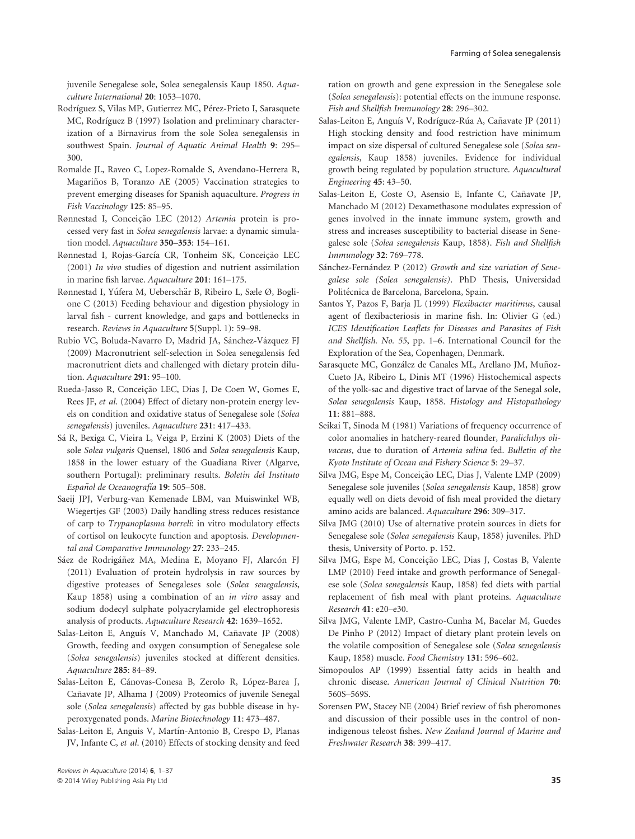juvenile Senegalese sole, Solea senegalensis Kaup 1850. Aquaculture International 20: 1053–1070.

- Rodríguez S, Vilas MP, Gutierrez MC, Pérez-Prieto I, Sarasquete MC, Rodríguez B (1997) Isolation and preliminary characterization of a Birnavirus from the sole Solea senegalensis in southwest Spain. Journal of Aquatic Animal Health 9: 295– 300.
- Romalde JL, Raveo C, Lopez-Romalde S, Avendano-Herrera R, Magariños B, Toranzo AE (2005) Vaccination strategies to prevent emerging diseases for Spanish aquaculture. Progress in Fish Vaccinology 125: 85–95.
- Rønnestad I, Conceição LEC (2012) Artemia protein is processed very fast in Solea senegalensis larvae: a dynamic simulation model. Aquaculture 350–353: 154–161.
- Rønnestad I, Rojas-García CR, Tonheim SK, Conceição LEC (2001) In vivo studies of digestion and nutrient assimilation in marine fish larvae. Aquaculture 201: 161–175.
- Rønnestad I, Yúfera M, Ueberschär B, Ribeiro L, Sæle Ø, Boglione C (2013) Feeding behaviour and digestion physiology in larval fish - current knowledge, and gaps and bottlenecks in research. Reviews in Aquaculture 5(Suppl. 1): 59–98.
- Rubio VC, Boluda-Navarro D, Madrid JA, Sánchez-Vázquez FJ (2009) Macronutrient self-selection in Solea senegalensis fed macronutrient diets and challenged with dietary protein dilution. Aquaculture 291: 95-100.
- Rueda-Jasso R, Conceição LEC, Dias J, De Coen W, Gomes E, Rees JF, et al. (2004) Effect of dietary non-protein energy levels on condition and oxidative status of Senegalese sole (Solea senegalensis) juveniles. Aquaculture 231: 417-433.
- Sá R, Bexiga C, Vieira L, Veiga P, Erzini K (2003) Diets of the sole Solea vulgaris Quensel, 1806 and Solea senegalensis Kaup, 1858 in the lower estuary of the Guadiana River (Algarve, southern Portugal): preliminary results. Boletin del Instituto Español de Oceanografía **19**: 505–508.
- Saeij JPJ, Verburg-van Kemenade LBM, van Muiswinkel WB, Wiegertjes GF (2003) Daily handling stress reduces resistance of carp to Trypanoplasma borreli: in vitro modulatory effects of cortisol on leukocyte function and apoptosis. Developmental and Comparative Immunology 27: 233–245.
- Sáez de Rodrigáñez MA, Medina E, Moyano FJ, Alarcón FJ (2011) Evaluation of protein hydrolysis in raw sources by digestive proteases of Senegaleses sole (Solea senegalensis, Kaup 1858) using a combination of an in vitro assay and sodium dodecyl sulphate polyacrylamide gel electrophoresis analysis of products. Aquaculture Research 42: 1639–1652.
- Salas-Leiton E, Anguís V, Manchado M, Cañavate JP (2008) Growth, feeding and oxygen consumption of Senegalese sole (Solea senegalensis) juveniles stocked at different densities. Aquaculture 285: 84–89.
- Salas-Leiton E, Cánovas-Conesa B, Zerolo R, López-Barea J, Cañavate JP, Alhama J (2009) Proteomics of juvenile Senegal sole (Solea senegalensis) affected by gas bubble disease in hyperoxygenated ponds. Marine Biotechnology 11: 473–487.
- Salas-Leiton E, Anguis V, Martín-Antonio B, Crespo D, Planas JV, Infante C, et al. (2010) Effects of stocking density and feed

ration on growth and gene expression in the Senegalese sole (Solea senegalensis): potential effects on the immune response. Fish and Shellfish Immunology 28: 296–302.

- Salas-Leiton E, Anguís V, Rodríguez-Rúa A, Cañavate JP (2011) High stocking density and food restriction have minimum impact on size dispersal of cultured Senegalese sole (Solea senegalensis, Kaup 1858) juveniles. Evidence for individual growth being regulated by population structure. Aquacultural Engineering 45: 43–50.
- Salas-Leiton E, Coste O, Asensio E, Infante C, Cañavate JP, Manchado M (2012) Dexamethasone modulates expression of genes involved in the innate immune system, growth and stress and increases susceptibility to bacterial disease in Senegalese sole (Solea senegalensis Kaup, 1858). Fish and Shellfish Immunology 32: 769–778.
- Sánchez-Fernández P (2012) Growth and size variation of Senegalese sole (Solea senegalensis). PhD Thesis, Universidad Politécnica de Barcelona, Barcelona, Spain.
- Santos Y, Pazos F, Barja JL (1999) Flexibacter maritimus, causal agent of flexibacteriosis in marine fish. In: Olivier G (ed.) ICES Identification Leaflets for Diseases and Parasites of Fish and Shellfish. No. 55, pp. 1–6. International Council for the Exploration of the Sea, Copenhagen, Denmark.
- Sarasquete MC, González de Canales ML, Arellano JM, Muñoz-Cueto JA, Ribeiro L, Dinis MT (1996) Histochemical aspects of the yolk-sac and digestive tract of larvae of the Senegal sole, Solea senegalensis Kaup, 1858. Histology and Histopathology 11: 881–888.
- Seikai T, Sinoda M (1981) Variations of frequency occurrence of color anomalies in hatchery-reared flounder, Paralichthys olivaceus, due to duration of Artemia salina fed. Bulletin of the Kyoto Institute of Ocean and Fishery Science 5: 29–37.
- Silva JMG, Espe M, Conceição LEC, Dias J, Valente LMP (2009) Senegalese sole juveniles (Solea senegalensis Kaup, 1858) grow equally well on diets devoid of fish meal provided the dietary amino acids are balanced. Aquaculture 296: 309–317.
- Silva JMG (2010) Use of alternative protein sources in diets for Senegalese sole (Solea senegalensis Kaup, 1858) juveniles. PhD thesis, University of Porto. p. 152.
- Silva JMG, Espe M, Conceição LEC, Dias J, Costas B, Valente LMP (2010) Feed intake and growth performance of Senegalese sole (Solea senegalensis Kaup, 1858) fed diets with partial replacement of fish meal with plant proteins. Aquaculture Research 41: e20–e30.
- Silva JMG, Valente LMP, Castro-Cunha M, Bacelar M, Guedes De Pinho P (2012) Impact of dietary plant protein levels on the volatile composition of Senegalese sole (Solea senegalensis Kaup, 1858) muscle. Food Chemistry 131: 596–602.
- Simopoulos AP (1999) Essential fatty acids in health and chronic disease. American Journal of Clinical Nutrition 70: 560S–569S.
- Sorensen PW, Stacey NE (2004) Brief review of fish pheromones and discussion of their possible uses in the control of nonindigenous teleost fishes. New Zealand Journal of Marine and Freshwater Research 38: 399–417.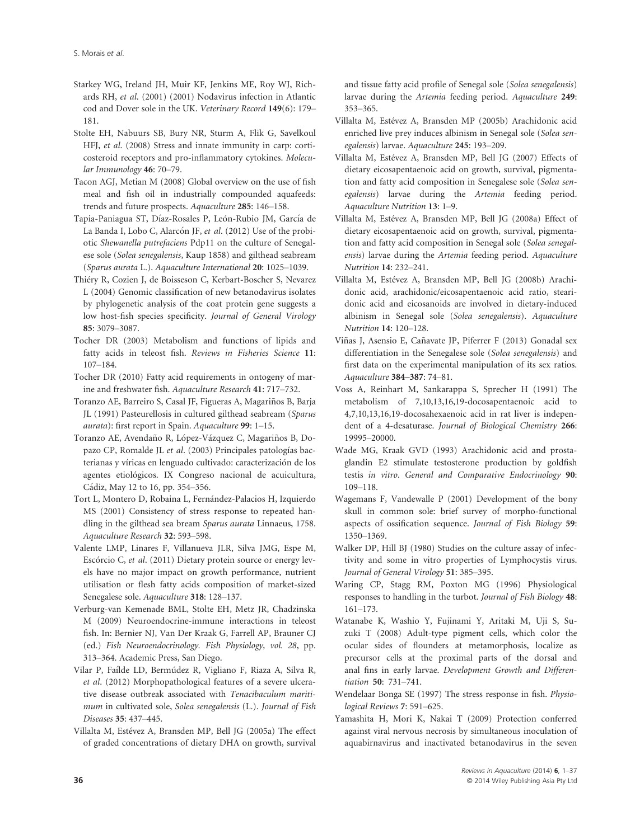- Starkey WG, Ireland JH, Muir KF, Jenkins ME, Roy WJ, Richards RH, et al. (2001) (2001) Nodavirus infection in Atlantic cod and Dover sole in the UK. Veterinary Record 149(6): 179– 181.
- Stolte EH, Nabuurs SB, Bury NR, Sturm A, Flik G, Savelkoul HFJ, et al. (2008) Stress and innate immunity in carp: corticosteroid receptors and pro-inflammatory cytokines. Molecular Immunology 46: 70–79.
- Tacon AGJ, Metian M (2008) Global overview on the use of fish meal and fish oil in industrially compounded aquafeeds: trends and future prospects. Aquaculture 285: 146–158.
- Tapia-Paniagua ST, Díaz-Rosales P, León-Rubio JM, García de La Banda I, Lobo C, Alarcón JF, et al. (2012) Use of the probiotic Shewanella putrefaciens Pdp11 on the culture of Senegalese sole (Solea senegalensis, Kaup 1858) and gilthead seabream (Sparus aurata L.). Aquaculture International 20: 1025–1039.
- Thiery R, Cozien J, de Boisseson C, Kerbart-Boscher S, Nevarez L (2004) Genomic classification of new betanodavirus isolates by phylogenetic analysis of the coat protein gene suggests a low host-fish species specificity. Journal of General Virology 85: 3079–3087.
- Tocher DR (2003) Metabolism and functions of lipids and fatty acids in teleost fish. Reviews in Fisheries Science 11: 107–184.
- Tocher DR (2010) Fatty acid requirements in ontogeny of marine and freshwater fish. Aquaculture Research 41: 717–732.
- Toranzo AE, Barreiro S, Casal JF, Figueras A, Magarinos B, Barja ~ JL (1991) Pasteurellosis in cultured gilthead seabream (Sparus aurata): first report in Spain. Aquaculture 99: 1–15.
- Toranzo AE, Avendaño R, López-Vázquez C, Magariños B, Dopazo CP, Romalde JL et al. (2003) Principales patologías bacterianas y víricas en lenguado cultivado: caracterización de los agentes etiológicos. IX Congreso nacional de acuicultura, Cadiz, May 12 to 16, pp. 354–356.
- Tort L, Montero D, Robaina L, Fernández-Palacios H, Izquierdo MS (2001) Consistency of stress response to repeated handling in the gilthead sea bream Sparus aurata Linnaeus, 1758. Aquaculture Research 32: 593–598.
- Valente LMP, Linares F, Villanueva JLR, Silva JMG, Espe M, Escórcio C, et al. (2011) Dietary protein source or energy levels have no major impact on growth performance, nutrient utilisation or flesh fatty acids composition of market-sized Senegalese sole. Aquaculture 318: 128–137.
- Verburg-van Kemenade BML, Stolte EH, Metz JR, Chadzinska M (2009) Neuroendocrine-immune interactions in teleost fish. In: Bernier NJ, Van Der Kraak G, Farrell AP, Brauner CJ (ed.) Fish Neuroendocrinology. Fish Physiology, vol. 28, pp. 313–364. Academic Press, San Diego.
- Vilar P, Faílde LD, Bermúdez R, Vigliano F, Riaza A, Silva R, et al. (2012) Morphopathological features of a severe ulcerative disease outbreak associated with Tenacibaculum maritimum in cultivated sole, Solea senegalensis (L.). Journal of Fish Diseases 35: 437–445.
- Villalta M, Estévez A, Bransden MP, Bell JG (2005a) The effect of graded concentrations of dietary DHA on growth, survival

and tissue fatty acid profile of Senegal sole (Solea senegalensis) larvae during the *Artemia* feeding period. Aquaculture 249: 353–365.

- Villalta M, Estevez A, Bransden MP (2005b) Arachidonic acid enriched live prey induces albinism in Senegal sole (Solea senegalensis) larvae. Aquaculture 245: 193–209.
- Villalta M, Estévez A, Bransden MP, Bell JG (2007) Effects of dietary eicosapentaenoic acid on growth, survival, pigmentation and fatty acid composition in Senegalese sole (Solea senegalensis) larvae during the Artemia feeding period. Aquaculture Nutrition 13: 1–9.
- Villalta M, Estévez A, Bransden MP, Bell JG (2008a) Effect of dietary eicosapentaenoic acid on growth, survival, pigmentation and fatty acid composition in Senegal sole (Solea senegalensis) larvae during the Artemia feeding period. Aquaculture Nutrition 14: 232–241.
- Villalta M, Estévez A, Bransden MP, Bell JG (2008b) Arachidonic acid, arachidonic/eicosapentaenoic acid ratio, stearidonic acid and eicosanoids are involved in dietary-induced albinism in Senegal sole (Solea senegalensis). Aquaculture Nutrition 14: 120–128.
- Viñas J, Asensio E, Cañavate JP, Piferrer F (2013) Gonadal sex differentiation in the Senegalese sole (Solea senegalensis) and first data on the experimental manipulation of its sex ratios. Aquaculture 384–387: 74–81.
- Voss A, Reinhart M, Sankarappa S, Sprecher H (1991) The metabolism of 7,10,13,16,19-docosapentaenoic acid to 4,7,10,13,16,19-docosahexaenoic acid in rat liver is independent of a 4-desaturase. Journal of Biological Chemistry 266: 19995–20000.
- Wade MG, Kraak GVD (1993) Arachidonic acid and prostaglandin E2 stimulate testosterone production by goldfish testis in vitro. General and Comparative Endocrinology 90: 109–118.
- Wagemans F, Vandewalle P (2001) Development of the bony skull in common sole: brief survey of morpho-functional aspects of ossification sequence. Journal of Fish Biology 59: 1350–1369.
- Walker DP, Hill BJ (1980) Studies on the culture assay of infectivity and some in vitro properties of Lymphocystis virus. Journal of General Virology 51: 385–395.
- Waring CP, Stagg RM, Poxton MG (1996) Physiological responses to handling in the turbot. Journal of Fish Biology 48: 161–173.
- Watanabe K, Washio Y, Fujinami Y, Aritaki M, Uji S, Suzuki T (2008) Adult-type pigment cells, which color the ocular sides of flounders at metamorphosis, localize as precursor cells at the proximal parts of the dorsal and anal fins in early larvae. Development Growth and Differentiation 50: 731–741.
- Wendelaar Bonga SE (1997) The stress response in fish. Physiological Reviews 7: 591–625.
- Yamashita H, Mori K, Nakai T (2009) Protection conferred against viral nervous necrosis by simultaneous inoculation of aquabirnavirus and inactivated betanodavirus in the seven